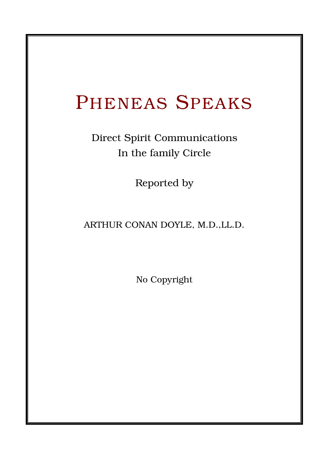# PHENEAS SPEAKS

Direct Spirit Communications In the family Circle

Reported by

ARTHUR CONAN DOYLE, M.D.,LL.D.

No Copyright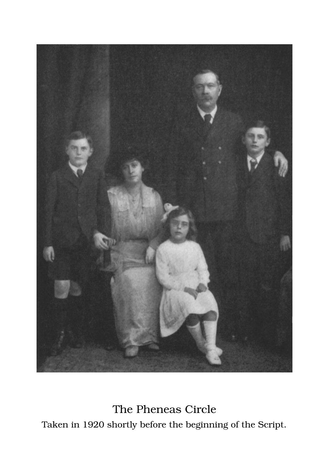

The Pheneas Circle Taken in 1920 shortly before the beginning of the Script.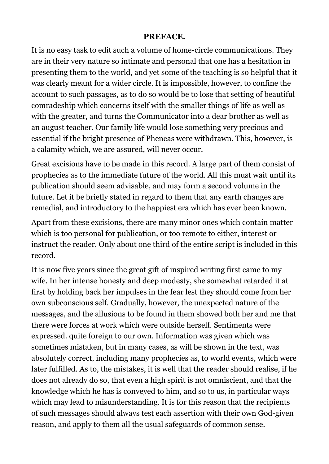#### **PREFACE.**

It is no easy task to edit such a volume of home-circle communications. They are in their very nature so intimate and personal that one has a hesitation in presenting them to the world, and yet some of the teaching is so helpful that it was clearly meant for a wider circle. It is impossible, however, to confine the account to such passages, as to do so would be to lose that setting of beautiful comradeship which concerns itself with the smaller things of life as well as with the greater, and turns the Communicator into a dear brother as well as an august teacher. Our family life would lose something very precious and essential if the bright presence of Pheneas were withdrawn. This, however, is a calamity which, we are assured, will never occur.

Great excisions have to be made in this record. A large part of them consist of prophecies as to the immediate future of the world. All this must wait until its publication should seem advisable, and may form a second volume in the future. Let it be briefly stated in regard to them that any earth changes are remedial, and introductory to the happiest era which has ever been known.

Apart from these excisions, there are many minor ones which contain matter which is too personal for publication, or too remote to either, interest or instruct the reader. Only about one third of the entire script is included in this record.

It is now five years since the great gift of inspired writing first came to my wife. In her intense honesty and deep modesty, she somewhat retarded it at first by holding back her impulses in the fear lest they should come from her own subconscious self. Gradually, however, the unexpected nature of the messages, and the allusions to be found in them showed both her and me that there were forces at work which were outside herself. Sentiments were expressed. quite foreign to our own. Information was given which was sometimes mistaken, but in many cases, as will be shown in the text, was absolutely correct, including many prophecies as, to world events, which were later fulfilled. As to, the mistakes, it is well that the reader should realise, if he does not already do so, that even a high spirit is not omniscient, and that the knowledge which he has is conveyed to him, and so to us, in particular ways which may lead to misunderstanding. It is for this reason that the recipients of such messages should always test each assertion with their own God-given reason, and apply to them all the usual safeguards of common sense.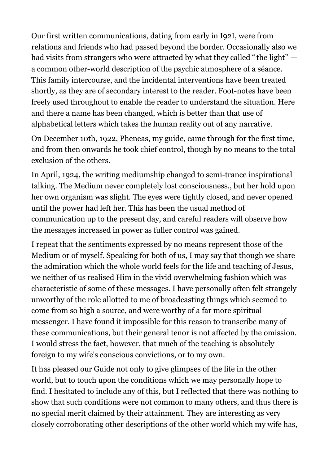Our first written communications, dating from early in I92I, were from relations and friends who had passed beyond the border. Occasionally also we had visits from strangers who were attracted by what they called "the light"  $$ a common other-world description of the psychic atmosphere of a séance. This family intercourse, and the incidental interventions have been treated shortly, as they are of secondary interest to the reader. Foot-notes have been freely used throughout to enable the reader to understand the situation. Here and there a name has been changed, which is better than that use of alphabetical letters which takes the human reality out of any narrative.

On December 10th, 1922, Pheneas, my guide, came through for the first time, and from then onwards he took chief control, though by no means to the total exclusion of the others.

In April, 1924, the writing mediumship changed to semi-trance inspirational talking. The Medium never completely lost consciousness., but her hold upon her own organism was slight. The eyes were tightly closed, and never opened until the power had left her. This has been the usual method of communication up to the present day, and careful readers will observe how the messages increased in power as fuller control was gained.

I repeat that the sentiments expressed by no means represent those of the Medium or of myself. Speaking for both of us, I may say that though we share the admiration which the whole world feels for the life and teaching of Jesus, we neither of us realised Him in the vivid overwhelming fashion which was characteristic of some of these messages. I have personally often felt strangely unworthy of the role allotted to me of broadcasting things which seemed to come from so high a source, and were worthy of a far more spiritual messenger. I have found it impossible for this reason to transcribe many of these communications, but their general tenor is not affected by the omission. I would stress the fact, however, that much of the teaching is absolutely foreign to my wife's conscious convictions, or to my own.

It has pleased our Guide not only to give glimpses of the life in the other world, but to touch upon the conditions which we may personally hope to find. I hesitated to include any of this, but I reflected that there was nothing to show that such conditions were not common to many others, and thus there is no special merit claimed by their attainment. They are interesting as very closely corroborating other descriptions of the other world which my wife has,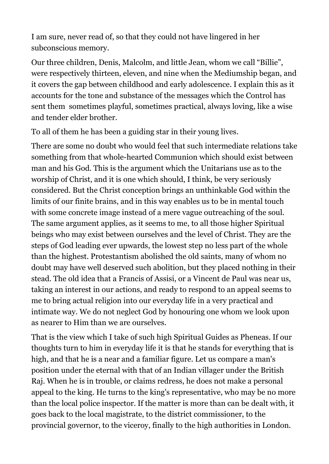I am sure, never read of, so that they could not have lingered in her subconscious memory.

Our three children, Denis, Malcolm, and little Jean, whom we call " Billie", were respectively thirteen, eleven, and nine when the Mediumship began, and it covers the gap between childhood and early adolescence. I explain this as it accounts for the tone and substance of the messages which the Control has sent them sometimes playful, sometimes practical, always loving, like a wise and tender elder brother.

To all of them he has been a guiding star in their young lives.

There are some no doubt who would feel that such intermediate relations take something from that whole-hearted Communion which should exist between man and his God. This is the argument which the Unitarians use as to the worship of Christ, and it is one which should, I think, be very seriously considered. But the Christ conception brings an unthinkable God within the limits of our finite brains, and in this way enables us to be in mental touch with some concrete image instead of a mere vague outreaching of the soul. The same argument applies, as it seems to me, to all those higher Spiritual beings who may exist between ourselves and the level of Christ. They are the steps of God leading ever upwards, the lowest step no less part of the whole than the highest. Protestantism abolished the old saints, many of whom no doubt may have well deserved such abolition, but they placed nothing in their stead. The old idea that a Francis of Assisi, or a Vincent de Paul was near us, taking an interest in our actions, and ready to respond to an appeal seems to me to bring actual religion into our everyday life in a very practical and intimate way. We do not neglect God by honouring one whom we look upon as nearer to Him than we are ourselves.

That is the view which I take of such high Spiritual Guides as Pheneas. If our thoughts turn to him in everyday life it is that he stands for everything that is high, and that he is a near and a familiar figure. Let us compare a man's position under the eternal with that of an Indian villager under the British Raj. When he is in trouble, or claims redress, he does not make a personal appeal to the king. He turns to the king's representative, who may be no more than the local police inspector. If the matter is more than can be dealt with, it goes back to the local magistrate, to the district commissioner, to the provincial governor, to the viceroy, finally to the high authorities in London.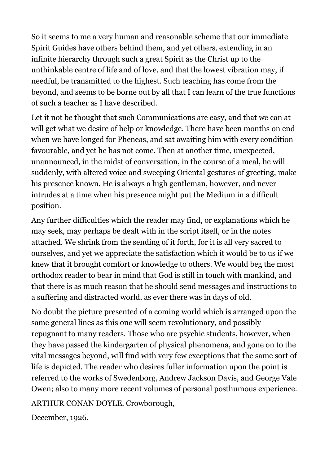So it seems to me a very human and reasonable scheme that our immediate Spirit Guides have others behind them, and yet others, extending in an infinite hierarchy through such a great Spirit as the Christ up to the unthinkable centre of life and of love, and that the lowest vibration may, if needful, be transmitted to the highest. Such teaching has come from the beyond, and seems to be borne out by all that I can learn of the true functions of such a teacher as I have described.

Let it not be thought that such Communications are easy, and that we can at will get what we desire of help or knowledge. There have been months on end when we have longed for Pheneas, and sat awaiting him with every condition favourable, and yet he has not come. Then at another time, unexpected, unannounced, in the midst of conversation, in the course of a meal, he will suddenly, with altered voice and sweeping Oriental gestures of greeting, make his presence known. He is always a high gentleman, however, and never intrudes at a time when his presence might put the Medium in a difficult position.

Any further difficulties which the reader may find, or explanations which he may seek, may perhaps be dealt with in the script itself, or in the notes attached. We shrink from the sending of it forth, for it is all very sacred to ourselves, and yet we appreciate the satisfaction which it would be to us if we knew that it brought comfort or knowledge to others. We would beg the most orthodox reader to bear in mind that God is still in touch with mankind, and that there is as much reason that he should send messages and instructions to a suffering and distracted world, as ever there was in days of old.

No doubt the picture presented of a coming world which is arranged upon the same general lines as this one will seem revolutionary, and possibly repugnant to many readers. Those who are psychic students, however, when they have passed the kindergarten of physical phenomena, and gone on to the vital messages beyond, will find with very few exceptions that the same sort of life is depicted. The reader who desires fuller information upon the point is referred to the works of Swedenborg, Andrew Jackson Davis, and George Vale Owen; also to many more recent volumes of personal posthumous experience.

ARTHUR CONAN DOYLE. Crowborough,

December, 1926.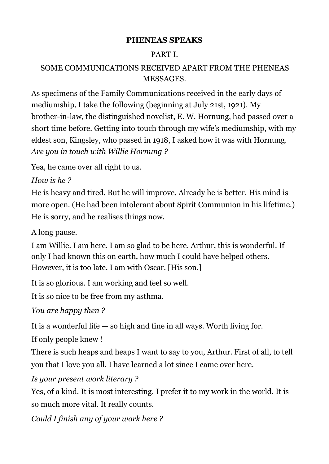#### **PHENEAS SPEAKS**

#### PART I.

## SOME COMMUNICATIONS RECEIVED APART FROM THE PHENEAS MESSAGES.

As specimens of the Family Communications received in the early days of mediumship, I take the following (beginning at July 21st, 1921). My brother-in-law, the distinguished novelist, E. W. Hornung, had passed over a short time before. Getting into touch through my wife's mediumship, with my eldest son, Kingsley, who passed in 1918, I asked how it was with Hornung. *Are you in touch with Willie Hornung ?* 

Yea, he came over all right to us.

*How is he ?* 

He is heavy and tired. But he will improve. Already he is better. His mind is more open. (He had been intolerant about Spirit Communion in his lifetime.) He is sorry, and he realises things now.

A long pause.

I am Willie. I am here. I am so glad to be here. Arthur, this is wonderful. If only I had known this on earth, how much I could have helped others. However, it is too late. I am with Oscar. [His son.]

It is so glorious. I am working and feel so well.

It is so nice to be free from my asthma.

*You are happy then ?* 

It is a wonderful life — so high and fine in all ways. Worth living for.

If only people knew !

There is such heaps and heaps I want to say to you, Arthur. First of all, to tell you that I love you all. I have learned a lot since I came over here.

*Is your present work literary ?* 

Yes, of a kind. It is most interesting. I prefer it to my work in the world. It is so much more vital. It really counts.

*Could I finish any of your work here ?*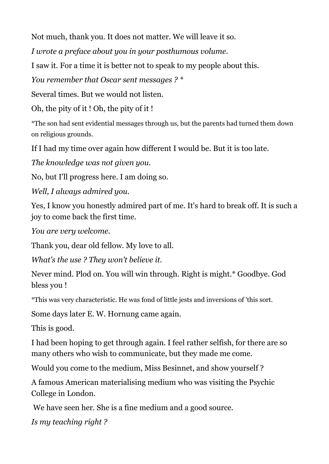Not much, thank you. It does not matter. We will leave it so.

*I wrote a preface about you in your posthumous volume.* 

I saw it. For a time it is better not to speak to my people about this.

*You remember that Oscar sent messages ? \** 

Several times. But we would not listen.

Oh, the pity of it ! Oh, the pity of it !

\*The son had sent evidential messages through us, but the parents had turned them down on religious grounds.

If I had my time over again how different I would be. But it is too late.

*The knowledge was not given you.* 

No, but I'll progress here. I am doing so.

*Well, I always admired you.* 

Yes, I know you honestly admired part of me. It's hard to break off. It is such a joy to come back the first time.

*You are very welcome.* 

Thank you, dear old fellow. My love to all.

*What's the use ? They won't believe it.* 

Never mind. Plod on. You will win through. Right is might.\* Goodbye. God bless you !

\*This was very characteristic. He was fond of little jests and inversions of 'this sort.

Some days later E. W. Hornung came again.

This is good.

I had been hoping to get through again. I feel rather selfish, for there are so many others who wish to communicate, but they made me come.

Would you come to the medium, Miss Besinnet, and show yourself ?

A famous American materialising medium who was visiting the Psychic College in London.

We have seen her. She is a fine medium and a good source.

*Is my teaching right ?*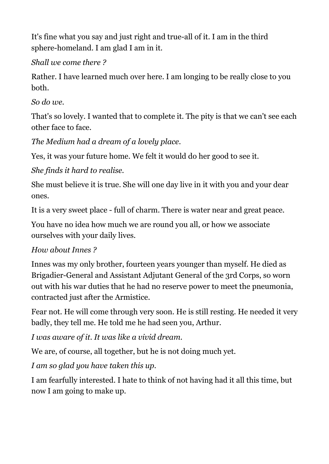It's fine what you say and just right and true-all of it. I am in the third sphere-homeland. I am glad I am in it.

*Shall we come there ?* 

Rather. I have learned much over here. I am longing to be really close to you both.

*So do we.* 

That's so lovely. I wanted that to complete it. The pity is that we can't see each other face to face.

*The Medium had a dream of a lovely place.* 

Yes, it was your future home. We felt it would do her good to see it.

*She finds it hard to realise.* 

She must believe it is true. She will one day live in it with you and your dear ones.

It is a very sweet place - full of charm. There is water near and great peace.

You have no idea how much we are round you all, or how we associate ourselves with your daily lives.

# *How about Innes ?*

Innes was my only brother, fourteen years younger than myself. He died as Brigadier-General and Assistant Adjutant General of the 3rd Corps, so worn out with his war duties that he had no reserve power to meet the pneumonia, contracted just after the Armistice.

Fear not. He will come through very soon. He is still resting. He needed it very badly, they tell me. He told me he had seen you, Arthur.

*I was aware of it. It was like a vivid dream.* 

We are, of course, all together, but he is not doing much yet.

*I am so glad you have taken this up.* 

I am fearfully interested. I hate to think of not having had it all this time, but now I am going to make up.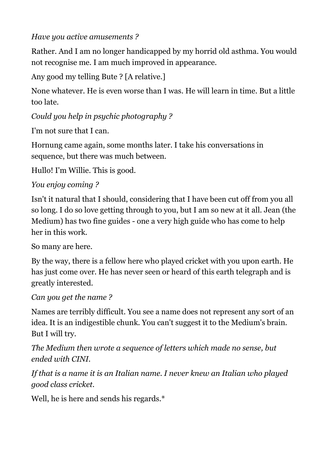# *Have you active amusements ?*

Rather. And I am no longer handicapped by my horrid old asthma. You would not recognise me. I am much improved in appearance.

Any good my telling Bute ? [A relative.]

None whatever. He is even worse than I was. He will learn in time. But a little too late.

*Could you help in psychic photography ?* 

I'm not sure that I can.

Hornung came again, some months later. I take his conversations in sequence, but there was much between.

Hullo! I'm Willie. This is good.

# *You enjoy coming ?*

Isn't it natural that I should, considering that I have been cut off from you all so long. I do so love getting through to you, but I am so new at it all. Jean (the Medium) has two fine guides - one a very high guide who has come to help her in this work.

So many are here.

By the way, there is a fellow here who played cricket with you upon earth. He has just come over. He has never seen or heard of this earth telegraph and is greatly interested.

*Can you get the name ?* 

Names are terribly difficult. You see a name does not represent any sort of an idea. It is an indigestible chunk. You can't suggest it to the Medium's brain. But I will try.

*The Medium then wrote a sequence of letters which made no sense, but ended with CINI.* 

*If that is a name it is an Italian name. I never knew an Italian who played good class cricket.* 

Well, he is here and sends his regards.\*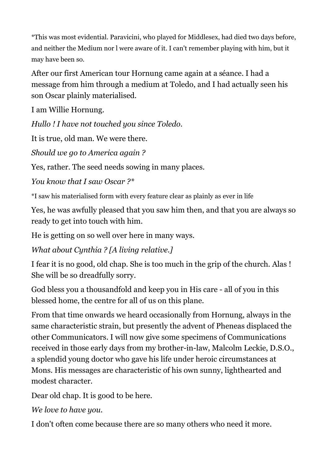\*This was most evidential. Paravicini, who played for Middlesex, had died two days before, and neither the Medium nor l were aware of it. I can't remember playing with him, but it may have been so.

After our first American tour Hornung came again at a séance. I had a message from him through a medium at Toledo, and I had actually seen his son Oscar plainly materialised.

I am Willie Hornung.

*Hullo ! I have not touched you since Toledo.* 

It is true, old man. We were there.

*Should we go to America again ?* 

Yes, rather. The seed needs sowing in many places.

*You know that I saw Oscar ?\** 

\*I saw his materialised form with every feature clear as plainly as ever in life

Yes, he was awfully pleased that you saw him then, and that you are always so ready to get into touch with him.

He is getting on so well over here in many ways.

*What about Cynthia ? [A living relative.]* 

I fear it is no good, old chap. She is too much in the grip of the church. Alas ! She will be so dreadfully sorry.

God bless you a thousandfold and keep you in His care - all of you in this blessed home, the centre for all of us on this plane.

From that time onwards we heard occasionally from Hornung, always in the same characteristic strain, but presently the advent of Pheneas displaced the other Communicators. I will now give some specimens of Communications received in those early days from my brother-in-law, Malcolm Leckie, D.S.O., a splendid young doctor who gave his life under heroic circumstances at Mons. His messages are characteristic of his own sunny, lighthearted and modest character.

Dear old chap. It is good to be here.

*We love to have you.* 

I don't often come because there are so many others who need it more.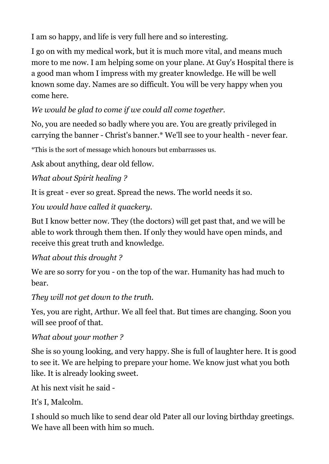I am so happy, and life is very full here and so interesting.

I go on with my medical work, but it is much more vital, and means much more to me now. I am helping some on your plane. At Guy's Hospital there is a good man whom I impress with my greater knowledge. He will be well known some day. Names are so difficult. You will be very happy when you come here.

*We would be glad to come if we could all come together.* 

No, you are needed so badly where you are. You are greatly privileged in carrying the banner - Christ's banner.\* We'll see to your health - never fear.

\*This is the sort of message which honours but embarrasses us.

Ask about anything, dear old fellow.

*What about Spirit healing ?* 

It is great - ever so great. Spread the news. The world needs it so.

*You would have called it quackery.* 

But I know better now. They (the doctors) will get past that, and we will be able to work through them then. If only they would have open minds, and receive this great truth and knowledge.

*What about this drought ?* 

We are so sorry for you - on the top of the war. Humanity has had much to bear.

*They will not get down to the truth.* 

Yes, you are right, Arthur. We all feel that. But times are changing. Soon you will see proof of that.

*What about your mother ?* 

She is so young looking, and very happy. She is full of laughter here. It is good to see it. We are helping to prepare your home. We know just what you both like. It is already looking sweet.

At his next visit he said -

It's I, Malcolm.

I should so much like to send dear old Pater all our loving birthday greetings. We have all been with him so much.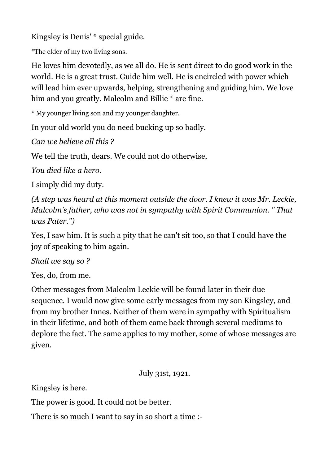Kingsley is Denis' \* special guide.

\*The elder of my two living sons.

He loves him devotedly, as we all do. He is sent direct to do good work in the world. He is a great trust. Guide him well. He is encircled with power which will lead him ever upwards, helping, strengthening and guiding him. We love him and you greatly. Malcolm and Billie \* are fine.

\* My younger living son and my younger daughter.

In your old world you do need bucking up so badly.

*Can we believe all this ?* 

We tell the truth, dears. We could not do otherwise,

*You died like a hero.* 

I simply did my duty.

*(A step was heard at this moment outside the door. I knew it was Mr. Leckie, Malcolm's father, who was not in sympathy with Spirit Communion. " That was Pater.")* 

Yes, I saw him. It is such a pity that he can't sit too, so that I could have the joy of speaking to him again.

*Shall we say so ?* 

Yes, do, from me.

Other messages from Malcolm Leckie will be found later in their due sequence. I would now give some early messages from my son Kingsley, and from my brother Innes. Neither of them were in sympathy with Spiritualism in their lifetime, and both of them came back through several mediums to deplore the fact. The same applies to my mother, some of whose messages are given.

#### July 31st, 1921.

Kingsley is here.

The power is good. It could not be better.

There is so much I want to say in so short a time :-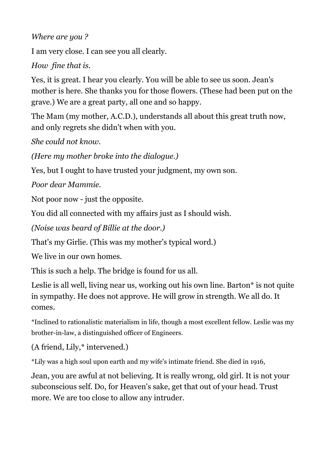```
Where are you ?
```
I am very close. I can see you all clearly.

*How fine that is.* 

Yes, it is great. I hear you clearly. You will be able to see us soon. Jean's mother is here. She thanks you for those flowers. (These had been put on the grave.) We are a great party, all one and so happy.

The Mam (my mother, A.C.D.), understands all about this great truth now, and only regrets she didn't when with you.

*She could not know.* 

*(Here my mother broke into the dialogue.)* 

Yes, but I ought to have trusted your judgment, my own son.

*Poor dear Mammie.* 

Not poor now - just the opposite.

You did all connected with my affairs just as I should wish.

*(Noise was beard of Billie at the door.)* 

That's my Girlie. (This was my mother's typical word.)

We live in our own homes.

This is such a help. The bridge is found for us all.

Leslie is all well, living near us, working out his own line. Barton<sup>\*</sup> is not quite in sympathy. He does not approve. He will grow in strength. We all do. It comes.

\*Inclined to rationalistic materialism in life, though a most excellent fellow. Leslie was my brother-in-law, a distinguished officer of Engineers.

(A friend, Lily,\* intervened.)

\*Lily was a high soul upon earth and my wife's intimate friend. She died in 1916,

Jean, you are awful at not believing. It is really wrong, old girl. It is not your subconscious self. Do, for Heaven's sake, get that out of your head. Trust more. We are too close to allow any intruder.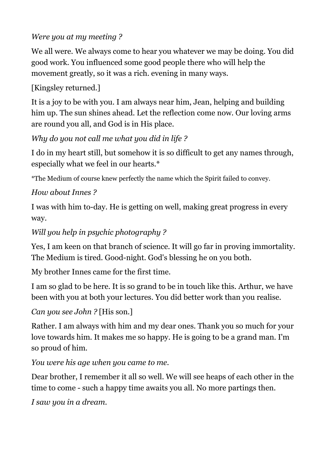# *Were you at my meeting ?*

We all were. We always come to hear you whatever we may be doing. You did good work. You influenced some good people there who will help the movement greatly, so it was a rich. evening in many ways.

# [Kingsley returned.]

It is a joy to be with you. I am always near him, Jean, helping and building him up. The sun shines ahead. Let the reflection come now. Our loving arms are round you all, and God is in His place.

# *Why do you not call me what you did in life ?*

I do in my heart still, but somehow it is so difficult to get any names through, especially what we feel in our hearts.\*

\*The Medium of course knew perfectly the name which the Spirit failed to convey.

## *How about Innes ?*

I was with him to-day. He is getting on well, making great progress in every way.

# *Will you help in psychic photography ?*

Yes, I am keen on that branch of science. It will go far in proving immortality. The Medium is tired. Good-night. God's blessing he on you both.

My brother Innes came for the first time.

I am so glad to be here. It is so grand to be in touch like this. Arthur, we have been with you at both your lectures. You did better work than you realise.

## *Can you see John ?* [His son.]

Rather. I am always with him and my dear ones. Thank you so much for your love towards him. It makes me so happy. He is going to be a grand man. I'm so proud of him.

*You were his age when you came to me.* 

Dear brother, I remember it all so well. We will see heaps of each other in the time to come - such a happy time awaits you all. No more partings then.

*I saw you in a dream.*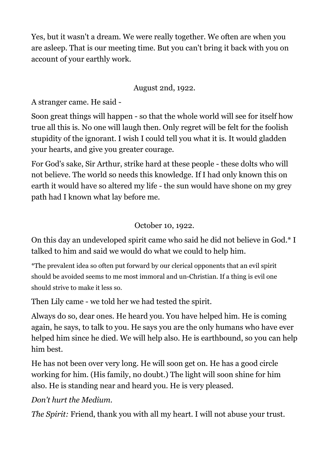Yes, but it wasn't a dream. We were really together. We often are when you are asleep. That is our meeting time. But you can't bring it back with you on account of your earthly work.

# August 2nd, 1922.

A stranger came. He said -

Soon great things will happen - so that the whole world will see for itself how true all this is. No one will laugh then. Only regret will be felt for the foolish stupidity of the ignorant. I wish I could tell you what it is. It would gladden your hearts, and give you greater courage.

For God's sake, Sir Arthur, strike hard at these people - these dolts who will not believe. The world so needs this knowledge. If I had only known this on earth it would have so altered my life - the sun would have shone on my grey path had I known what lay before me.

## October 10, 1922.

On this day an undeveloped spirit came who said he did not believe in God.\* I talked to him and said we would do what we could to help him.

\*The prevalent idea so often put forward by our clerical opponents that an evil spirit should be avoided seems to me most immoral and un-Christian. If a thing is evil one should strive to make it less so.

Then Lily came - we told her we had tested the spirit.

Always do so, dear ones. He heard you. You have helped him. He is coming again, he says, to talk to you. He says you are the only humans who have ever helped him since he died. We will help also. He is earthbound, so you can help him best.

He has not been over very long. He will soon get on. He has a good circle working for him. (His family, no doubt.) The light will soon shine for him also. He is standing near and heard you. He is very pleased.

# *Don't hurt the Medium.*

*The Spirit: Friend, thank you with all my heart. I will not abuse your trust.*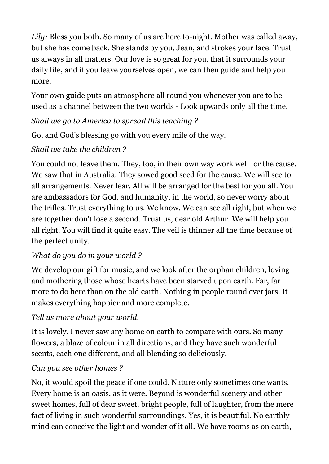*Lily:* Bless you both. So many of us are here to-night. Mother was called away, but she has come back. She stands by you, Jean, and strokes your face. Trust us always in all matters. Our love is so great for you, that it surrounds your daily life, and if you leave yourselves open, we can then guide and help you more.

Your own guide puts an atmosphere all round you whenever you are to be used as a channel between the two worlds - Look upwards only all the time.

# *Shall we go to America to spread this teaching ?*

Go, and God's blessing go with you every mile of the way.

# *Shall we take the children ?*

You could not leave them. They, too, in their own way work well for the cause. We saw that in Australia. They sowed good seed for the cause. We will see to all arrangements. Never fear. All will be arranged for the best for you all. You are ambassadors for God, and humanity, in the world, so never worry about the trifles. Trust everything to us. We know. We can see all right, but when we are together don't lose a second. Trust us, dear old Arthur. We will help you all right. You will find it quite easy. The veil is thinner all the time because of the perfect unity.

# *What do you do in your world ?*

We develop our gift for music, and we look after the orphan children, loving and mothering those whose hearts have been starved upon earth. Far, far more to do here than on the old earth. Nothing in people round ever jars. It makes everything happier and more complete.

# *Tell us more about your world.*

It is lovely. I never saw any home on earth to compare with ours. So many flowers, a blaze of colour in all directions, and they have such wonderful scents, each one different, and all blending so deliciously.

# *Can you see other homes ?*

No, it would spoil the peace if one could. Nature only sometimes one wants. Every home is an oasis, as it were. Beyond is wonderful scenery and other sweet homes, full of dear sweet, bright people, full of laughter, from the mere fact of living in such wonderful surroundings. Yes, it is beautiful. No earthly mind can conceive the light and wonder of it all. We have rooms as on earth,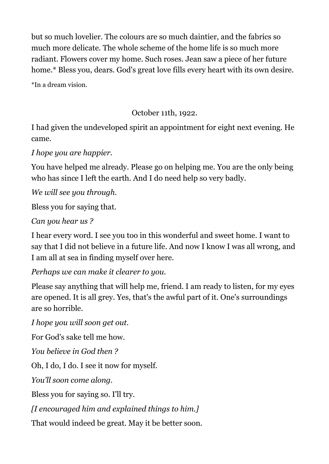but so much lovelier. The colours are so much daintier, and the fabrics so much more delicate. The whole scheme of the home life is so much more radiant. Flowers cover my home. Such roses. Jean saw a piece of her future home.\* Bless you, dears. God's great love fills every heart with its own desire. \*In a dream vision.

October 11th, 1922.

I had given the undeveloped spirit an appointment for eight next evening. He came.

*I hope you are happier.* 

You have helped me already. Please go on helping me. You are the only being who has since I left the earth. And I do need help so very badly.

*We will see you through.* 

Bless you for saying that.

*Can you hear us ?* 

I hear every word. I see you too in this wonderful and sweet home. I want to say that I did not believe in a future life. And now I know I was all wrong, and I am all at sea in finding myself over here.

*Perhaps we can make it clearer to you.* 

Please say anything that will help me, friend. I am ready to listen, for my eyes are opened. It is all grey. Yes, that's the awful part of it. One's surroundings are so horrible.

*I hope you will soon get out.* 

For God's sake tell me how.

*You believe in God then ?* 

Oh, I do, I do. I see it now for myself.

*You'll soon come along.* 

Bless you for saying so. I'll try.

*[I encouraged him and explained things to him.]* 

That would indeed be great. May it be better soon.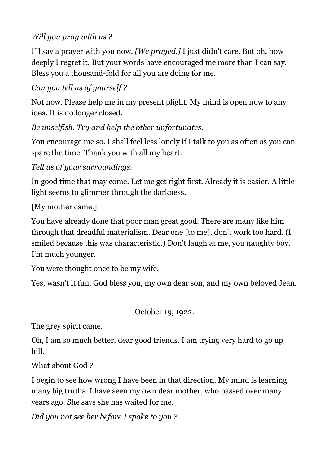*Will you pray with us ?* 

I'll say a prayer with you now. *[We prayed.]* I just didn't care. But oh, how deeply I regret it. But your words have encouraged me more than I can say. Bless you a thousand-fold for all you are doing for me.

*Can you tell us of yourself ?* 

Not now. Please help me in my present plight. My mind is open now to any idea. It is no longer closed.

*Be unselfish. Try and help the other unfortunates.* 

You encourage me so. I shall feel less lonely if I talk to you as often as you can spare the time. Thank you with all my heart.

*Tell us of your surroundings.* 

In good time that may come. Let me get right first. Already it is easier. A little light seems to glimmer through the darkness.

[My mother came.]

You have already done that poor man great good. There are many like him through that dreadful materialism. Dear one [to me], don't work too hard. (I smiled because this was characteristic.) Don't laugh at me, you naughty boy. I'm much younger.

You were thought once to be my wife.

Yes, wasn't it fun. God bless you, my own dear son, and my own beloved Jean.

October 19, 1922.

The grey spirit came.

Oh, I am so much better, dear good friends. I am trying very hard to go up hill.

What about God ?

I begin to see how wrong I have been in that direction. My mind is learning many big truths. I have seen my own dear mother, who passed over many years ago. She says she has waited for me.

*Did you not see her before I spoke to you ?*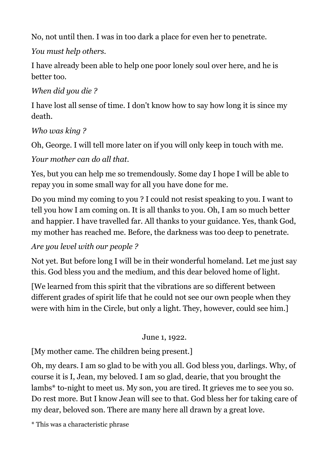No, not until then. I was in too dark a place for even her to penetrate.

*You must help others.* 

I have already been able to help one poor lonely soul over here, and he is better too.

# *When did you die ?*

I have lost all sense of time. I don't know how to say how long it is since my death.

# *Who was king ?*

Oh, George. I will tell more later on if you will only keep in touch with me.

# *Your mother can do all that.*

Yes, but you can help me so tremendously. Some day I hope I will be able to repay you in some small way for all you have done for me.

Do you mind my coming to you ? I could not resist speaking to you. I want to tell you how I am coming on. It is all thanks to you. Oh, I am so much better and happier. I have travelled far. All thanks to your guidance. Yes, thank God, my mother has reached me. Before, the darkness was too deep to penetrate.

# *Are you level with our people ?*

Not yet. But before long I will be in their wonderful homeland. Let me just say this. God bless you and the medium, and this dear beloved home of light.

[We learned from this spirit that the vibrations are so different between different grades of spirit life that he could not see our own people when they were with him in the Circle, but only a light. They, however, could see him.]

## June 1, 1922.

[My mother came. The children being present.]

Oh, my dears. I am so glad to be with you all. God bless you, darlings. Why, of course it is I, Jean, my beloved. I am so glad, dearie, that you brought the lambs\* to-night to meet us. My son, you are tired. It grieves me to see you so. Do rest more. But I know Jean will see to that. God bless her for taking care of my dear, beloved son. There are many here all drawn by a great love.

\* This was a characteristic phrase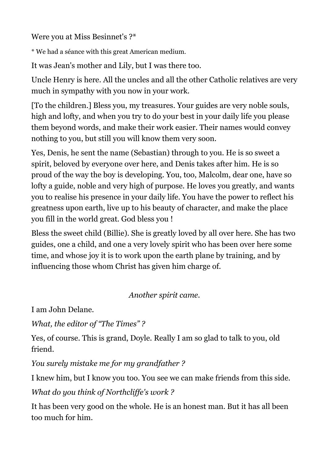Were you at Miss Besinnet's ?\*

\* We had a séance with this great American medium.

It was Jean's mother and Lily, but I was there too.

Uncle Henry is here. All the uncles and all the other Catholic relatives are very much in sympathy with you now in your work.

[To the children.] Bless you, my treasures. Your guides are very noble souls, high and lofty, and when you try to do your best in your daily life you please them beyond words, and make their work easier. Their names would convey nothing to you, but still you will know them very soon.

Yes, Denis, he sent the name (Sebastian) through to you. He is so sweet a spirit, beloved by everyone over here, and Denis takes after him. He is so proud of the way the boy is developing. You, too, Malcolm, dear one, have so lofty a guide, noble and very high of purpose. He loves you greatly, and wants you to realise his presence in your daily life. You have the power to reflect his greatness upon earth, live up to his beauty of character, and make the place you fill in the world great. God bless you !

Bless the sweet child (Billie). She is greatly loved by all over here. She has two guides, one a child, and one a very lovely spirit who has been over here some time, and whose joy it is to work upon the earth plane by training, and by influencing those whom Christ has given him charge of.

*Another spirit came.* 

I am John Delane.

*What, the editor of "The Times" ?* 

Yes, of course. This is grand, Doyle. Really I am so glad to talk to you, old friend.

*You surely mistake me for my grandfather ?* 

I knew him, but I know you too. You see we can make friends from this side.

*What do you think of Northcliffe's work ?* 

It has been very good on the whole. He is an honest man. But it has all been too much for him.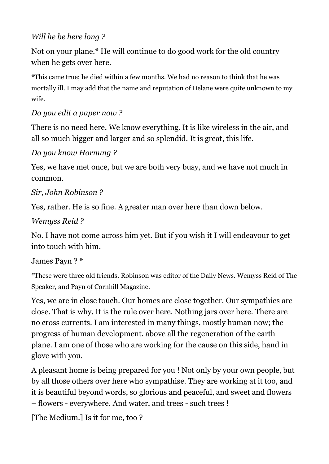# *Will he be here long ?*

Not on your plane.\* He will continue to do good work for the old country when he gets over here.

\*This came true; he died within a few months. We had no reason to think that he was mortally ill. I may add that the name and reputation of Delane were quite unknown to my wife.

## *Do you edit a paper now ?*

There is no need here. We know everything. It is like wireless in the air, and all so much bigger and larger and so splendid. It is great, this life.

*Do you know Hornung ?* 

Yes, we have met once, but we are both very busy, and we have not much in common.

#### *Sir, John Robinson ?*

Yes, rather. He is so fine. A greater man over here than down below.

#### *Wemyss Reid ?*

No. I have not come across him yet. But if you wish it I will endeavour to get into touch with him.

#### James Payn ? \*

\*These were three old friends. Robinson was editor of the Daily News. Wemyss Reid of The Speaker, and Payn of Cornhill Magazine.

Yes, we are in close touch. Our homes are close together. Our sympathies are close. That is why. It is the rule over here. Nothing jars over here. There are no cross currents. I am interested in many things, mostly human now; the progress of human development. above all the regeneration of the earth plane. I am one of those who are working for the cause on this side, hand in glove with you.

A pleasant home is being prepared for you ! Not only by your own people, but by all those others over here who sympathise. They are working at it too, and it is beautiful beyond words, so glorious and peaceful, and sweet and flowers – flowers - everywhere. And water, and trees - such trees !

[The Medium.] Is it for me, too ?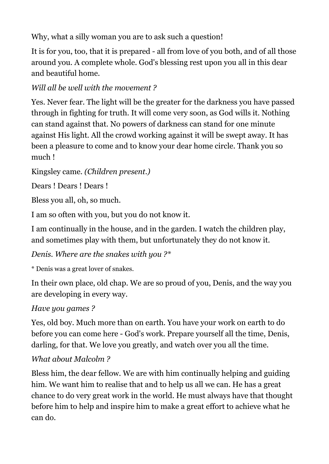Why, what a silly woman you are to ask such a question!

It is for you, too, that it is prepared - all from love of you both, and of all those around you. A complete whole. God's blessing rest upon you all in this dear and beautiful home.

# *Will all be well with the movement ?*

Yes. Never fear. The light will be the greater for the darkness you have passed through in fighting for truth. It will come very soon, as God wills it. Nothing can stand against that. No powers of darkness can stand for one minute against His light. All the crowd working against it will be swept away. It has been a pleasure to come and to know your dear home circle. Thank you so much !

Kingsley came. *(Children present.)*

Dears ! Dears ! Dears !

Bless you all, oh, so much.

I am so often with you, but you do not know it.

I am continually in the house, and in the garden. I watch the children play, and sometimes play with them, but unfortunately they do not know it.

*Denis. Where are the snakes with you ?\** 

\* Denis was a great lover of snakes.

In their own place, old chap. We are so proud of you, Denis, and the way you are developing in every way.

## *Have you games ?*

Yes, old boy. Much more than on earth. You have your work on earth to do before you can come here - God's work. Prepare yourself all the time, Denis, darling, for that. We love you greatly, and watch over you all the time.

## *What about Malcolm ?*

Bless him, the dear fellow. We are with him continually helping and guiding him. We want him to realise that and to help us all we can. He has a great chance to do very great work in the world. He must always have that thought before him to help and inspire him to make a great effort to achieve what he can do.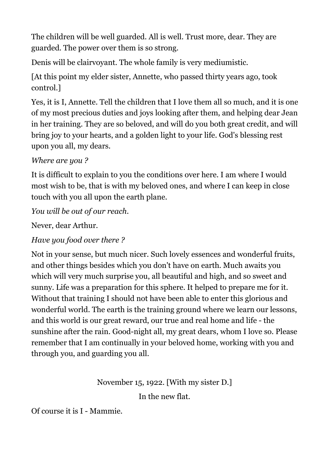The children will be well guarded. All is well. Trust more, dear. They are guarded. The power over them is so strong.

Denis will be clairvoyant. The whole family is very mediumistic.

[At this point my elder sister, Annette, who passed thirty years ago, took control.]

Yes, it is I, Annette. Tell the children that I love them all so much, and it is one of my most precious duties and joys looking after them, and helping dear Jean in her training. They are so beloved, and will do you both great credit, and will bring joy to your hearts, and a golden light to your life. God's blessing rest upon you all, my dears.

## *Where are you ?*

It is difficult to explain to you the conditions over here. I am where I would most wish to be, that is with my beloved ones, and where I can keep in close touch with you all upon the earth plane.

*You will be out of our reach.* 

Never, dear Arthur.

# *Have you food over there ?*

Not in your sense, but much nicer. Such lovely essences and wonderful fruits, and other things besides which you don't have on earth. Much awaits you which will very much surprise you, all beautiful and high, and so sweet and sunny. Life was a preparation for this sphere. It helped to prepare me for it. Without that training I should not have been able to enter this glorious and wonderful world. The earth is the training ground where we learn our lessons, and this world is our great reward, our true and real home and life - the sunshine after the rain. Good-night all, my great dears, whom I love so. Please remember that I am continually in your beloved home, working with you and through you, and guarding you all.

#### November 15, 1922. [With my sister D.]

In the new flat.

## Of course it is I - Mammie.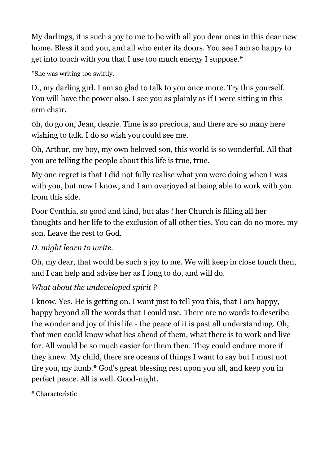My darlings, it is such a joy to me to be with all you dear ones in this dear new home. Bless it and you, and all who enter its doors. You see I am so happy to get into touch with you that I use too much energy I suppose.\*

\*She was writing too swiftly.

D., my darling girl. I am so glad to talk to you once more. Try this yourself. You will have the power also. I see you as plainly as if I were sitting in this arm chair.

0h, do go on, Jean, dearie. Time is so precious, and there are so many here wishing to talk. I do so wish you could see me.

Oh, Arthur, my boy, my own beloved son, this world is so wonderful. All that you are telling the people about this life is true, true.

My one regret is that I did not fully realise what you were doing when I was with you, but now I know, and I am overjoyed at being able to work with you from this side.

Poor Cynthia, so good and kind, but alas ! her Church is filling all her thoughts and her life to the exclusion of all other ties. You can do no more, my son. Leave the rest to God.

# *D. might learn to write.*

Oh, my dear, that would be such a joy to me. We will keep in close touch then, and I can help and advise her as I long to do, and will do.

# *What about the undeveloped spirit ?*

I know. Yes. He is getting on. I want just to tell you this, that I am happy, happy beyond all the words that I could use. There are no words to describe the wonder and joy of this life - the peace of it is past all understanding. Oh, that men could know what lies ahead of them, what there is to work and live for. All would be so much easier for them then. They could endure more if they knew. My child, there are oceans of things I want to say but I must not tire you, my lamb.\* God's great blessing rest upon you all, and keep you in perfect peace. All is well. Good-night.

\* Characteristic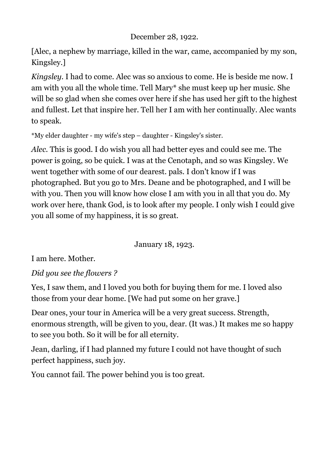## December 28, 1922.

[Alec, a nephew by marriage, killed in the war, came, accompanied by my son, Kingsley.]

*Kingsley.* I had to come. Alec was so anxious to come. He is beside me now. I am with you all the whole time. Tell Mary\* she must keep up her music. She will be so glad when she comes over here if she has used her gift to the highest and fullest. Let that inspire her. Tell her I am with her continually. Alec wants to speak.

```
*My elder daughter - my wife's step – daughter - Kingsley's sister.
```
*Alec.* This is good. I do wish you all had better eyes and could see me. The power is going, so be quick. I was at the Cenotaph, and so was Kingsley. We went together with some of our dearest. pals. I don't know if I was photographed. But you go to Mrs. Deane and be photographed, and I will be with you. Then you will know how close I am with you in all that you do. My work over here, thank God, is to look after my people. I only wish I could give you all some of my happiness, it is so great.

January 18, 1923.

I am here. Mother.

# *Did you see the flowers ?*

Yes, I saw them, and I loved you both for buying them for me. I loved also those from your dear home. [We had put some on her grave.]

Dear ones, your tour in America will be a very great success. Strength, enormous strength, will be given to you, dear. (It was.) It makes me so happy to see you both. So it will be for all eternity.

Jean, darling, if I had planned my future I could not have thought of such perfect happiness, such joy.

You cannot fail. The power behind you is too great.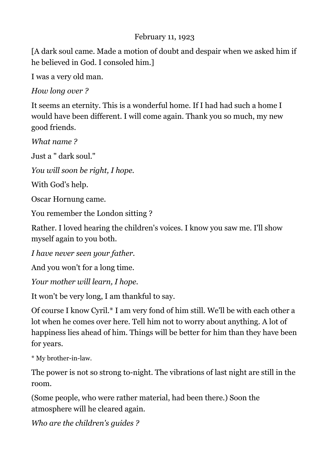### February 11, 1923

[A dark soul came. Made a motion of doubt and despair when we asked him if he believed in God. I consoled him.]

I was a very old man.

*How long over ?* 

It seems an eternity. This is a wonderful home. If I had had such a home I would have been different. I will come again. Thank you so much, my new good friends.

*What name ?* 

Just a " dark soul."

*You will soon be right, I hope.* 

With God's help.

Oscar Hornung came.

You remember the London sitting ?

Rather. I loved hearing the children's voices. I know you saw me. I'll show myself again to you both.

*I have never seen your father.* 

And you won't for a long time.

*Your mother will learn, I hope.* 

It won't be very long, I am thankful to say.

Of course I know Cyril.\* I am very fond of him still. We'll be with each other a lot when he comes over here. Tell him not to worry about anything. A lot of happiness lies ahead of him. Things will be better for him than they have been for years.

\* My brother-in-law.

The power is not so strong to-night. The vibrations of last night are still in the room.

(Some people, who were rather material, had been there.) Soon the atmosphere will he cleared again.

*Who are the children's guides ?*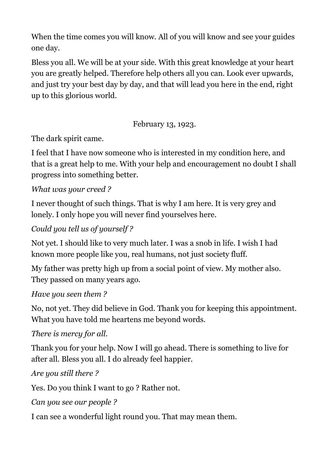When the time comes you will know. All of you will know and see your guides one day.

Bless you all. We will be at your side. With this great knowledge at your heart you are greatly helped. Therefore help others all you can. Look ever upwards, and just try your best day by day, and that will lead you here in the end, right up to this glorious world.

February 13, 1923.

The dark spirit came.

I feel that I have now someone who is interested in my condition here, and that is a great help to me. With your help and encouragement no doubt I shall progress into something better.

#### *What was your creed ?*

I never thought of such things. That is why I am here. It is very grey and lonely. I only hope you will never find yourselves here.

# *Could you tell us of yourself ?*

Not yet. I should like to very much later. I was a snob in life. I wish I had known more people like you, real humans, not just society fluff.

My father was pretty high up from a social point of view. My mother also. They passed on many years ago.

#### *Have you seen them ?*

No, not yet. They did believe in God. Thank you for keeping this appointment. What you have told me heartens me beyond words.

*There is mercy for all.* 

Thank you for your help. Now I will go ahead. There is something to live for after all. Bless you all. I do already feel happier.

*Are you still there ?* 

Yes. Do you think I want to go ? Rather not.

*Can you see our people ?* 

I can see a wonderful light round you. That may mean them.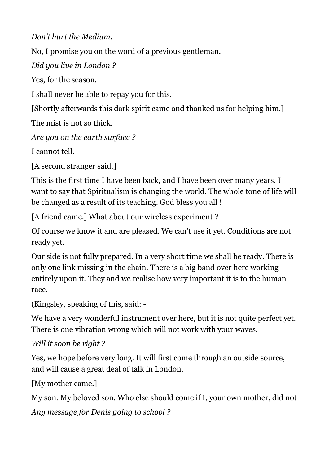*Don't hurt the Medium.* 

No, I promise you on the word of a previous gentleman.

*Did you live in London ?* 

Yes, for the season.

I shall never be able to repay you for this.

[Shortly afterwards this dark spirit came and thanked us for helping him.]

The mist is not so thick.

*Are you on the earth surface ?* 

I cannot tell.

[A second stranger said.]

This is the first time I have been back, and I have been over many years. I want to say that Spiritualism is changing the world. The whole tone of life will be changed as a result of its teaching. God bless you all !

[A friend came.] What about our wireless experiment ?

Of course we know it and are pleased. We can't use it yet. Conditions are not ready yet.

Our side is not fully prepared. In a very short time we shall be ready. There is only one link missing in the chain. There is a big band over here working entirely upon it. They and we realise how very important it is to the human race.

(Kingsley, speaking of this, said: -

We have a very wonderful instrument over here, but it is not quite perfect yet. There is one vibration wrong which will not work with your waves.

*Will it soon be right ?* 

Yes, we hope before very long. It will first come through an outside source, and will cause a great deal of talk in London.

[My mother came.]

My son. My beloved son. Who else should come if I, your own mother, did not

*Any message for Denis going to school ?*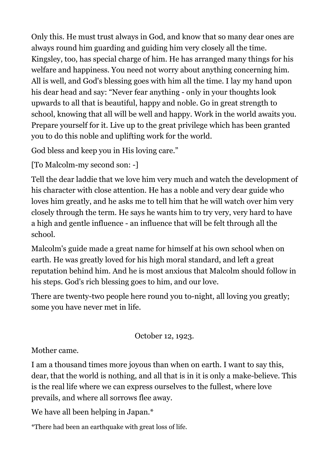Only this. He must trust always in God, and know that so many dear ones are always round him guarding and guiding him very closely all the time. Kingsley, too, has special charge of him. He has arranged many things for his welfare and happiness. You need not worry about anything concerning him. All is well, and God's blessing goes with him all the time. I lay my hand upon his dear head and say: " Never fear anything - only in your thoughts look upwards to all that is beautiful, happy and noble. Go in great strength to school, knowing that all will be well and happy. Work in the world awaits you. Prepare yourself for it. Live up to the great privilege which has been granted you to do this noble and uplifting work for the world.

God bless and keep you in His loving care."

[To Malcolm-my second son: -]

Tell the dear laddie that we love him very much and watch the development of his character with close attention. He has a noble and very dear guide who loves him greatly, and he asks me to tell him that he will watch over him very closely through the term. He says he wants him to try very, very hard to have a high and gentle influence - an influence that will be felt through all the school.

Malcolm's guide made a great name for himself at his own school when on earth. He was greatly loved for his high moral standard, and left a great reputation behind him. And he is most anxious that Malcolm should follow in his steps. God's rich blessing goes to him, and our love.

There are twenty-two people here round you to-night, all loving you greatly; some you have never met in life.

October 12, 1923.

Mother came.

I am a thousand times more joyous than when on earth. I want to say this, dear, that the world is nothing, and all that is in it is only a make-believe. This is the real life where we can express ourselves to the fullest, where love prevails, and where all sorrows flee away.

We have all been helping in Japan.\*

\*There had been an earthquake with great loss of life.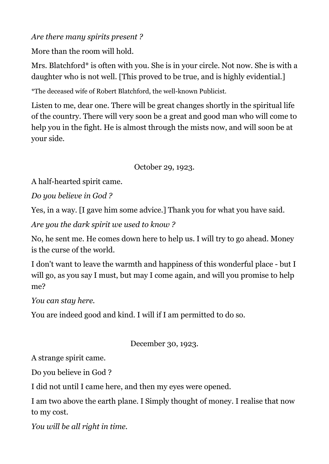*Are there many spirits present ?* 

More than the room will hold.

Mrs. Blatchford\* is often with you. She is in your circle. Not now. She is with a daughter who is not well. [This proved to be true, and is highly evidential.]

\*The deceased wife of Robert Blatchford, the well-known Publicist.

Listen to me, dear one. There will be great changes shortly in the spiritual life of the country. There will very soon be a great and good man who will come to help you in the fight. He is almost through the mists now, and will soon be at your side.

October 29, 1923.

A half-hearted spirit came.

*Do you believe in God ?* 

Yes, in a way. [I gave him some advice.] Thank you for what you have said.

*Are you the dark spirit we used to know ?* 

No, he sent me. He comes down here to help us. I will try to go ahead. Money is the curse of the world.

I don't want to leave the warmth and happiness of this wonderful place - but I will go, as you say I must, but may I come again, and will you promise to help me?

*You can stay here.* 

You are indeed good and kind. I will if I am permitted to do so.

December 30, 1923.

A strange spirit came.

Do you believe in God ?

I did not until I came here, and then my eyes were opened.

I am two above the earth plane. I Simply thought of money. I realise that now to my cost.

*You will be all right in time.*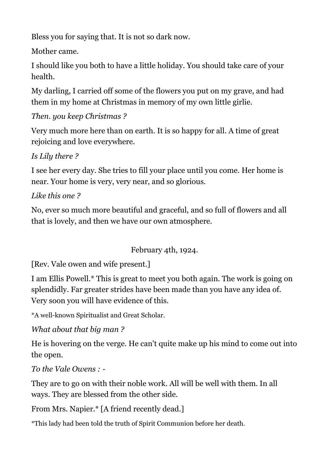Bless you for saying that. It is not so dark now.

Mother came.

I should like you both to have a little holiday. You should take care of your health.

My darling, I carried off some of the flowers you put on my grave, and had them in my home at Christmas in memory of my own little girlie.

*Then. you keep Christmas ?* 

Very much more here than on earth. It is so happy for all. A time of great rejoicing and love everywhere.

# *Is Lily there ?*

I see her every day. She tries to fill your place until you come. Her home is near. Your home is very, very near, and so glorious.

*Like this one ?* 

No, ever so much more beautiful and graceful, and so full of flowers and all that is lovely, and then we have our own atmosphere.

February 4th, 1924.

[Rev. Vale 0wen and wife present.]

I am Ellis Powell.\* This is great to meet you both again. The work is going on splendidly. Far greater strides have been made than you have any idea of. Very soon you will have evidence of this.

\*A well-known Spiritualist and Great Scholar.

*What about that big man ?* 

He is hovering on the verge. He can't quite make up his mind to come out into the open.

*To the Vale Owens : -* 

They are to go on with their noble work. All will be well with them. In all ways. They are blessed from the other side.

From Mrs. Napier.\* [A friend recently dead.]

\*This lady had been told the truth of Spirit Communion before her death.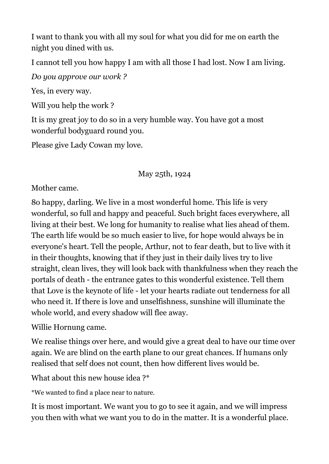I want to thank you with all my soul for what you did for me on earth the night you dined with us.

I cannot tell you how happy I am with all those I had lost. Now I am living.

*Do you approve our work ?* 

Yes, in every way.

Will you help the work ?

It is my great joy to do so in a very humble way. You have got a most wonderful bodyguard round you.

Please give Lady Cowan my love.

## May 25th, 1924

Mother came.

8o happy, darling. We live in a most wonderful home. This life is very wonderful, so full and happy and peaceful. Such bright faces everywhere, all living at their best. We long for humanity to realise what lies ahead of them. The earth life would be so much easier to live, for hope would always be in everyone's heart. Tell the people, Arthur, not to fear death, but to live with it in their thoughts, knowing that if they just in their daily lives try to live straight, clean lives, they will look back with thankfulness when they reach the portals of death - the entrance gates to this wonderful existence. Tell them that Love is the keynote of life - let your hearts radiate out tenderness for all who need it. If there is love and unselfishness, sunshine will illuminate the whole world, and every shadow will flee away.

Willie Hornung came.

We realise things over here, and would give a great deal to have our time over again. We are blind on the earth plane to our great chances. If humans only realised that self does not count, then how different lives would be.

What about this new house idea ?\*

\*We wanted to find a place near to nature.

It is most important. We want you to go to see it again, and we will impress you then with what we want you to do in the matter. It is a wonderful place.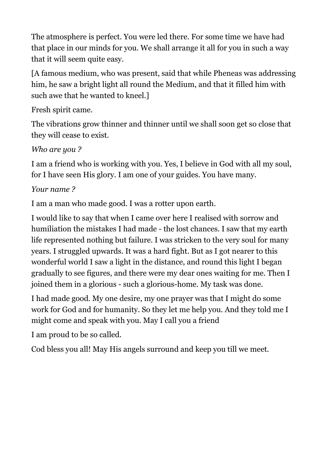The atmosphere is perfect. You were led there. For some time we have had that place in our minds for you. We shall arrange it all for you in such a way that it will seem quite easy.

[A famous medium, who was present, said that while Pheneas was addressing him, he saw a bright light all round the Medium, and that it filled him with such awe that he wanted to kneel.]

Fresh spirit came.

The vibrations grow thinner and thinner until we shall soon get so close that they will cease to exist.

*Who are you ?* 

I am a friend who is working with you. Yes, I believe in God with all my soul, for I have seen His glory. I am one of your guides. You have many.

# *Your name ?*

I am a man who made good. I was a rotter upon earth.

I would like to say that when I came over here I realised with sorrow and humiliation the mistakes I had made - the lost chances. I saw that my earth life represented nothing but failure. I was stricken to the very soul for many years. I struggled upwards. It was a hard fight. But as I got nearer to this wonderful world I saw a light in the distance, and round this light I began gradually to see figures, and there were my dear ones waiting for me. Then I joined them in a glorious - such a glorious-home. My task was done.

I had made good. My one desire, my one prayer was that I might do some work for God and for humanity. So they let me help you. And they told me I might come and speak with you. May I call you a friend

I am proud to be so called.

Cod bless you all! May His angels surround and keep you till we meet.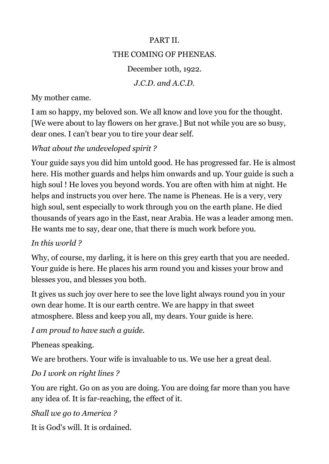# PART II. THE COMING OF PHENEAS. December 10th, 1922. *J.C.D. and A.C.D.*

My mother came.

I am so happy, my beloved son. We all know and love you for the thought. [We were about to lay flowers on her grave.] But not while you are so busy, dear ones. I can't bear you to tire your dear self.

# *What about the undeveloped spirit ?*

Your guide says you did him untold good. He has progressed far. He is almost here. His mother guards and helps him onwards and up. Your guide is such a high soul ! He loves you beyond words. You are often with him at night. He helps and instructs you over here. The name is Pheneas. He is a very, very high soul, sent especially to work through you on the earth plane. He died thousands of years ago in the East, near Arabia. He was a leader among men. He wants me to say, dear one, that there is much work before you.

## *In this world ?*

Why, of course, my darling, it is here on this grey earth that you are needed. Your guide is here. He places his arm round you and kisses your brow and blesses you, and blesses you both.

It gives us such joy over here to see the love light always round you in your own dear home. It is our earth centre. We are happy in that sweet atmosphere. Bless and keep you all, my dears. Your guide is here.

*I am proud to have such a guide.* 

Pheneas speaking.

We are brothers. Your wife is invaluable to us. We use her a great deal.

*Do I work on right lines ?* 

You are right. Go on as you are doing. You are doing far more than you have any idea of. It is far-reaching, the effect of it.

*Shall we go to America ?* 

It is God's will. It is ordained.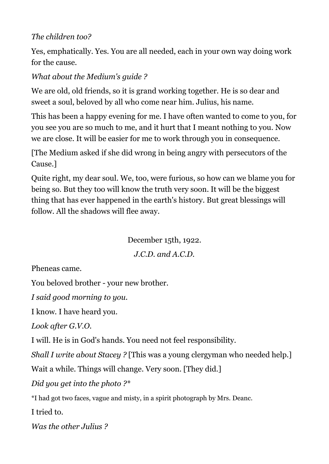# *The children too?*

Yes, emphatically. Yes. You are all needed, each in your own way doing work for the cause.

# *What about the Medium's guide ?*

We are old, old friends, so it is grand working together. He is so dear and sweet a soul, beloved by all who come near him. Julius, his name.

This has been a happy evening for me. I have often wanted to come to you, for you see you are so much to me, and it hurt that I meant nothing to you. Now we are close. It will be easier for me to work through you in consequence.

[The Medium asked if she did wrong in being angry with persecutors of the Cause.]

Quite right, my dear soul. We, too, were furious, so how can we blame you for being so. But they too will know the truth very soon. It will be the biggest thing that has ever happened in the earth's history. But great blessings will follow. All the shadows will flee away.

December 15th, 1922.

*J.C.D. and A.C.D.* 

Pheneas came.

You beloved brother - your new brother.

*I said good morning to you.* 

I know. I have heard you.

*Look after G.V.O.* 

I will. He is in God's hands. You need not feel responsibility.

*Shall I write about Stacey ?* [This was a young clergyman who needed help.]

Wait a while. Things will change. Very soon. [They did.]

*Did you get into the photo ?\** 

\*I had got two faces, vague and misty, in a spirit photograph by Mrs. Deanc.

I tried to.

*Was the other Julius ?*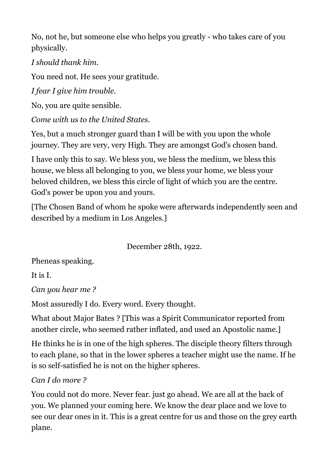No, not he, but someone else who helps you greatly - who takes care of you physically.

*I should thank him.* 

You need not. He sees your gratitude.

*I fear I give him trouble.* 

No, you are quite sensible.

*Come with us to the United States.* 

Yes, but a much stronger guard than I will be with you upon the whole journey. They are very, very High. They are amongst God's chosen band.

I have only this to say. We bless you, we bless the medium, we bless this house, we bless all belonging to you, we bless your home, we bless your beloved children, we bless this circle of light of which you are the centre. God's power be upon you and yours.

[The Chosen Band of whom he spoke were afterwards independently seen and described by a medium in Los Angeles.]

December 28th, 1922.

Pheneas speaking.

It is I.

*Can you hear me ?* 

Most assuredly I do. Every word. Every thought.

What about Major Bates ? [This was a Spirit Communicator reported from another circle, who seemed rather inflated, and used an Apostolic name.]

He thinks he is in one of the high spheres. The disciple theory filters through to each plane, so that in the lower spheres a teacher might use the name. If he is so self-satisfied he is not on the higher spheres.

#### *Can I do more ?*

You could not do more. Never fear. just go ahead. We are all at the back of you. We planned your coming here. We know the dear place and we love to see our dear ones in it. This is a great centre for us and those on the grey earth plane.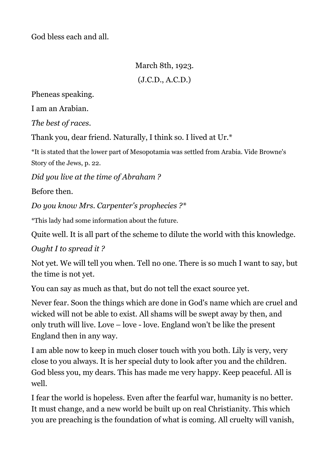March 8th, 1923.

(J.C.D., A.C.D.)

Pheneas speaking.

I am an Arabian.

*The best of races.* 

Thank you, dear friend. Naturally, I think so. I lived at Ur.\*

\*It is stated that the lower part of Mesopotamia was settled from Arabia. Vide Browne's Story of the Jews, p. 22.

*Did you live at the time of Abraham ?* 

Before then.

*Do you know Mrs. Carpenter's prophecies ?\** 

\*This lady had some information about the future.

Quite well. It is all part of the scheme to dilute the world with this knowledge.

#### *Ought I to spread it ?*

Not yet. We will tell you when. Tell no one. There is so much I want to say, but the time is not yet.

You can say as much as that, but do not tell the exact source yet.

Never fear. Soon the things which are done in God's name which are cruel and wicked will not be able to exist. All shams will be swept away by then, and only truth will live. Love – love - love. England won't be like the present England then in any way.

I am able now to keep in much closer touch with you both. Lily is very, very close to you always. It is her special duty to look after you and the children. God bless you, my dears. This has made me very happy. Keep peaceful. All is well.

I fear the world is hopeless. Even after the fearful war, humanity is no better. It must change, and a new world be built up on real Christianity. This which you are preaching is the foundation of what is coming. All cruelty will vanish,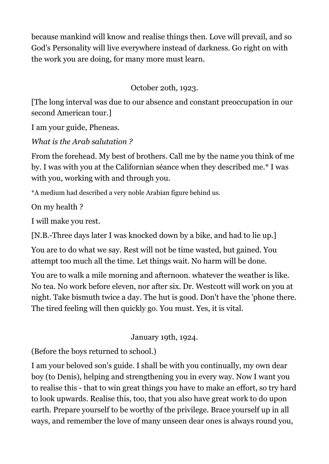because mankind will know and realise things then. Love will prevail, and so God's Personality will live everywhere instead of darkness. Go right on with the work you are doing, for many more must learn.

October 2oth, 1923.

[The long interval was due to our absence and constant preoccupation in our second American tour.]

I am your guide, Pheneas.

*What is the Arab salutation ?* 

From the forehead. My best of brothers. Call me by the name you think of me by. I was with you at the Californian séance when they described me.\* I was with you, working with and through you.

\*A medium had described a very noble Arabian figure behind us.

On my health ?

I will make you rest.

[N.B.-Three days later I was knocked down by a bike, and had to lie up.]

You are to do what we say. Rest will not be time wasted, but gained. You attempt too much all the time. Let things wait. No harm will be done.

You are to walk a mile morning and afternoon. whatever the weather is like. No tea. No work before eleven, nor after six. Dr. Westcott will work on you at night. Take bismuth twice a day. The hut is good. Don't have the 'phone there. The tired feeling will then quickly go. You must. Yes, it is vital.

January 19th, 1924.

(Before the boys returned to school.)

I am your beloved son's guide. I shall be with you continually, my own dear boy (to Denis), helping and strengthening you in every way. Now I want you to realise this - that to win great things you have to make an effort, so try hard to look upwards. Realise this, too, that you also have great work to do upon earth. Prepare yourself to be worthy of the privilege. Brace yourself up in all ways, and remember the love of many unseen dear ones is always round you,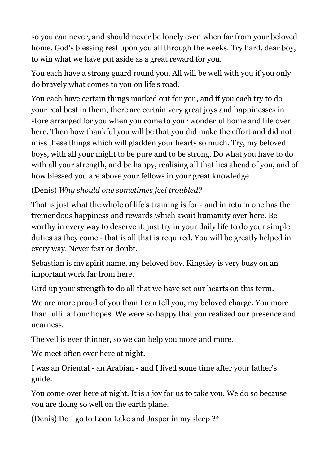so you can never, and should never be lonely even when far from your beloved home. God's blessing rest upon you all through the weeks. Try hard, dear boy, to win what we have put aside as a great reward for you.

You each have a strong guard round you. All will be well with you if you only do bravely what comes to you on life's road.

You each have certain things marked out for you, and if you each try to do your real best in them, there are certain very great joys and happinesses in store arranged for you when you come to your wonderful home and life over here. Then how thankful you will be that you did make the effort and did not miss these things which will gladden your hearts so much. Try, my beloved boys, with all your might to be pure and to be strong. Do what you have to do with all your strength, and be happy, realising all that lies ahead of you, and of how blessed you are above your fellows in your great knowledge.

## (Denis) *Why should one sometimes feel troubled?*

That is just what the whole of life's training is for - and in return one has the tremendous happiness and rewards which await humanity over here. Be worthy in every way to deserve it. just try in your daily life to do your simple duties as they come - that is all that is required. You will be greatly helped in every way. Never fear or doubt.

Sebastian is my spirit name, my beloved boy. Kingsley is very busy on an important work far from here.

Gird up your strength to do all that we have set our hearts on this term.

We are more proud of you than I can tell you, my beloved charge. You more than fulfil all our hopes. We were so happy that you realised our presence and nearness.

The veil is ever thinner, so we can help you more and more.

We meet often over here at night.

I was an Oriental - an Arabian - and I lived some time after your father's guide.

You come over here at night. It is a joy for us to take you. We do so because you are doing so well on the earth plane.

(Denis) Do I go to Loon Lake and Jasper in my sleep ?\*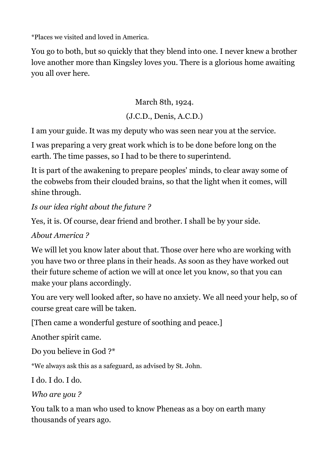\*Places we visited and loved in America.

You go to both, but so quickly that they blend into one. I never knew a brother love another more than Kingsley loves you. There is a glorious home awaiting you all over here.

March 8th, 1924.

# (J.C.D., Denis, A.C.D.)

I am your guide. It was my deputy who was seen near you at the service.

I was preparing a very great work which is to be done before long on the earth. The time passes, so I had to be there to superintend.

It is part of the awakening to prepare peoples' minds, to clear away some of the cobwebs from their clouded brains, so that the light when it comes, will shine through.

*Is our idea right about the future ?* 

Yes, it is. Of course, dear friend and brother. I shall be by your side.

*About America ?* 

We will let you know later about that. Those over here who are working with you have two or three plans in their heads. As soon as they have worked out their future scheme of action we will at once let you know, so that you can make your plans accordingly.

You are very well looked after, so have no anxiety. We all need your help, so of course great care will be taken.

[Then came a wonderful gesture of soothing and peace.]

Another spirit came.

Do you believe in God ?\*

\*We always ask this as a safeguard, as advised by St. John.

I do. I do. I do.

*Who are you ?* 

You talk to a man who used to know Pheneas as a boy on earth many thousands of years ago.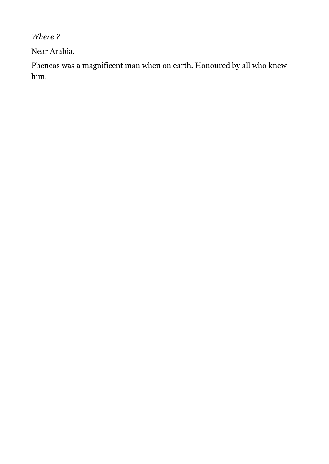*Where ?* 

Near Arabia.

Pheneas was a magnificent man when on earth. Honoured by all who knew him.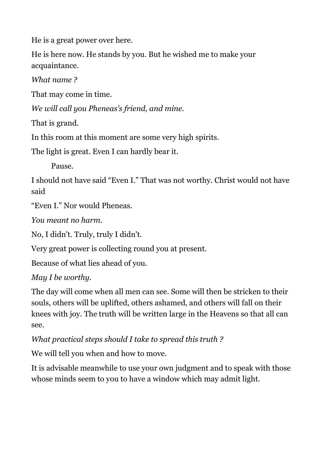He is a great power over here.

He is here now. He stands by you. But he wished me to make your acquaintance.

*What name ?* 

That may come in time.

*We will call you Pheneas's friend, and mine.* 

That is grand.

In this room at this moment are some very high spirits.

The light is great. Even I can hardly bear it.

Pause.

I should not have said " Even I." That was not worthy. Christ would not have said

" Even I." Nor would Pheneas.

*You meant no harm.* 

No, I didn't. Truly, truly I didn't.

Very great power is collecting round you at present.

Because of what lies ahead of you.

*May I be worthy.* 

The day will come when all men can see. Some will then be stricken to their souls, others will be uplifted, others ashamed, and others will fall on their knees with joy. The truth will be written large in the Heavens so that all can see.

*What practical steps should I take to spread this truth ?* 

We will tell you when and how to move.

It is advisable meanwhile to use your own judgment and to speak with those whose minds seem to you to have a window which may admit light.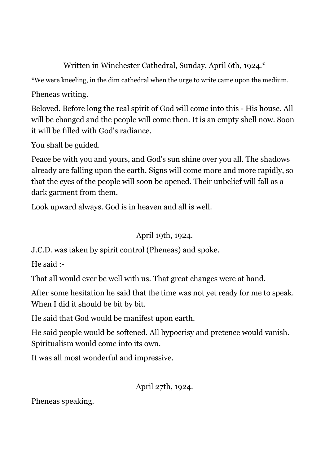Written in Winchester Cathedral, Sunday, April 6th, 1924.\*

\*We were kneeling, in the dim cathedral when the urge to write came upon the medium.

Pheneas writing.

Beloved. Before long the real spirit of God will come into this - His house. All will be changed and the people will come then. It is an empty shell now. Soon it will be filled with God's radiance.

You shall be guided.

Peace be with you and yours, and God's sun shine over you all. The shadows already are falling upon the earth. Signs will come more and more rapidly, so that the eyes of the people will soon be opened. Their unbelief will fall as a dark garment from them.

Look upward always. God is in heaven and all is well.

#### April 19th, 1924.

J.C.D. was taken by spirit control (Pheneas) and spoke.

He said :-

That all would ever be well with us. That great changes were at hand.

After some hesitation he said that the time was not yet ready for me to speak. When I did it should be bit by bit.

He said that God would be manifest upon earth.

He said people would be softened. All hypocrisy and pretence would vanish. Spiritualism would come into its own.

It was all most wonderful and impressive.

# April 27th, 1924.

Pheneas speaking.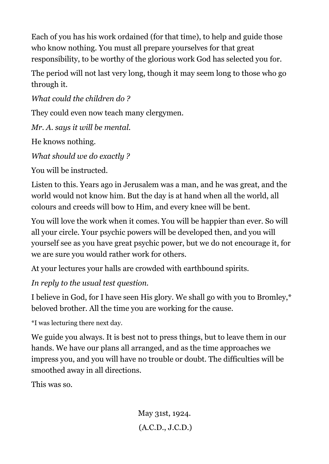Each of you has his work ordained (for that time), to help and guide those who know nothing. You must all prepare yourselves for that great responsibility, to be worthy of the glorious work God has selected you for.

The period will not last very long, though it may seem long to those who go through it.

*What could the children do ?* 

They could even now teach many clergymen.

*Mr. A. says it will be mental.* 

He knows nothing.

*What should we do exactly ?* 

You will be instructed.

Listen to this. Years ago in Jerusalem was a man, and he was great, and the world would not know him. But the day is at hand when all the world, all colours and creeds will bow to Him, and every knee will be bent.

You will love the work when it comes. You will be happier than ever. So will all your circle. Your psychic powers will be developed then, and you will yourself see as you have great psychic power, but we do not encourage it, for we are sure you would rather work for others.

At your lectures your halls are crowded with earthbound spirits.

*In reply to the usual test question.* 

I believe in God, for I have seen His glory. We shall go with you to Bromley,\* beloved brother. All the time you are working for the cause.

\*I was lecturing there next day.

We guide you always. It is best not to press things, but to leave them in our hands. We have our plans all arranged, and as the time approaches we impress you, and you will have no trouble or doubt. The difficulties will be smoothed away in all directions.

This was so.

May 31st, 1924. (A.C.D., J.C.D.)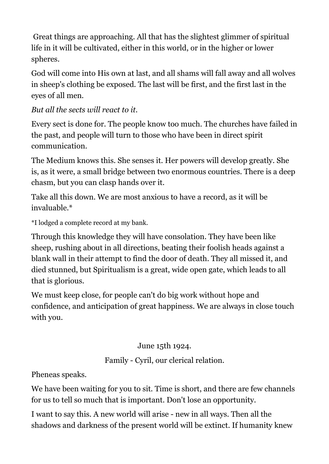Great things are approaching. All that has the slightest glimmer of spiritual life in it will be cultivated, either in this world, or in the higher or lower spheres.

God will come into His own at last, and all shams will fall away and all wolves in sheep's clothing be exposed. The last will be first, and the first last in the eyes of all men.

*But all the sects will react to it.* 

Every sect is done for. The people know too much. The churches have failed in the past, and people will turn to those who have been in direct spirit communication.

The Medium knows this. She senses it. Her powers will develop greatly. She is, as it were, a small bridge between two enormous countries. There is a deep chasm, but you can clasp hands over it.

Take all this down. We are most anxious to have a record, as it will be invaluable.\*

\*I lodged a complete record at my bank.

Through this knowledge they will have consolation. They have been like sheep, rushing about in all directions, beating their foolish heads against a blank wall in their attempt to find the door of death. They all missed it, and died stunned, but Spiritualism is a great, wide open gate, which leads to all that is glorious.

We must keep close, for people can't do big work without hope and confidence, and anticipation of great happiness. We are always in close touch with you.

June 15th 1924.

Family - Cyril, our clerical relation.

Pheneas speaks.

We have been waiting for you to sit. Time is short, and there are few channels for us to tell so much that is important. Don't lose an opportunity.

I want to say this. A new world will arise - new in all ways. Then all the shadows and darkness of the present world will be extinct. If humanity knew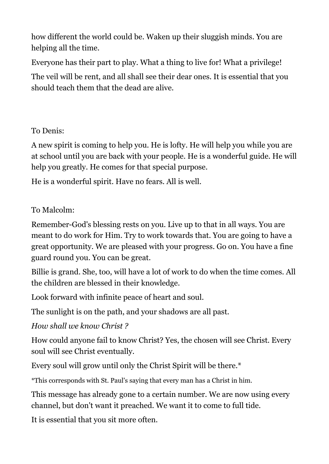how different the world could be. Waken up their sluggish minds. You are helping all the time.

Everyone has their part to play. What a thing to live for! What a privilege!

The veil will be rent, and all shall see their dear ones. It is essential that you should teach them that the dead are alive.

### To Denis:

A new spirit is coming to help you. He is lofty. He will help you while you are at school until you are back with your people. He is a wonderful guide. He will help you greatly. He comes for that special purpose.

He is a wonderful spirit. Have no fears. All is well.

### To Malcolm:

Remember-God's blessing rests on you. Live up to that in all ways. You are meant to do work for Him. Try to work towards that. You are going to have a great opportunity. We are pleased with your progress. Go on. You have a fine guard round you. You can be great.

Billie is grand. She, too, will have a lot of work to do when the time comes. All the children are blessed in their knowledge.

Look forward with infinite peace of heart and soul.

The sunlight is on the path, and your shadows are all past.

*How shall we know Christ ?* 

How could anyone fail to know Christ? Yes, the chosen will see Christ. Every soul will see Christ eventually.

Every soul will grow until only the Christ Spirit will be there.\*

\*This corresponds with St. Paul's saying that every man has a Christ in him.

This message has already gone to a certain number. We are now using every channel, but don't want it preached. We want it to come to full tide.

It is essential that you sit more often.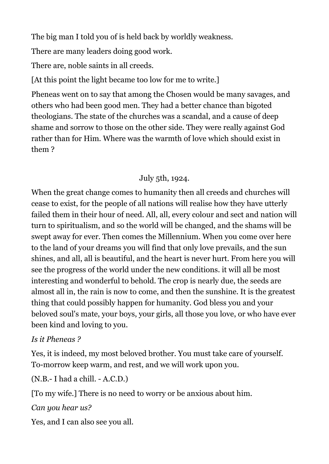The big man I told you of is held back by worldly weakness.

There are many leaders doing good work.

There are, noble saints in all creeds.

[At this point the light became too low for me to write.]

Pheneas went on to say that among the Chosen would be many savages, and others who had been good men. They had a better chance than bigoted theologians. The state of the churches was a scandal, and a cause of deep shame and sorrow to those on the other side. They were really against God rather than for Him. Where was the warmth of love which should exist in them ?

### July 5th, 1924.

When the great change comes to humanity then all creeds and churches will cease to exist, for the people of all nations will realise how they have utterly failed them in their hour of need. All, all, every colour and sect and nation will turn to spiritualism, and so the world will be changed, and the shams will be swept away for ever. Then comes the Millennium. When you come over here to the land of your dreams you will find that only love prevails, and the sun shines, and all, all is beautiful, and the heart is never hurt. From here you will see the progress of the world under the new conditions. it will all be most interesting and wonderful to behold. The crop is nearly due, the seeds are almost all in, the rain is now to come, and then the sunshine. It is the greatest thing that could possibly happen for humanity. God bless you and your beloved soul's mate, your boys, your girls, all those you love, or who have ever been kind and loving to you.

#### *Is it Pheneas ?*

Yes, it is indeed, my most beloved brother. You must take care of yourself. To-morrow keep warm, and rest, and we will work upon you.

(N.B.- I had a chill. - A.C.D.)

[To my wife.] There is no need to worry or be anxious about him.

*Can you hear us?* 

Yes, and I can also see you all.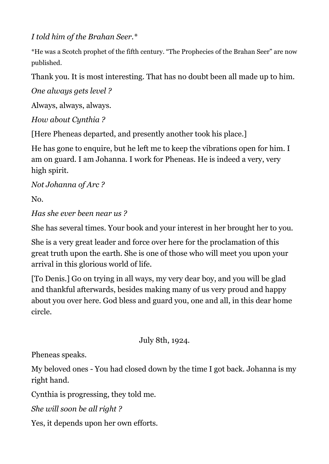*I told him of the Brahan Seer.\** 

\*He was a Scotch prophet of the fifth century. " The Prophecies of the Brahan Seer" are now published.

Thank you. It is most interesting. That has no doubt been all made up to him.

*One always gets level ?* 

Always, always, always.

*How about Cynthia ?* 

[Here Pheneas departed, and presently another took his place.]

He has gone to enquire, but he left me to keep the vibrations open for him. I am on guard. I am Johanna. I work for Pheneas. He is indeed a very, very high spirit.

*Not Johanna of Arc ?* 

No.

*Has she ever been near us ?* 

She has several times. Your book and your interest in her brought her to you.

She is a very great leader and force over here for the proclamation of this great truth upon the earth. She is one of those who will meet you upon your arrival in this glorious world of life.

[To Denis.] Go on trying in all ways, my very dear boy, and you will be glad and thankful afterwards, besides making many of us very proud and happy about you over here. God bless and guard you, one and all, in this dear home circle.

July 8th, 1924.

Pheneas speaks.

My beloved ones - You had closed down by the time I got back. Johanna is my right hand.

Cynthia is progressing, they told me.

*She will soon be all right ?* 

Yes, it depends upon her own efforts.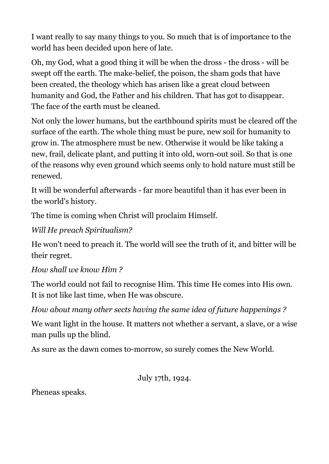I want really to say many things to you. So much that is of importance to the world has been decided upon here of late.

Oh, my God, what a good thing it will be when the dross - the dross - will be swept off the earth. The make-belief, the poison, the sham gods that have been created, the theology which has arisen like a great cloud between humanity and God, the Father and his children. That has got to disappear. The face of the earth must be cleaned.

Not only the lower humans, but the earthbound spirits must be cleared off the surface of the earth. The whole thing must be pure, new soil for humanity to grow in. The atmosphere must be new. Otherwise it would be like taking a new, frail, delicate plant, and putting it into old, worn-out soil. So that is one of the reasons why even ground which seems only to hold nature must still be renewed.

It will be wonderful afterwards - far more beautiful than it has ever been in the world's history.

The time is coming when Christ will proclaim Himself.

*Will He preach Spiritualism?* 

He won't need to preach it. The world will see the truth of it, and bitter will be their regret.

#### *How shall we know Him ?*

The world could not fail to recognise Him. This time He comes into His own. It is not like last time, when He was obscure.

*How about many other sects having the same idea of future happenings ?* 

We want light in the house. It matters not whether a servant, a slave, or a wise man pulls up the blind.

As sure as the dawn comes to-morrow, so surely comes the New World.

July 17th, 1924.

Pheneas speaks.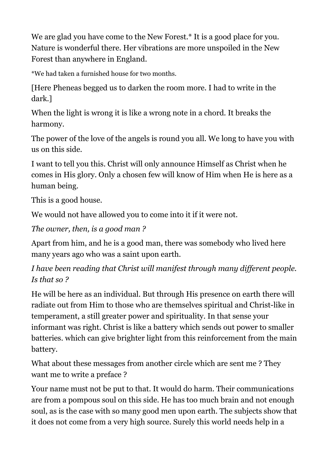We are glad you have come to the New Forest.\* It is a good place for you. Nature is wonderful there. Her vibrations are more unspoiled in the New Forest than anywhere in England.

\*We had taken a furnished house for two months.

[Here Pheneas begged us to darken the room more. I had to write in the dark.]

When the light is wrong it is like a wrong note in a chord. It breaks the harmony.

The power of the love of the angels is round you all. We long to have you with us on this side.

I want to tell you this. Christ will only announce Himself as Christ when he comes in His glory. Only a chosen few will know of Him when He is here as a human being.

This is a good house.

We would not have allowed you to come into it if it were not.

*The owner, then, is a good man ?* 

Apart from him, and he is a good man, there was somebody who lived here many years ago who was a saint upon earth.

*I have been reading that Christ will manifest through many different people. Is that so ?* 

He will be here as an individual. But through His presence on earth there will radiate out from Him to those who are themselves spiritual and Christ-like in temperament, a still greater power and spirituality. In that sense your informant was right. Christ is like a battery which sends out power to smaller batteries. which can give brighter light from this reinforcement from the main battery.

What about these messages from another circle which are sent me ? They want me to write a preface ?

Your name must not be put to that. It would do harm. Their communications are from a pompous soul on this side. He has too much brain and not enough soul, as is the case with so many good men upon earth. The subjects show that it does not come from a very high source. Surely this world needs help in a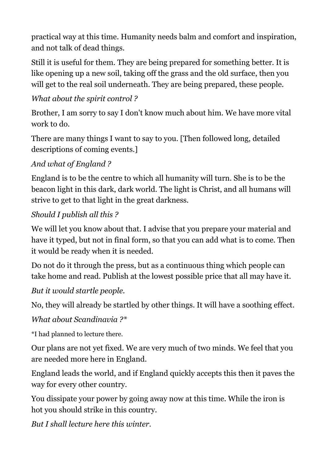practical way at this time. Humanity needs balm and comfort and inspiration, and not talk of dead things.

Still it is useful for them. They are being prepared for something better. It is like opening up a new soil, taking off the grass and the old surface, then you will get to the real soil underneath. They are being prepared, these people.

### *What about the spirit control ?*

Brother, I am sorry to say I don't know much about him. We have more vital work to do.

There are many things I want to say to you. [Then followed long, detailed descriptions of coming events.]

### *And what of England ?*

England is to be the centre to which all humanity will turn. She is to be the beacon light in this dark, dark world. The light is Christ, and all humans will strive to get to that light in the great darkness.

#### *Should I publish all this ?*

We will let you know about that. I advise that you prepare your material and have it typed, but not in final form, so that you can add what is to come. Then it would be ready when it is needed.

Do not do it through the press, but as a continuous thing which people can take home and read. Publish at the lowest possible price that all may have it.

#### *But it would startle people.*

No, they will already be startled by other things. It will have a soothing effect.

#### *What about Scandinavia ?\**

\*I had planned to lecture there.

Our plans are not yet fixed. We are very much of two minds. We feel that you are needed more here in England.

England leads the world, and if England quickly accepts this then it paves the way for every other country.

You dissipate your power by going away now at this time. While the iron is hot you should strike in this country.

*But I shall lecture here this winter.*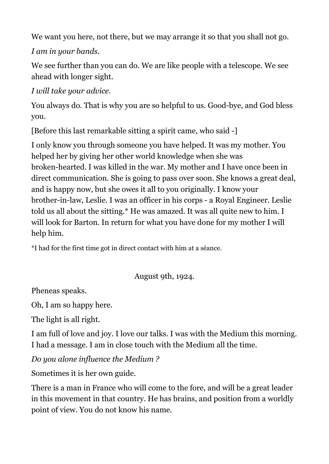We want you here, not there, but we may arrange it so that you shall not go.

*I am in your bands.* 

We see further than you can do. We are like people with a telescope. We see ahead with longer sight.

*I will take your advice.* 

You always do. That is why you are so helpful to us. Good-bye, and God bless you.

[Before this last remarkable sitting a spirit came, who said -]

I only know you through someone you have helped. It was my mother. You helped her by giving her other world knowledge when she was broken-hearted. I was killed in the war. My mother and I have once been in direct communication. She is going to pass over soon. She knows a great deal, and is happy now, but she owes it all to you originally. I know your brother-in-law, Leslie. I was an officer in his corps - a Royal Engineer. Leslie told us all about the sitting.\* He was amazed. It was all quite new to him. I will look for Barton. In return for what you have done for my mother I will help him.

\*I had for the first time got in direct contact with him at a séance.

August 9th, 1924.

Pheneas speaks.

Oh, I am so happy here.

The light is all right.

I am full of love and joy. I love our talks. I was with the Medium this morning. I had a message. I am in close touch with the Medium all the time.

*Do you alone influence the Medium ?* 

Sometimes it is her own guide.

There is a man in France who will come to the fore, and will be a great leader in this movement in that country. He has brains, and position from a worldly point of view. You do not know his name.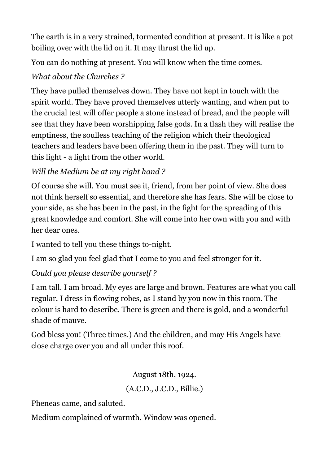The earth is in a very strained, tormented condition at present. It is like a pot boiling over with the lid on it. It may thrust the lid up.

You can do nothing at present. You will know when the time comes.

# *What about the Churches ?*

They have pulled themselves down. They have not kept in touch with the spirit world. They have proved themselves utterly wanting, and when put to the crucial test will offer people a stone instead of bread, and the people will see that they have been worshipping false gods. In a flash they will realise the emptiness, the soulless teaching of the religion which their theological teachers and leaders have been offering them in the past. They will turn to this light - a light from the other world.

## *Will the Medium be at my right hand ?*

Of course she will. You must see it, friend, from her point of view. She does not think herself so essential, and therefore she has fears. She will be close to your side, as she has been in the past, in the fight for the spreading of this great knowledge and comfort. She will come into her own with you and with her dear ones.

I wanted to tell you these things to-night.

I am so glad you feel glad that I come to you and feel stronger for it.

### *Could you please describe yourself ?*

I am tall. I am broad. My eyes are large and brown. Features are what you call regular. I dress in flowing robes, as I stand by you now in this room. The colour is hard to describe. There is green and there is gold, and a wonderful shade of mauve.

God bless you! (Three times.) And the children, and may His Angels have close charge over you and all under this roof.

August 18th, 1924.

(A.C.D., J.C.D., Billie.)

Pheneas came, and saluted.

Medium complained of warmth. Window was opened.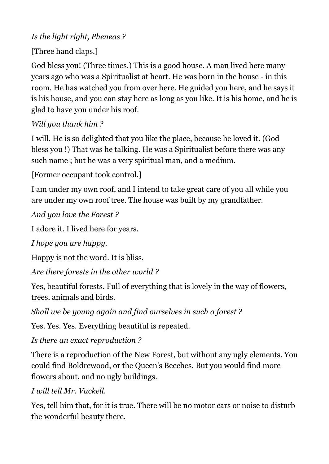*Is the light right, Pheneas ?* 

[Three hand claps.]

God bless you! (Three times.) This is a good house. A man lived here many years ago who was a Spiritualist at heart. He was born in the house - in this room. He has watched you from over here. He guided you here, and he says it is his house, and you can stay here as long as you like. It is his home, and he is glad to have you under his roof.

# *Will you thank him ?*

I will. He is so delighted that you like the place, because he loved it. (God bless you !) That was he talking. He was a Spiritualist before there was any such name ; but he was a very spiritual man, and a medium.

[Former occupant took control.]

I am under my own roof, and I intend to take great care of you all while you are under my own roof tree. The house was built by my grandfather.

*And you love the Forest ?* 

I adore it. I lived here for years.

*I hope you are happy.* 

Happy is not the word. It is bliss.

*Are there forests in the other world ?* 

Yes, beautiful forests. Full of everything that is lovely in the way of flowers, trees, animals and birds.

*Shall we be young again and find ourselves in such a forest ?* 

Yes. Yes. Yes. Everything beautiful is repeated.

*Is there an exact reproduction ?* 

There is a reproduction of the New Forest, but without any ugly elements. You could find Boldrewood, or the Queen's Beeches. But you would find more flowers about, and no ugly buildings.

*I will tell Mr. Vackell.* 

Yes, tell him that, for it is true. There will be no motor cars or noise to disturb the wonderful beauty there.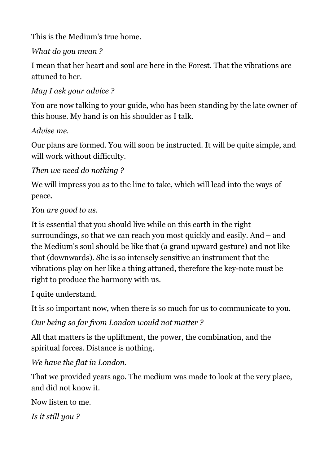This is the Medium's true home.

*What do you mean ?* 

I mean that her heart and soul are here in the Forest. That the vibrations are attuned to her.

*May I ask your advice ?* 

You are now talking to your guide, who has been standing by the late owner of this house. My hand is on his shoulder as I talk.

*Advise me.* 

Our plans are formed. You will soon be instructed. It will be quite simple, and will work without difficulty.

*Then we need do nothing ?* 

We will impress you as to the line to take, which will lead into the ways of peace.

*You are good to us.* 

It is essential that you should live while on this earth in the right surroundings, so that we can reach you most quickly and easily. And  $-$  and the Medium's soul should be like that (a grand upward gesture) and not like that (downwards). She is so intensely sensitive an instrument that the vibrations play on her like a thing attuned, therefore the key-note must be right to produce the harmony with us.

I quite understand.

It is so important now, when there is so much for us to communicate to you.

*Our being so far from London would not matter ?* 

All that matters is the upliftment, the power, the combination, and the spiritual forces. Distance is nothing.

*We have the flat in London.* 

That we provided years ago. The medium was made to look at the very place, and did not know it.

Now listen to me.

*Is it still you ?*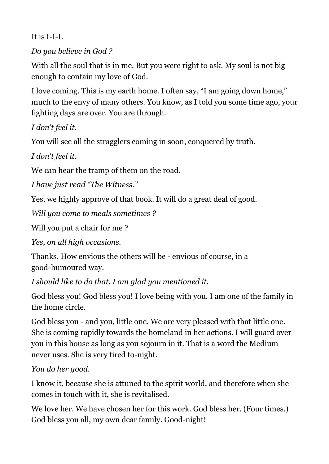It is I-I-I.

*Do you believe in God ?* 

With all the soul that is in me. But you were right to ask. My soul is not big enough to contain my love of God.

I love coming. This is my earth home. I often say, "I am going down home," much to the envy of many others. You know, as I told you some time ago, your fighting days are over. You are through.

*I don't feel it.* 

You will see all the stragglers coming in soon, conquered by truth.

*I don't feel it.* 

We can hear the tramp of them on the road.

*I have just read "The Witness."*

Yes, we highly approve of that book. It will do a great deal of good.

*Will you come to meals sometimes ?* 

Will you put a chair for me ?

*Yes, on all high occasions.* 

Thanks. How envious the others will be - envious of course, in a good-humoured way.

*I should like to do that. I am glad you mentioned it.* 

God bless you! God bless you! I love being with you. I am one of the family in the home circle.

God bless you - and you, little one. We are very pleased with that little one. She is coming rapidly towards the homeland in her actions. I will guard over you in this house as long as you sojourn in it. That is a word the Medium never uses. She is very tired to-night.

*You do her good.* 

I know it, because she is attuned to the spirit world, and therefore when she comes in touch with it, she is revitalised.

We love her. We have chosen her for this work. God bless her. (Four times.) God bless you all, my own dear family. Good-night!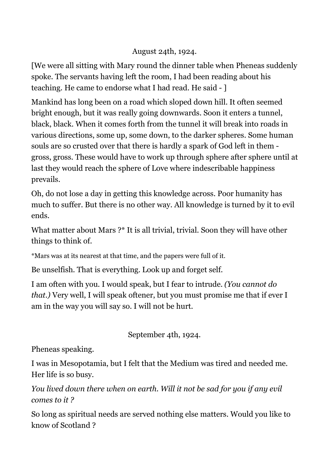### August 24th, 1924.

[We were all sitting with Mary round the dinner table when Pheneas suddenly spoke. The servants having left the room, I had been reading about his teaching. He came to endorse what I had read. He said - ]

Mankind has long been on a road which sloped down hill. It often seemed bright enough, but it was really going downwards. Soon it enters a tunnel, black, black. When it comes forth from the tunnel it will break into roads in various directions, some up, some down, to the darker spheres. Some human souls are so crusted over that there is hardly a spark of God left in them gross, gross. These would have to work up through sphere after sphere until at last they would reach the sphere of Love where indescribable happiness prevails.

Oh, do not lose a day in getting this knowledge across. Poor humanity has much to suffer. But there is no other way. All knowledge is turned by it to evil ends.

What matter about Mars ?\* It is all trivial, trivial. Soon they will have other things to think of.

\*Mars was at its nearest at that time, and the papers were full of it.

Be unselfish. That is everything. Look up and forget self.

I am often with you. I would speak, but I fear to intrude. *(You cannot do that.)* Very well, I will speak oftener, but you must promise me that if ever I am in the way you will say so. I will not be hurt.

September 4th, 1924.

Pheneas speaking.

I was in Mesopotamia, but I felt that the Medium was tired and needed me. Her life is so busy.

*You lived down there when on earth. Will it not be sad for you if any evil comes to it ?* 

So long as spiritual needs are served nothing else matters. Would you like to know of Scotland ?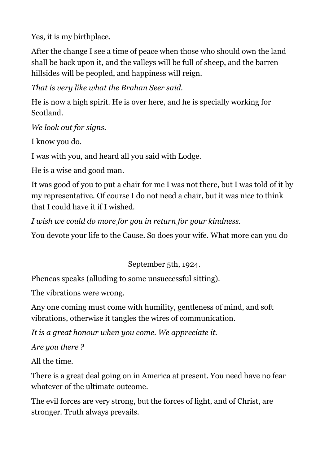Yes, it is my birthplace.

After the change I see a time of peace when those who should own the land shall be back upon it, and the valleys will be full of sheep, and the barren hillsides will be peopled, and happiness will reign.

*That is very like what the Brahan Seer said.* 

He is now a high spirit. He is over here, and he is specially working for Scotland.

*We look out for signs.* 

I know you do.

I was with you, and heard all you said with Lodge.

He is a wise and good man.

It was good of you to put a chair for me I was not there, but I was told of it by my representative. Of course I do not need a chair, but it was nice to think that I could have it if I wished.

*I wish we could do more for you in return for your kindness.* 

You devote your life to the Cause. So does your wife. What more can you do

September 5th, 1924.

Pheneas speaks (alluding to some unsuccessful sitting).

The vibrations were wrong.

Any one coming must come with humility, gentleness of mind, and soft vibrations, otherwise it tangles the wires of communication.

*It is a great honour when you come. We appreciate it.* 

*Are you there ?* 

All the time.

There is a great deal going on in America at present. You need have no fear whatever of the ultimate outcome.

The evil forces are very strong, but the forces of light, and of Christ, are stronger. Truth always prevails.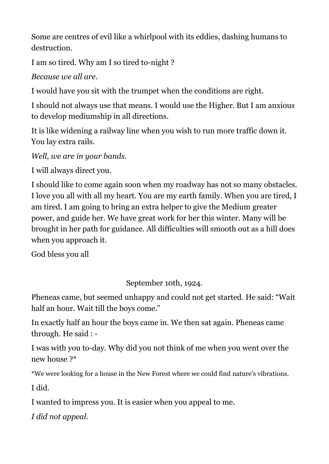Some are centres of evil like a whirlpool with its eddies, dashing humans to destruction.

I am so tired. Why am I so tired to-night ?

*Because we all are.* 

I would have you sit with the trumpet when the conditions are right.

I should not always use that means. I would use the Higher. But I am anxious to develop mediumship in all directions.

It is like widening a railway line when you wish to run more traffic down it. You lay extra rails.

*Well, we are in your bands.* 

I will always direct you.

I should like to come again soon when my roadway has not so many obstacles. I love you all with all my heart. You are my earth family. When you are tired, I am tired. I am going to bring an extra helper to give the Medium greater power, and guide her. We have great work for her this winter. Many will be brought in her path for guidance. All difficulties will smooth out as a hill does when you approach it.

God bless you all

# September 10th, 1924.

Pheneas came, but seemed unhappy and could not get started. He said: "Wait half an hour. Wait till the boys come."

In exactly half an hour the boys came in. We then sat again. Pheneas came through. He said : -

I was with you to-day. Why did you not think of me when you went over the new house ?\*

\*We were looking for a house in the New Forest where we could find nature's vibrations.

I did.

I wanted to impress you. It is easier when you appeal to me.

*I did not appeal.*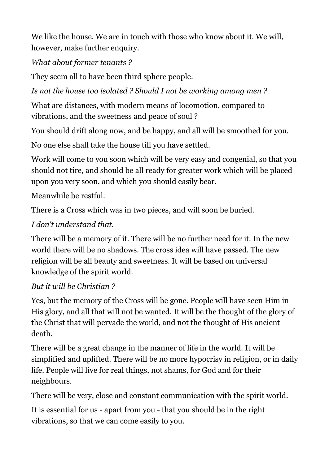We like the house. We are in touch with those who know about it. We will, however, make further enquiry.

*What about former tenants ?* 

They seem all to have been third sphere people.

*Is not the house too isolated ? Should I not be working among men ?* 

What are distances, with modern means of locomotion, compared to vibrations, and the sweetness and peace of soul ?

You should drift along now, and be happy, and all will be smoothed for you.

No one else shall take the house till you have settled.

Work will come to you soon which will be very easy and congenial, so that you should not tire, and should be all ready for greater work which will be placed upon you very soon, and which you should easily bear.

Meanwhile be restful.

There is a Cross which was in two pieces, and will soon be buried.

*I don't understand that.* 

There will be a memory of it. There will be no further need for it. In the new world there will be no shadows. The cross idea will have passed. The new religion will be all beauty and sweetness. It will be based on universal knowledge of the spirit world.

### *But it will be Christian ?*

Yes, but the memory of the Cross will be gone. People will have seen Him in His glory, and all that will not be wanted. It will be the thought of the glory of the Christ that will pervade the world, and not the thought of His ancient death.

There will be a great change in the manner of life in the world. It will be simplified and uplifted. There will be no more hypocrisy in religion, or in daily life. People will live for real things, not shams, for God and for their neighbours.

There will be very, close and constant communication with the spirit world.

It is essential for us - apart from you - that you should be in the right vibrations, so that we can come easily to you.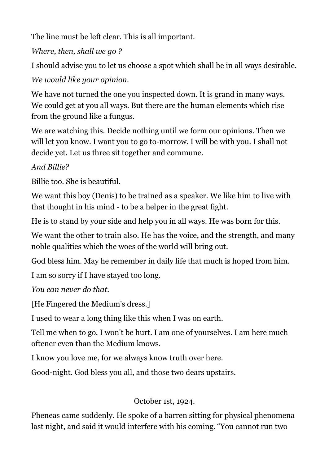The line must be left clear. This is all important.

*Where, then, shall we go ?* 

I should advise you to let us choose a spot which shall be in all ways desirable.

*We would like your opinion.* 

We have not turned the one you inspected down. It is grand in many ways. We could get at you all ways. But there are the human elements which rise from the ground like a fungus.

We are watching this. Decide nothing until we form our opinions. Then we will let you know. I want you to go to-morrow. I will be with you. I shall not decide yet. Let us three sit together and commune.

*And Billie?* 

Billie too. She is beautiful.

We want this boy (Denis) to be trained as a speaker. We like him to live with that thought in his mind - to be a helper in the great fight.

He is to stand by your side and help you in all ways. He was born for this.

We want the other to train also. He has the voice, and the strength, and many noble qualities which the woes of the world will bring out.

God bless him. May he remember in daily life that much is hoped from him.

I am so sorry if I have stayed too long.

*You can never do that.* 

[He Fingered the Medium's dress.]

I used to wear a long thing like this when I was on earth.

Tell me when to go. I won't be hurt. I am one of yourselves. I am here much oftener even than the Medium knows.

I know you love me, for we always know truth over here.

Good-night. God bless you all, and those two dears upstairs.

### October 1st, 1924.

Pheneas came suddenly. He spoke of a barren sitting for physical phenomena last night, and said it would interfere with his coming. " You cannot run two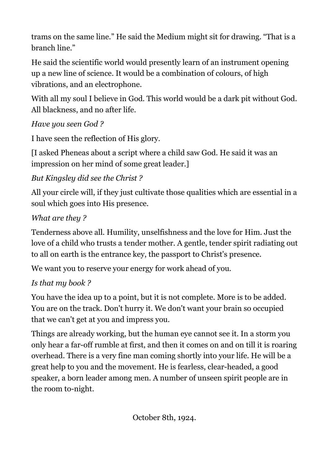trams on the same line." He said the Medium might sit for drawing. " That is a branch line."

He said the scientific world would presently learn of an instrument opening up a new line of science. It would be a combination of colours, of high vibrations, and an electrophone.

With all my soul I believe in God. This world would be a dark pit without God. All blackness, and no after life.

# *Have you seen God ?*

I have seen the reflection of His glory.

[I asked Pheneas about a script where a child saw God. He said it was an impression on her mind of some great leader.]

# *But Kingsley did see the Christ ?*

All your circle will, if they just cultivate those qualities which are essential in a soul which goes into His presence.

# *What are they ?*

Tenderness above all. Humility, unselfishness and the love for Him. Just the love of a child who trusts a tender mother. A gentle, tender spirit radiating out to all on earth is the entrance key, the passport to Christ's presence.

We want you to reserve your energy for work ahead of you.

# *Is that my book ?*

You have the idea up to a point, but it is not complete. More is to be added. You are on the track. Don't hurry it. We don't want your brain so occupied that we can't get at you and impress you.

Things are already working, but the human eye cannot see it. In a storm you only hear a far-off rumble at first, and then it comes on and on till it is roaring overhead. There is a very fine man coming shortly into your life. He will be a great help to you and the movement. He is fearless, clear-headed, a good speaker, a born leader among men. A number of unseen spirit people are in the room to-night.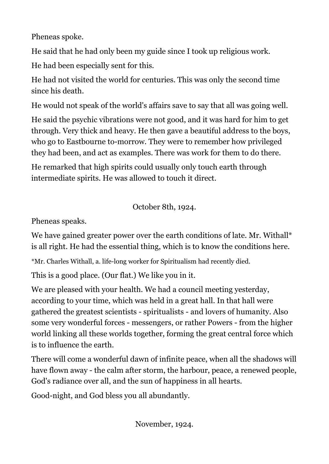Pheneas spoke.

He said that he had only been my guide since I took up religious work.

He had been especially sent for this.

He had not visited the world for centuries. This was only the second time since his death.

He would not speak of the world's affairs save to say that all was going well.

He said the psychic vibrations were not good, and it was hard for him to get through. Very thick and heavy. He then gave a beautiful address to the boys, who go to Eastbourne to-morrow. They were to remember how privileged they had been, and act as examples. There was work for them to do there.

He remarked that high spirits could usually only touch earth through intermediate spirits. He was allowed to touch it direct.

October 8th, 1924.

Pheneas speaks.

We have gained greater power over the earth conditions of late. Mr. Withall\* is all right. He had the essential thing, which is to know the conditions here.

\*Mr. Charles Withall, a. life-long worker for Spiritualism had recently died.

This is a good place. (Our flat.) We like you in it.

We are pleased with your health. We had a council meeting yesterday, according to your time, which was held in a great hall. In that hall were gathered the greatest scientists - spiritualists - and lovers of humanity. Also some very wonderful forces - messengers, or rather Powers - from the higher world linking all these worlds together, forming the great central force which is to influence the earth.

There will come a wonderful dawn of infinite peace, when all the shadows will have flown away - the calm after storm, the harbour, peace, a renewed people, God's radiance over all, and the sun of happiness in all hearts.

Good-night, and God bless you all abundantly.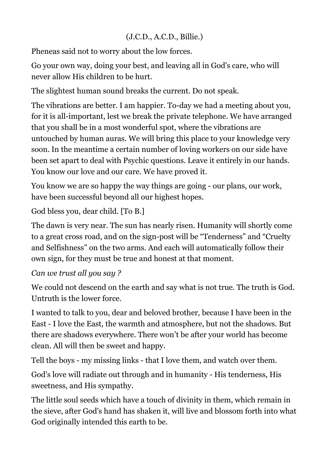### (J.C.D., A.C.D., Billie.)

Pheneas said not to worry about the low forces.

Go your own way, doing your best, and leaving all in God's care, who will never allow His children to be hurt.

The slightest human sound breaks the current. Do not speak.

The vibrations are better. I am happier. To-day we had a meeting about you, for it is all-important, lest we break the private telephone. We have arranged that you shall be in a most wonderful spot, where the vibrations are untouched by human auras. We will bring this place to your knowledge very soon. In the meantime a certain number of loving workers on our side have been set apart to deal with Psychic questions. Leave it entirely in our hands. You know our love and our care. We have proved it.

You know we are so happy the way things are going - our plans, our work, have been successful beyond all our highest hopes.

God bless you, dear child. [To B.]

The dawn is very near. The sun has nearly risen. Humanity will shortly come to a great cross road, and on the sign-post will be " Tenderness" and " Cruelty and Selfishness" on the two arms. And each will automatically follow their own sign, for they must be true and honest at that moment.

### *Can we trust all you say ?*

We could not descend on the earth and say what is not true. The truth is God. Untruth is the lower force.

I wanted to talk to you, dear and beloved brother, because I have been in the East - I love the East, the warmth and atmosphere, but not the shadows. But there are shadows everywhere. There won't be after your world has become clean. All will then be sweet and happy.

Tell the boys - my missing links - that I love them, and watch over them.

God's love will radiate out through and in humanity - His tenderness, His sweetness, and His sympathy.

The little soul seeds which have a touch of divinity in them, which remain in the sieve, after God's hand has shaken it, will live and blossom forth into what God originally intended this earth to be.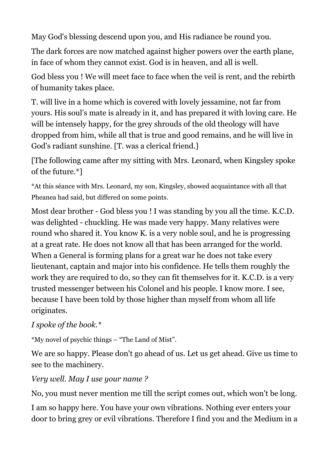May God's blessing descend upon you, and His radiance be round you.

The dark forces are now matched against higher powers over the earth plane, in face of whom they cannot exist. God is in heaven, and all is well.

God bless you ! We will meet face to face when the veil is rent, and the rebirth of humanity takes place.

T. will live in a home which is covered with lovely jessamine, not far from yours. His soul's mate is already in it, and has prepared it with loving care. He will be intensely happy, for the grey shrouds of the old theology will have dropped from him, while all that is true and good remains, and he will live in God's radiant sunshine. [T. was a clerical friend.]

[The following came after my sitting with Mrs. Leonard, when Kingsley spoke of the future.\*]

\*At this séance with Mrs. Leonard, my son, Kingsley, showed acquaintance with all that Pheanea had said, but differed on some points.

Most dear brother - God bless you ! I was standing by you all the time. K.C.D. was delighted - chuckling. He was made very happy. Many relatives were round who shared it. You know K. is a very noble soul, and he is progressing at a great rate. He does not know all that has been arranged for the world. When a General is forming plans for a great war he does not take every lieutenant, captain and major into his confidence. He tells them roughly the work they are required to do, so they can fit themselves for it. K.C.D. is a very trusted messenger between his Colonel and his people. I know more. I see, because I have been told by those higher than myself from whom all life originates.

### *I spoke of the book.\**

\*My novel of psychic things –" The Land of Mist".

We are so happy. Please don't go ahead of us. Let us get ahead. Give us time to see to the machinery.

*Very well. May I use your name ?* 

No, you must never mention me till the script comes out, which won't be long.

I am so happy here. You have your own vibrations. Nothing ever enters your door to bring grey or evil vibrations. Therefore I find you and the Medium in a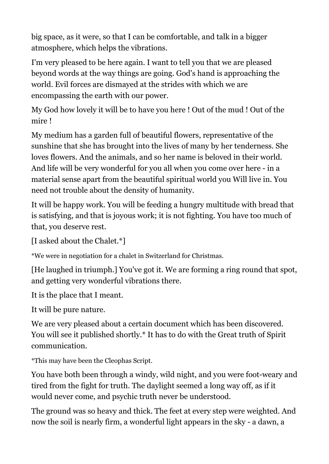big space, as it were, so that I can be comfortable, and talk in a bigger atmosphere, which helps the vibrations.

I'm very pleased to be here again. I want to tell you that we are pleased beyond words at the way things are going. God's hand is approaching the world. Evil forces are dismayed at the strides with which we are encompassing the earth with our power.

My God how lovely it will be to have you here ! Out of the mud ! Out of the mire !

My medium has a garden full of beautiful flowers, representative of the sunshine that she has brought into the lives of many by her tenderness. She loves flowers. And the animals, and so her name is beloved in their world. And life will be very wonderful for you all when you come over here - in a material sense apart from the beautiful spiritual world you Will live in. You need not trouble about the density of humanity.

It will be happy work. You will be feeding a hungry multitude with bread that is satisfying, and that is joyous work; it is not fighting. You have too much of that, you deserve rest.

[I asked about the Chalet.\*]

\*We were in negotiation for a chalet in Switzerland for Christmas.

[He laughed in triumph.] You've got it. We are forming a ring round that spot, and getting very wonderful vibrations there.

It is the place that I meant.

It will be pure nature.

We are very pleased about a certain document which has been discovered. You will see it published shortly.\* It has to do with the Great truth of Spirit communication.

\*This may have been the Cleophas Script.

You have both been through a windy, wild night, and you were foot-weary and tired from the fight for truth. The daylight seemed a long way off, as if it would never come, and psychic truth never be understood.

The ground was so heavy and thick. The feet at every step were weighted. And now the soil is nearly firm, a wonderful light appears in the sky - a dawn, a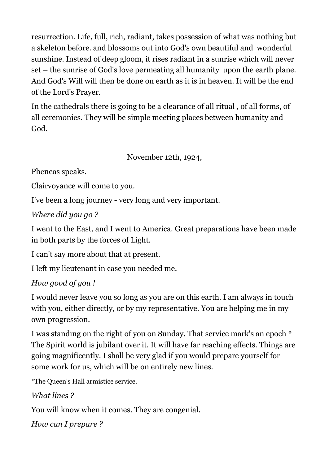resurrection. Life, full, rich, radiant, takes possession of what was nothing but a skeleton before. and blossoms out into God's own beautiful and wonderful sunshine. Instead of deep gloom, it rises radiant in a sunrise which will never set – the sunrise of God's love permeating all humanity upon the earth plane. And God's Will will then be done on earth as it is in heaven. It will be the end of the Lord's Prayer.

In the cathedrals there is going to be a clearance of all ritual , of all forms, of all ceremonies. They will be simple meeting places between humanity and God.

#### November 12th, 1924,

Pheneas speaks.

Clairvoyance will come to you.

I've been a long journey - very long and very important.

*Where did you go ?* 

I went to the East, and I went to America. Great preparations have been made in both parts by the forces of Light.

I can't say more about that at present.

I left my lieutenant in case you needed me.

#### *How good of you !*

I would never leave you so long as you are on this earth. I am always in touch with you, either directly, or by my representative. You are helping me in my own progression.

I was standing on the right of you on Sunday. That service mark's an epoch \* The Spirit world is jubilant over it. It will have far reaching effects. Things are going magnificently. I shall be very glad if you would prepare yourself for some work for us, which will be on entirely new lines.

\*The Queen's Hall armistice service.

*What lines ?* 

You will know when it comes. They are congenial.

*How can I prepare ?*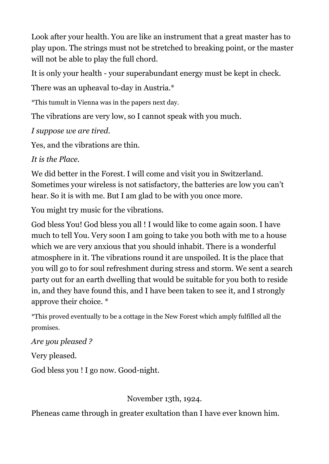Look after your health. You are like an instrument that a great master has to play upon. The strings must not be stretched to breaking point, or the master will not be able to play the full chord.

It is only your health - your superabundant energy must be kept in check.

There was an upheaval to-day in Austria.\*

\*This tumult in Vienna was in the papers next day.

The vibrations are very low, so I cannot speak with you much.

*I suppose we are tired.* 

Yes, and the vibrations are thin.

*It is the Place.* 

We did better in the Forest. I will come and visit you in Switzerland. Sometimes your wireless is not satisfactory, the batteries are low you can't hear. So it is with me. But I am glad to be with you once more.

You might try music for the vibrations.

God bless You! God bless you all ! I would like to come again soon. I have much to tell You. Very soon I am going to take you both with me to a house which we are very anxious that you should inhabit. There is a wonderful atmosphere in it. The vibrations round it are unspoiled. It is the place that you will go to for soul refreshment during stress and storm. We sent a search party out for an earth dwelling that would be suitable for you both to reside in, and they have found this, and I have been taken to see it, and I strongly approve their choice. \*

\*This proved eventually to be a cottage in the New Forest which amply fulfilled all the promises.

*Are you pleased ?* 

Very pleased.

God bless you ! I go now. Good-night.

November 13th, 1924.

Pheneas came through in greater exultation than I have ever known him.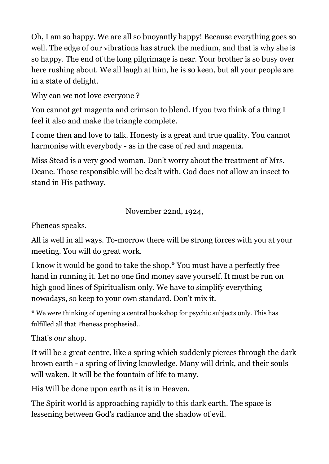Oh, I am so happy. We are all so buoyantly happy! Because everything goes so well. The edge of our vibrations has struck the medium, and that is why she is so happy. The end of the long pilgrimage is near. Your brother is so busy over here rushing about. We all laugh at him, he is so keen, but all your people are in a state of delight.

Why can we not love everyone ?

You cannot get magenta and crimson to blend. If you two think of a thing I feel it also and make the triangle complete.

I come then and love to talk. Honesty is a great and true quality. You cannot harmonise with everybody - as in the case of red and magenta.

Miss Stead is a very good woman. Don't worry about the treatment of Mrs. Deane. Those responsible will be dealt with. God does not allow an insect to stand in His pathway.

November 22nd, 1924,

Pheneas speaks.

All is well in all ways. To-morrow there will be strong forces with you at your meeting. You will do great work.

I know it would be good to take the shop.\* You must have a perfectly free hand in running it. Let no one find money save yourself. It must be run on high good lines of Spiritualism only. We have to simplify everything nowadays, so keep to your own standard. Don't mix it.

\* We were thinking of opening a central bookshop for psychic subjects only. This has fulfilled all that Pheneas prophesied..

That's *our* shop.

It will be a great centre, like a spring which suddenly pierces through the dark brown earth - a spring of living knowledge. Many will drink, and their souls will waken. It will be the fountain of life to many.

His Will be done upon earth as it is in Heaven.

The Spirit world is approaching rapidly to this dark earth. The space is lessening between God's radiance and the shadow of evil.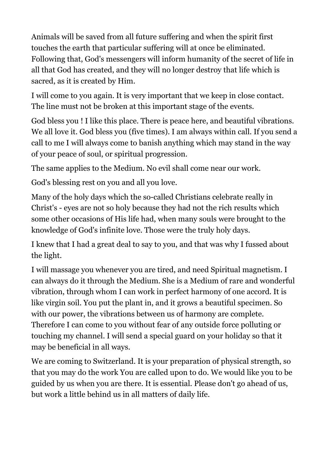Animals will be saved from all future suffering and when the spirit first touches the earth that particular suffering will at once be eliminated. Following that, God's messengers will inform humanity of the secret of life in all that God has created, and they will no longer destroy that life which is sacred, as it is created by Him.

I will come to you again. It is very important that we keep in close contact. The line must not be broken at this important stage of the events.

God bless you ! I like this place. There is peace here, and beautiful vibrations. We all love it. God bless you (five times). I am always within call. If you send a call to me I will always come to banish anything which may stand in the way of your peace of soul, or spiritual progression.

The same applies to the Medium. No evil shall come near our work.

God's blessing rest on you and all you love.

Many of the holy days which the so-called Christians celebrate really in Christ's - eyes are not so holy because they had not the rich results which some other occasions of His life had, when many souls were brought to the knowledge of God's infinite love. Those were the truly holy days.

I knew that I had a great deal to say to you, and that was why I fussed about the light.

I will massage you whenever you are tired, and need Spiritual magnetism. I can always do it through the Medium. She is a Medium of rare and wonderful vibration, through whom I can work in perfect harmony of one accord. It is like virgin soil. You put the plant in, and it grows a beautiful specimen. So with our power, the vibrations between us of harmony are complete. Therefore I can come to you without fear of any outside force polluting or touching my channel. I will send a special guard on your holiday so that it may be beneficial in all ways.

We are coming to Switzerland. It is your preparation of physical strength, so that you may do the work You are called upon to do. We would like you to be guided by us when you are there. It is essential. Please don't go ahead of us, but work a little behind us in all matters of daily life.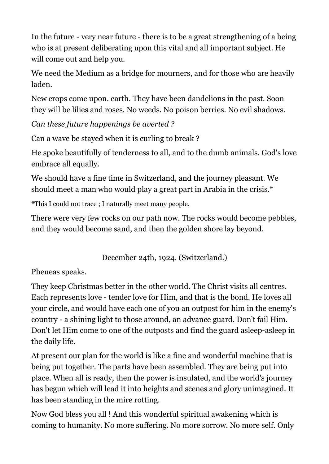In the future - very near future - there is to be a great strengthening of a being who is at present deliberating upon this vital and all important subject. He will come out and help you.

We need the Medium as a bridge for mourners, and for those who are heavily laden.

New crops come upon. earth. They have been dandelions in the past. Soon they will be lilies and roses. No weeds. No poison berries. No evil shadows.

*Can these future happenings be averted ?* 

Can a wave be stayed when it is curling to break ?

He spoke beautifully of tenderness to all, and to the dumb animals. God's love embrace all equally.

We should have a fine time in Switzerland, and the journey pleasant. We should meet a man who would play a great part in Arabia in the crisis.\*

\*This I could not trace ; I naturally meet many people.

There were very few rocks on our path now. The rocks would become pebbles, and they would become sand, and then the golden shore lay beyond.

December 24th, 1924. (Switzerland.)

Pheneas speaks.

They keep Christmas better in the other world. The Christ visits all centres. Each represents love - tender love for Him, and that is the bond. He loves all your circle, and would have each one of you an outpost for him in the enemy's country - a shining light to those around, an advance guard. Don't fail Him. Don't let Him come to one of the outposts and find the guard asleep-asleep in the daily life.

At present our plan for the world is like a fine and wonderful machine that is being put together. The parts have been assembled. They are being put into place. When all is ready, then the power is insulated, and the world's journey has begun which will lead it into heights and scenes and glory unimagined. It has been standing in the mire rotting.

Now God bless you all ! And this wonderful spiritual awakening which is coming to humanity. No more suffering. No more sorrow. No more self. Only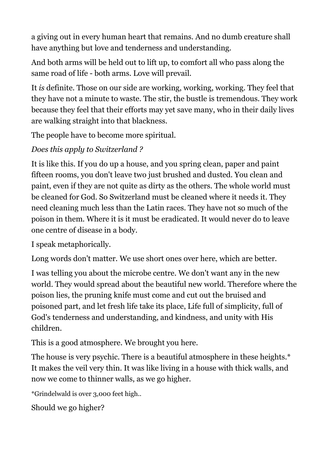a giving out in every human heart that remains. And no dumb creature shall have anything but love and tenderness and understanding.

And both arms will be held out to lift up, to comfort all who pass along the same road of life - both arms. Love will prevail.

It *is* definite. Those on our side are working, working, working. They feel that they have not a minute to waste. The stir, the bustle is tremendous. They work because they feel that their efforts may yet save many, who in their daily lives are walking straight into that blackness.

The people have to become more spiritual.

## *Does this apply to Switzerland ?*

It is like this. If you do up a house, and you spring clean, paper and paint fifteen rooms, you don't leave two just brushed and dusted. You clean and paint, even if they are not quite as dirty as the others. The whole world must be cleaned for God. So Switzerland must be cleaned where it needs it. They need cleaning much less than the Latin races. They have not so much of the poison in them. Where it is it must be eradicated. It would never do to leave one centre of disease in a body.

I speak metaphorically.

Long words don't matter. We use short ones over here, which are better.

I was telling you about the microbe centre. We don't want any in the new world. They would spread about the beautiful new world. Therefore where the poison lies, the pruning knife must come and cut out the bruised and poisoned part, and let fresh life take its place, Life full of simplicity, full of God's tenderness and understanding, and kindness, and unity with His children.

This is a good atmosphere. We brought you here.

The house is very psychic. There is a beautiful atmosphere in these heights.\* It makes the veil very thin. It was like living in a house with thick walls, and now we come to thinner walls, as we go higher.

\*Grindelwald is over 3,000 feet high..

Should we go higher?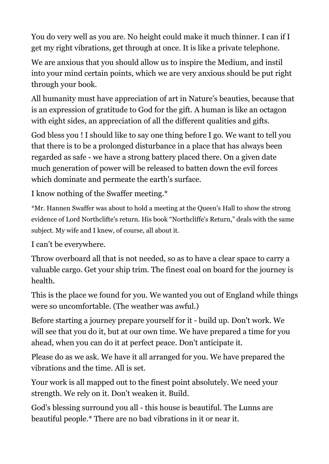You do very well as you are. No height could make it much thinner. I can if I get my right vibrations, get through at once. It is like a private telephone.

We are anxious that you should allow us to inspire the Medium, and instil into your mind certain points, which we are very anxious should be put right through your book.

All humanity must have appreciation of art in Nature's beauties, because that is an expression of gratitude to God for the gift. A human is like an octagon with eight sides, an appreciation of all the different qualities and gifts.

God bless you ! I should like to say one thing before I go. We want to tell you that there is to be a prolonged disturbance in a place that has always been regarded as safe - we have a strong battery placed there. On a given date much generation of power will be released to batten down the evil forces which dominate and permeate the earth's surface.

I know nothing of the Swaffer meeting.\*

\*Mr. Hannen Swaffer was about to hold a meeting at the Queen's Hall to show the strong evidence of Lord Northclifte's return. His book " Northcliffe's Return," deals with the same subject. My wife and I knew, of course, all about it.

I can't be everywhere.

Throw overboard all that is not needed, so as to have a clear space to carry a valuable cargo. Get your ship trim. The finest coal on board for the journey is health.

This is the place we found for you. We wanted you out of England while things were so uncomfortable. (The weather was awful.)

Before starting a journey prepare yourself for it - build up. Don't work. We will see that you do it, but at our own time. We have prepared a time for you ahead, when you can do it at perfect peace. Don't anticipate it.

Please do as we ask. We have it all arranged for you. We have prepared the vibrations and the time. All is set.

Your work is all mapped out to the finest point absolutely. We need your strength. We rely on it. Don't weaken it. Build.

God's blessing surround you all - this house is beautiful. The Lunns are beautiful people.\* There are no bad vibrations in it or near it.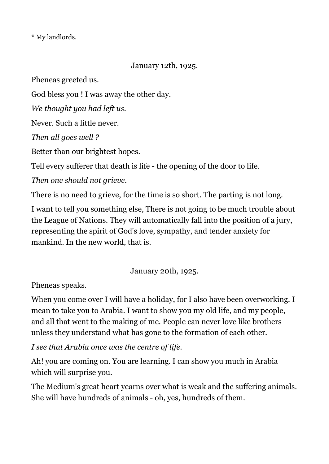\* My landlords.

January 12th, 1925.

Pheneas greeted us.

God bless you ! I was away the other day.

*We thought you had left us.* 

Never. Such a little never.

*Then all goes well ?* 

Better than our brightest hopes.

Tell every sufferer that death is life - the opening of the door to life.

*Then one should not grieve.* 

There is no need to grieve, for the time is so short. The parting is not long.

I want to tell you something else, There is not going to be much trouble about the League of Nations. They will automatically fall into the position of a jury, representing the spirit of God's love, sympathy, and tender anxiety for mankind. In the new world, that is.

January 20th, 1925.

Pheneas speaks.

When you come over I will have a holiday, for I also have been overworking. I mean to take you to Arabia. I want to show you my old life, and my people, and all that went to the making of me. People can never love like brothers unless they understand what has gone to the formation of each other.

*I see that Arabia once was the centre of life.* 

Ah! you are coming on. You are learning. I can show you much in Arabia which will surprise you.

The Medium's great heart yearns over what is weak and the suffering animals. She will have hundreds of animals - oh, yes, hundreds of them.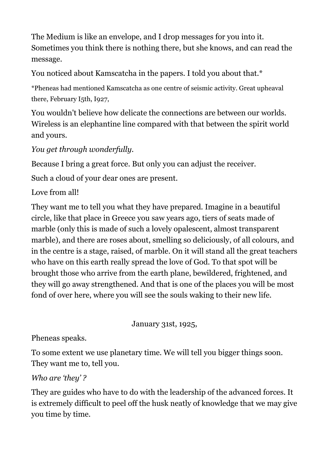The Medium is like an envelope, and I drop messages for you into it. Sometimes you think there is nothing there, but she knows, and can read the message.

You noticed about Kamscatcha in the papers. I told you about that.\*

\*Pheneas had mentioned Kamscatcha as one centre of seismic activity. Great upheaval there, February I5th, I927,

You wouldn't believe how delicate the connections are between our worlds. Wireless is an elephantine line compared with that between the spirit world and yours.

*You get through wonderfully.* 

Because I bring a great force. But only you can adjust the receiver.

Such a cloud of your dear ones are present.

Love from all!

They want me to tell you what they have prepared. Imagine in a beautiful circle, like that place in Greece you saw years ago, tiers of seats made of marble (only this is made of such a lovely opalescent, almost transparent marble), and there are roses about, smelling so deliciously, of all colours, and in the centre is a stage, raised, of marble. On it will stand all the great teachers who have on this earth really spread the love of God. To that spot will be brought those who arrive from the earth plane, bewildered, frightened, and they will go away strengthened. And that is one of the places you will be most fond of over here, where you will see the souls waking to their new life.

January 31st, 1925,

Pheneas speaks.

To some extent we use planetary time. We will tell you bigger things soon. They want me to, tell you.

## *Who are 'they' ?*

They are guides who have to do with the leadership of the advanced forces. It is extremely difficult to peel off the husk neatly of knowledge that we may give you time by time.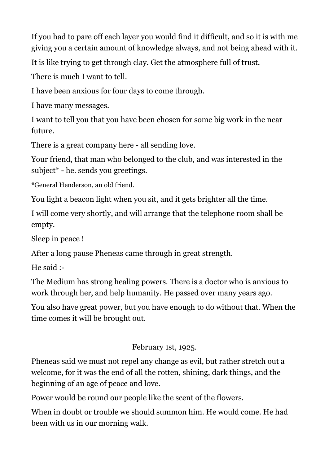If you had to pare off each layer you would find it difficult, and so it is with me giving you a certain amount of knowledge always, and not being ahead with it.

It is like trying to get through clay. Get the atmosphere full of trust.

There is much I want to tell.

I have been anxious for four days to come through.

I have many messages.

I want to tell you that you have been chosen for some big work in the near future.

There is a great company here - all sending love.

Your friend, that man who belonged to the club, and was interested in the subject\* - he. sends you greetings.

\*General Henderson, an old friend.

You light a beacon light when you sit, and it gets brighter all the time.

I will come very shortly, and will arrange that the telephone room shall be empty.

Sleep in peace !

After a long pause Pheneas came through in great strength.

He said :-

The Medium has strong healing powers. There is a doctor who is anxious to work through her, and help humanity. He passed over many years ago.

You also have great power, but you have enough to do without that. When the time comes it will be brought out.

## February 1st, 1925.

Pheneas said we must not repel any change as evil, but rather stretch out a welcome, for it was the end of all the rotten, shining, dark things, and the beginning of an age of peace and love.

Power would be round our people like the scent of the flowers.

When in doubt or trouble we should summon him. He would come. He had been with us in our morning walk.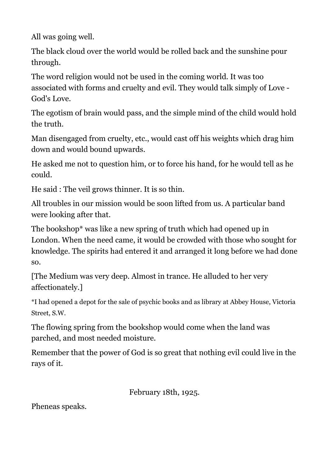All was going well.

The black cloud over the world would be rolled back and the sunshine pour through.

The word religion would not be used in the coming world. It was too associated with forms and cruelty and evil. They would talk simply of Love - God's Love.

The egotism of brain would pass, and the simple mind of the child would hold the truth.

Man disengaged from cruelty, etc., would cast off his weights which drag him down and would bound upwards.

He asked me not to question him, or to force his hand, for he would tell as he could.

He said : The veil grows thinner. It is so thin.

All troubles in our mission would be soon lifted from us. A particular band were looking after that.

The bookshop\* was like a new spring of truth which had opened up in London. When the need came, it would be crowded with those who sought for knowledge. The spirits had entered it and arranged it long before we had done so.

[The Medium was very deep. Almost in trance. He alluded to her very affectionately.]

\*I had opened a depot for the sale of psychic books and as library at Abbey House, Victoria Street, S.W.

The flowing spring from the bookshop would come when the land was parched, and most needed moisture.

Remember that the power of God is so great that nothing evil could live in the rays of it.

February 18th, 1925.

Pheneas speaks.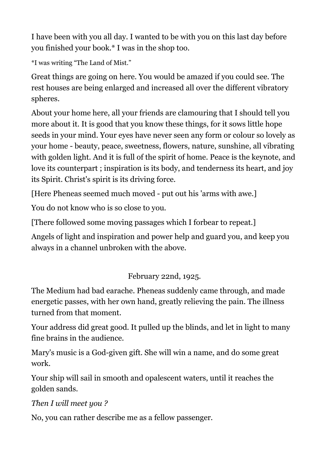I have been with you all day. I wanted to be with you on this last day before you finished your book.\* I was in the shop too.

\*I was writing " The Land of Mist."

Great things are going on here. You would be amazed if you could see. The rest houses are being enlarged and increased all over the different vibratory spheres.

About your home here, all your friends are clamouring that I should tell you more about it. It is good that you know these things, for it sows little hope seeds in your mind. Your eyes have never seen any form or colour so lovely as your home - beauty, peace, sweetness, flowers, nature, sunshine, all vibrating with golden light. And it is full of the spirit of home. Peace is the keynote, and love its counterpart ; inspiration is its body, and tenderness its heart, and joy its Spirit. Christ's spirit is its driving force.

[Here Pheneas seemed much moved - put out his 'arms with awe.]

You do not know who is so close to you.

[There followed some moving passages which I forbear to repeat.]

Angels of light and inspiration and power help and guard you, and keep you always in a channel unbroken with the above.

February 22nd, 1925.

The Medium had bad earache. Pheneas suddenly came through, and made energetic passes, with her own hand, greatly relieving the pain. The illness turned from that moment.

Your address did great good. It pulled up the blinds, and let in light to many fine brains in the audience.

Mary's music is a God-given gift. She will win a name, and do some great work.

Your ship will sail in smooth and opalescent waters, until it reaches the golden sands.

*Then I will meet you ?* 

No, you can rather describe me as a fellow passenger.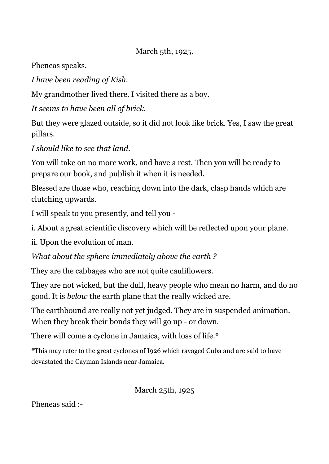#### March 5th, 1925.

Pheneas speaks.

*I have been reading of Kish.* 

My grandmother lived there. I visited there as a boy.

*It seems to have been all of brick.* 

But they were glazed outside, so it did not look like brick. Yes, I saw the great pillars.

*I should like to see that land.* 

You will take on no more work, and have a rest. Then you will be ready to prepare our book, and publish it when it is needed.

Blessed are those who, reaching down into the dark, clasp hands which are clutching upwards.

I will speak to you presently, and tell you -

i. About a great scientific discovery which will be reflected upon your plane.

ii. Upon the evolution of man.

*What about the sphere immediately above the earth ?* 

They are the cabbages who are not quite cauliflowers.

They are not wicked, but the dull, heavy people who mean no harm, and do no good. It is *below* the earth plane that the really wicked are.

The earthbound are really not yet judged. They are in suspended animation. When they break their bonds they will go up - or down.

There will come a cyclone in Jamaica, with loss of life.\*

\*This may refer to the great cyclones of I926 which ravaged Cuba and are said to have devastated the Cayman Islands near Jamaica.

March 25th, 1925

Pheneas said :-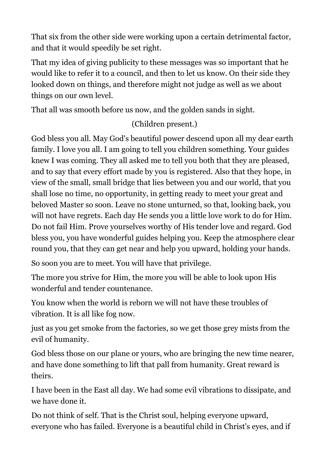That six from the other side were working upon a certain detrimental factor, and that it would speedily be set right.

That my idea of giving publicity to these messages was so important that he would like to refer it to a council, and then to let us know. On their side they looked down on things, and therefore might not judge as well as we about things on our own level.

That all was smooth before us now, and the golden sands in sight.

## (Children present.)

God bless you all. May God's beautiful power descend upon all my dear earth family. I love you all. I am going to tell you children something. Your guides knew I was coming. They all asked me to tell you both that they are pleased, and to say that every effort made by you is registered. Also that they hope, in view of the small, small bridge that lies between you and our world, that you shall lose no time, no opportunity, in getting ready to meet your great and beloved Master so soon. Leave no stone unturned, so that, looking back, you will not have regrets. Each day He sends you a little love work to do for Him. Do not fail Him. Prove yourselves worthy of His tender love and regard. God bless you, you have wonderful guides helping you. Keep the atmosphere clear round you, that they can get near and help you upward, holding your hands.

So soon you are to meet. You will have that privilege.

The more you strive for Him, the more you will be able to look upon His wonderful and tender countenance.

You know when the world is reborn we will not have these troubles of vibration. It is all like fog now.

just as you get smoke from the factories, so we get those grey mists from the evil of humanity.

God bless those on our plane or yours, who are bringing the new time nearer, and have done something to lift that pall from humanity. Great reward is theirs.

I have been in the East all day. We had some evil vibrations to dissipate, and we have done it.

Do not think of self. That is the Christ soul, helping everyone upward, everyone who has failed. Everyone is a beautiful child in Christ's eyes, and if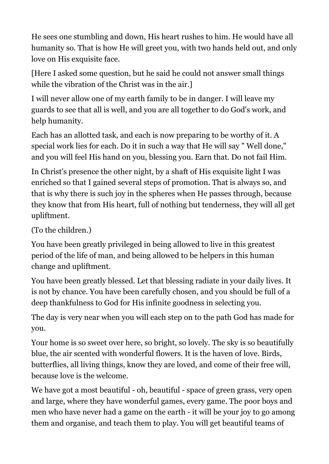He sees one stumbling and down, His heart rushes to him. He would have all humanity so. That is how He will greet you, with two hands held out, and only love on His exquisite face.

[Here I asked some question, but he said he could not answer small things while the vibration of the Christ was in the air.]

I will never allow one of my earth family to be in danger. I will leave my guards to see that all is well, and you are all together to do God's work, and help humanity.

Each has an allotted task, and each is now preparing to be worthy of it. A special work lies for each. Do it in such a way that He will say " Well done," and you will feel His hand on you, blessing you. Earn that. Do not fail Him.

In Christ's presence the other night, by a shaft of His exquisite light I was enriched so that I gained several steps of promotion. That is always so, and that is why there is such joy in the spheres when He passes through, because they know that from His heart, full of nothing but tenderness, they will all get upliftment.

(To the children.)

You have been greatly privileged in being allowed to live in this greatest period of the life of man, and being allowed to be helpers in this human change and upliftment.

You have been greatly blessed. Let that blessing radiate in your daily lives. It is not by chance. You have been carefully chosen, and you should be full of a deep thankfulness to God for His infinite goodness in selecting you.

The day is very near when you will each step on to the path God has made for you.

Your home is so sweet over here, so bright, so lovely. The sky is so beautifully blue, the air scented with wonderful flowers. It is the haven of love. Birds, butterflies, all living things, know they are loved, and come of their free will, because love is the welcome.

We have got a most beautiful - oh, beautiful - space of green grass, very open and large, where they have wonderful games, every game. The poor boys and men who have never had a game on the earth - it will be your joy to go among them and organise, and teach them to play. You will get beautiful teams of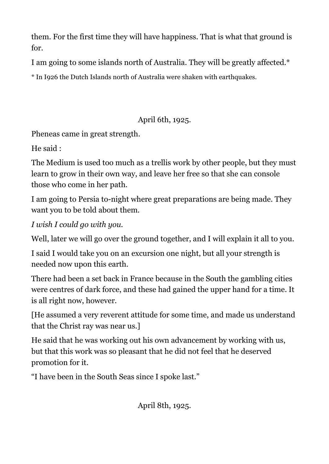them. For the first time they will have happiness. That is what that ground is for.

I am going to some islands north of Australia. They will be greatly affected.\*

\* In I926 the Dutch Islands north of Australia were shaken with earthquakes.

April 6th, 1925.

Pheneas came in great strength.

He said :

The Medium is used too much as a trellis work by other people, but they must learn to grow in their own way, and leave her free so that she can console those who come in her path.

I am going to Persia to-night where great preparations are being made. They want you to be told about them.

*I wish I could go with you.* 

Well, later we will go over the ground together, and I will explain it all to you.

I said I would take you on an excursion one night, but all your strength is needed now upon this earth.

There had been a set back in France because in the South the gambling cities were centres of dark force, and these had gained the upper hand for a time. It is all right now, however.

[He assumed a very reverent attitude for some time, and made us understand that the Christ ray was near us.]

He said that he was working out his own advancement by working with us, but that this work was so pleasant that he did not feel that he deserved promotion for it.

"I have been in the South Seas since I spoke last."

April 8th, 1925.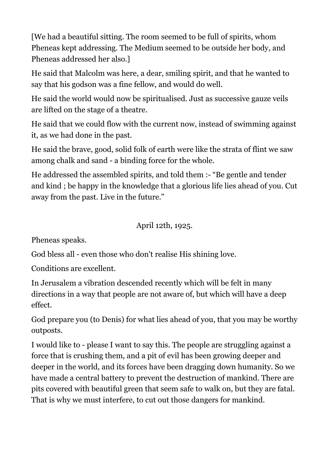[We had a beautiful sitting. The room seemed to be full of spirits, whom Pheneas kept addressing. The Medium seemed to be outside her body, and Pheneas addressed her also.]

He said that Malcolm was here, a dear, smiling spirit, and that he wanted to say that his godson was a fine fellow, and would do well.

He said the world would now be spiritualised. Just as successive gauze veils are lifted on the stage of a theatre.

He said that we could flow with the current now, instead of swimming against it, as we had done in the past.

He said the brave, good, solid folk of earth were like the strata of flint we saw among chalk and sand - a binding force for the whole.

He addressed the assembled spirits, and told them :- " Be gentle and tender and kind ; be happy in the knowledge that a glorious life lies ahead of you. Cut away from the past. Live in the future."

### April 12th, 1925.

Pheneas speaks.

God bless all - even those who don't realise His shining love.

Conditions are excellent.

In Jerusalem a vibration descended recently which will be felt in many directions in a way that people are not aware of, but which will have a deep effect.

God prepare you (to Denis) for what lies ahead of you, that you may be worthy outposts.

I would like to - please I want to say this. The people are struggling against a force that is crushing them, and a pit of evil has been growing deeper and deeper in the world, and its forces have been dragging down humanity. So we have made a central battery to prevent the destruction of mankind. There are pits covered with beautiful green that seem safe to walk on, but they are fatal. That is why we must interfere, to cut out those dangers for mankind.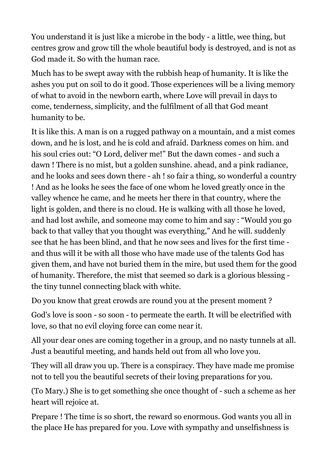You understand it is just like a microbe in the body - a little, wee thing, but centres grow and grow till the whole beautiful body is destroyed, and is not as God made it. So with the human race.

Much has to be swept away with the rubbish heap of humanity. It is like the ashes you put on soil to do it good. Those experiences will be a living memory of what to avoid in the newborn earth, where Love will prevail in days to come, tenderness, simplicity, and the fulfilment of all that God meant humanity to be.

It is like this. A man is on a rugged pathway on a mountain, and a mist comes down, and he is lost, and he is cold and afraid. Darkness comes on him. and his soul cries out: "O Lord, deliver me!" But the dawn comes - and such a dawn ! There is no mist, but a golden sunshine. ahead, and a pink radiance, and he looks and sees down there - ah ! so fair a thing, so wonderful a country ! And as he looks he sees the face of one whom he loved greatly once in the valley whence he came, and he meets her there in that country, where the light is golden, and there is no cloud. He is walking with all those he loved, and had lost awhile, and someone may come to him and say : " Would you go back to that valley that you thought was everything," And he will. suddenly see that he has been blind, and that he now sees and lives for the first time and thus will it be with all those who have made use of the talents God has given them, and have not buried them in the mire, but used them for the good of humanity. Therefore, the mist that seemed so dark is a glorious blessing the tiny tunnel connecting black with white.

Do you know that great crowds are round you at the present moment ?

God's love is soon - so soon - to permeate the earth. It will be electrified with love, so that no evil cloying force can come near it.

All your dear ones are coming together in a group, and no nasty tunnels at all. Just a beautiful meeting, and hands held out from all who love you.

They will all draw you up. There is a conspiracy. They have made me promise not to tell you the beautiful secrets of their loving preparations for you.

(To Mary.) She is to get something she once thought of - such a scheme as her heart will rejoice at.

Prepare ! The time is so short, the reward so enormous. God wants you all in the place He has prepared for you. Love with sympathy and unselfishness is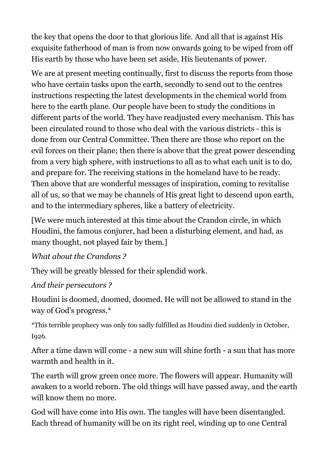the key that opens the door to that glorious life. And all that is against His exquisite fatherhood of man is from now onwards going to be wiped from off His earth by those who have been set aside, His lieutenants of power.

We are at present meeting continually, first to discuss the reports from those who have certain tasks upon the earth, secondly to send out to the centres instructions respecting the latest developments in the chemical world from here to the earth plane. Our people have been to study the conditions in different parts of the world. They have readjusted every mechanism. This has been circulated round to those who deal with the various districts - this is done from our Central Committee. Then there are those who report on the evil forces on their plane; then there is above that the great power descending from a very high sphere, with instructions to all as to what each unit is to do, and prepare for. The receiving stations in the homeland have to be ready. Then above that are wonderful messages of inspiration, coming to revitalise all of us, so that we may be channels of His great light to descend upon earth, and to the intermediary spheres, like a battery of electricity.

[We were much interested at this time about the Crandon circle, in which Houdini, the famous conjurer, had been a disturbing element, and had, as many thought, not played fair by them.]

## *What about the Crandons ?*

They will be greatly blessed for their splendid work.

## *And their persecutors ?*

Houdini is doomed, doomed, doomed. He will not be allowed to stand in the way of God's progress.\*

\*This terrible prophecy was only too sadly fulfilled as Houdini died suddenly in October, I926.

After a time dawn will come - a new sun will shine forth - a sun that has more warmth and health in it.

The earth will grow green once more. The flowers will appear. Humanity will awaken to a world reborn. The old things will have passed away, and the earth will know them no more.

God will have come into His own. The tangles will have been disentangled. Each thread of humanity will be on its right reel, winding up to one Central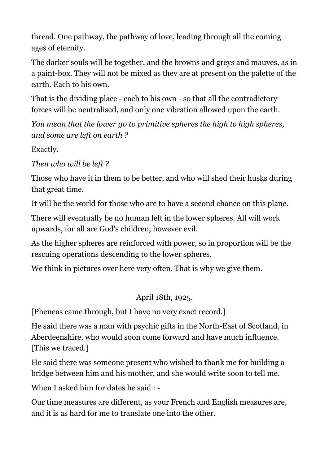thread. One pathway, the pathway of love, leading through all the coming ages of eternity.

The darker souls will be together, and the browns and greys and mauves, as in a paint-box. They will not be mixed as they are at present on the palette of the earth. Each to his own.

That is the dividing place - each to his own - so that all the contradictory forces will be neutralised, and only one vibration allowed upon the earth.

*You mean that the lower go to primitive spheres the high to high spheres, and some are left on earth ?* 

Exactly.

*Then who will be left ?* 

Those who have it in them to be better, and who will shed their husks during that great time.

It will be the world for those who are to have a second chance on this plane.

There will eventually be no human left in the lower spheres. All will work upwards, for all are God's children, however evil.

As the higher spheres are reinforced with power, so in proportion will be the rescuing operations descending to the lower spheres.

We think in pictures over here very often. That is why we give them.

April 18th, 1925.

[Pheneas came through, but I have no very exact record.]

He said there was a man with psychic gifts in the North-East of Scotland, in Aberdeenshire, who would soon come forward and have much influence. [This we traced.]

He said there was someone present who wished to thank me for building a bridge between him and his mother, and she would write soon to tell me.

When I asked him for dates he said : -

Our time measures are different, as your French and English measures are, and it is as hard for me to translate one into the other.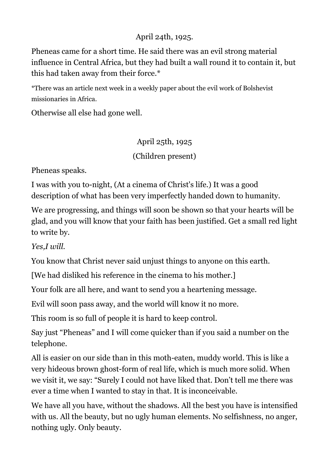## April 24th, 1925.

Pheneas came for a short time. He said there was an evil strong material influence in Central Africa, but they had built a wall round it to contain it, but this had taken away from their force.\*

\*There was an article next week in a weekly paper about the evil work of Bolshevist missionaries in Africa.

Otherwise all else had gone well.

### April 25th, 1925

(Children present)

Pheneas speaks.

I was with you to-night, (At a cinema of Christ's life.) It was a good description of what has been very imperfectly handed down to humanity.

We are progressing, and things will soon be shown so that your hearts will be glad, and you will know that your faith has been justified. Get a small red light to write by.

*Yes,I will.* 

You know that Christ never said unjust things to anyone on this earth.

[We had disliked his reference in the cinema to his mother.]

Your folk are all here, and want to send you a heartening message.

Evil will soon pass away, and the world will know it no more.

This room is so full of people it is hard to keep control.

Say just " Pheneas" and I will come quicker than if you said a number on the telephone.

All is easier on our side than in this moth-eaten, muddy world. This is like a very hideous brown ghost-form of real life, which is much more solid. When we visit it, we say: "Surely I could not have liked that. Don't tell me there was ever a time when I wanted to stay in that. It is inconceivable.

We have all you have, without the shadows. All the best you have is intensified with us. All the beauty, but no ugly human elements. No selfishness, no anger, nothing ugly. Only beauty.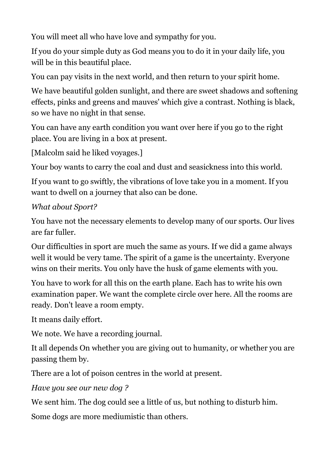You will meet all who have love and sympathy for you.

If you do your simple duty as God means you to do it in your daily life, you will be in this beautiful place.

You can pay visits in the next world, and then return to your spirit home.

We have beautiful golden sunlight, and there are sweet shadows and softening effects, pinks and greens and mauves' which give a contrast. Nothing is black, so we have no night in that sense.

You can have any earth condition you want over here if you go to the right place. You are living in a box at present.

[Malcolm said he liked voyages.]

Your boy wants to carry the coal and dust and seasickness into this world.

If you want to go swiftly, the vibrations of love take you in a moment. If you want to dwell on a journey that also can be done.

### *What about Sport?*

You have not the necessary elements to develop many of our sports. Our lives are far fuller.

Our difficulties in sport are much the same as yours. If we did a game always well it would be very tame. The spirit of a game is the uncertainty. Everyone wins on their merits. You only have the husk of game elements with you.

You have to work for all this on the earth plane. Each has to write his own examination paper. We want the complete circle over here. All the rooms are ready. Don't leave a room empty.

It means daily effort.

We note. We have a recording journal.

It all depends On whether you are giving out to humanity, or whether you are passing them by.

There are a lot of poison centres in the world at present.

*Have you see our new dog ?* 

We sent him. The dog could see a little of us, but nothing to disturb him.

Some dogs are more mediumistic than others.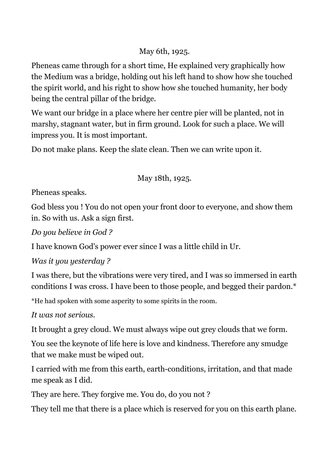## May 6th, 1925.

Pheneas came through for a short time, He explained very graphically how the Medium was a bridge, holding out his left hand to show how she touched the spirit world, and his right to show how she touched humanity, her body being the central pillar of the bridge.

We want our bridge in a place where her centre pier will be planted, not in marshy, stagnant water, but in firm ground. Look for such a place. We will impress you. It is most important.

Do not make plans. Keep the slate clean. Then we can write upon it.

### May 18th, 1925.

Pheneas speaks.

God bless you ! You do not open your front door to everyone, and show them in. So with us. Ask a sign first.

*Do you believe in God ?* 

I have known God's power ever since I was a little child in Ur.

*Was it you yesterday ?* 

I was there, but the vibrations were very tired, and I was so immersed in earth conditions I was cross. I have been to those people, and begged their pardon.\*

\*He had spoken with some asperity to some spirits in the room.

*It was not serious.* 

It brought a grey cloud. We must always wipe out grey clouds that we form.

You see the keynote of life here is love and kindness. Therefore any smudge that we make must be wiped out.

I carried with me from this earth, earth-conditions, irritation, and that made me speak as I did.

They are here. They forgive me. You do, do you not ?

They tell me that there is a place which is reserved for you on this earth plane.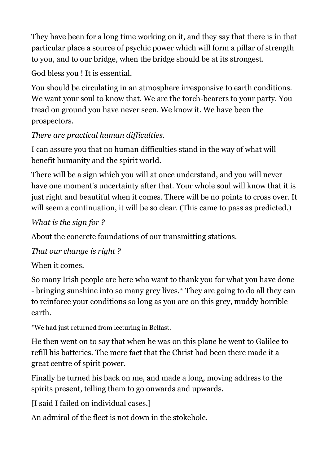They have been for a long time working on it, and they say that there is in that particular place a source of psychic power which will form a pillar of strength to you, and to our bridge, when the bridge should be at its strongest.

God bless you ! It is essential.

You should be circulating in an atmosphere irresponsive to earth conditions. We want your soul to know that. We are the torch-bearers to your party. You tread on ground you have never seen. We know it. We have been the prospectors.

*There are practical human difficulties.* 

I can assure you that no human difficulties stand in the way of what will benefit humanity and the spirit world.

There will be a sign which you will at once understand, and you will never have one moment's uncertainty after that. Your whole soul will know that it is just right and beautiful when it comes. There will be no points to cross over. It will seem a continuation, it will be so clear. (This came to pass as predicted.)

*What is the sign for ?* 

About the concrete foundations of our transmitting stations.

*That our change is right ?* 

When it comes.

So many Irish people are here who want to thank you for what you have done - bringing sunshine into so many grey lives.\* They are going to do all they can to reinforce your conditions so long as you are on this grey, muddy horrible earth.

\*We had just returned from lecturing in Belfast.

He then went on to say that when he was on this plane he went to Galilee to refill his batteries. The mere fact that the Christ had been there made it a great centre of spirit power.

Finally he turned his back on me, and made a long, moving address to the spirits present, telling them to go onwards and upwards.

[I said I failed on individual cases.]

An admiral of the fleet is not down in the stokehole.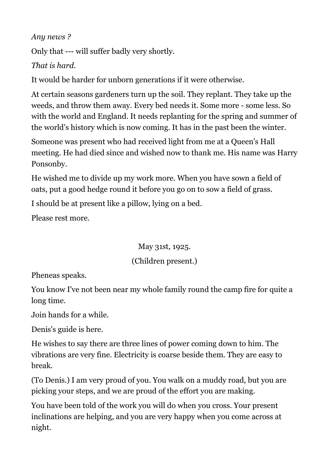*Any news ?*  Only that --- will suffer badly very shortly.

*That is hard.* 

It would be harder for unborn generations if it were otherwise.

At certain seasons gardeners turn up the soil. They replant. They take up the weeds, and throw them away. Every bed needs it. Some more - some less. So with the world and England. It needs replanting for the spring and summer of the world's history which is now coming. It has in the past been the winter.

Someone was present who had received light from me at a Queen's Hall meeting. He had died since and wished now to thank me. His name was Harry Ponsonby.

He wished me to divide up my work more. When you have sown a field of oats, put a good hedge round it before you go on to sow a field of grass.

I should be at present like a pillow, lying on a bed.

Please rest more.

May 31st, 1925.

# (Children present.)

Pheneas speaks.

You know I've not been near my whole family round the camp fire for quite a long time.

Join hands for a while.

Denis's guide is here.

He wishes to say there are three lines of power coming down to him. The vibrations are very fine. Electricity is coarse beside them. They are easy to break.

(To Denis.) I am very proud of you. You walk on a muddy road, but you are picking your steps, and we are proud of the effort you are making.

You have been told of the work you will do when you cross. Your present inclinations are helping, and you are very happy when you come across at night.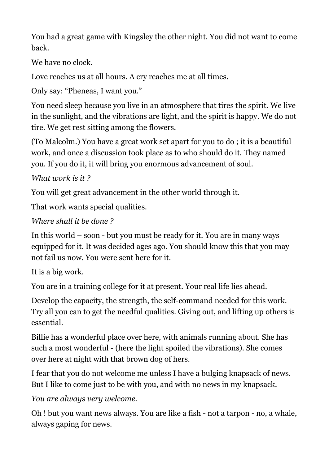You had a great game with Kingsley the other night. You did not want to come back.

We have no clock.

Love reaches us at all hours. A cry reaches me at all times.

Only say: "Pheneas, I want you."

You need sleep because you live in an atmosphere that tires the spirit. We live in the sunlight, and the vibrations are light, and the spirit is happy. We do not tire. We get rest sitting among the flowers.

(To Malcolm.) You have a great work set apart for you to do ; it is a beautiful work, and once a discussion took place as to who should do it. They named you. If you do it, it will bring you enormous advancement of soul.

*What work is it ?* 

You will get great advancement in the other world through it.

That work wants special qualities.

*Where shall it be done ?* 

In this world – soon - but you must be ready for it. You are in many ways equipped for it. It was decided ages ago. You should know this that you may not fail us now. You were sent here for it.

It is a big work.

You are in a training college for it at present. Your real life lies ahead.

Develop the capacity, the strength, the self-command needed for this work. Try all you can to get the needful qualities. Giving out, and lifting up others is essential.

Billie has a wonderful place over here, with animals running about. She has such a most wonderful - (here the light spoiled the vibrations). She comes over here at night with that brown dog of hers.

I fear that you do not welcome me unless I have a bulging knapsack of news. But I like to come just to be with you, and with no news in my knapsack.

*You are always very welcome.* 

Oh ! but you want news always. You are like a fish - not a tarpon - no, a whale, always gaping for news.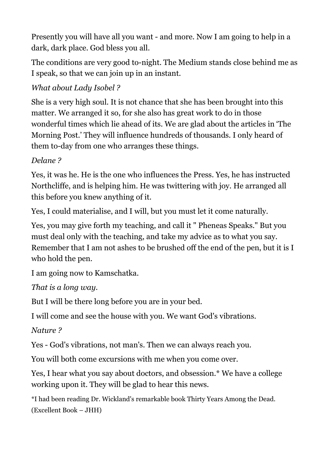Presently you will have all you want - and more. Now I am going to help in a dark, dark place. God bless you all.

The conditions are very good to-night. The Medium stands close behind me as I speak, so that we can join up in an instant.

# *What about Lady Isobel ?*

She is a very high soul. It is not chance that she has been brought into this matter. We arranged it so, for she also has great work to do in those wonderful times which lie ahead of its. We are glad about the articles in 'The Morning Post.' They will influence hundreds of thousands. I only heard of them to-day from one who arranges these things.

### *Delane ?*

Yes, it was he. He is the one who influences the Press. Yes, he has instructed Northcliffe, and is helping him. He was twittering with joy. He arranged all this before you knew anything of it.

Yes, I could materialise, and I will, but you must let it come naturally.

Yes, you may give forth my teaching, and call it " Pheneas Speaks." But you must deal only with the teaching, and take my advice as to what you say. Remember that I am not ashes to be brushed off the end of the pen, but it is I who hold the pen.

I am going now to Kamschatka.

*That is a long way.* 

But I will be there long before you are in your bed.

I will come and see the house with you. We want God's vibrations.

*Nature ?* 

Yes - God's vibrations, not man's. Then we can always reach you.

You will both come excursions with me when you come over.

Yes, I hear what you say about doctors, and obsession.\* We have a college working upon it. They will be glad to hear this news.

\*I had been reading Dr. Wickland's remarkable book Thirty Years Among the Dead. (Excellent Book – JHH)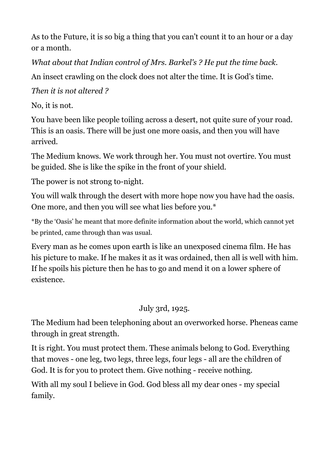As to the Future, it is so big a thing that you can't count it to an hour or a day or a month.

*What about that Indian control of Mrs. Barkel's ? He put the time back.* 

An insect crawling on the clock does not alter the time. It is God's time.

*Then it is not altered ?* 

No, it is not.

You have been like people toiling across a desert, not quite sure of your road. This is an oasis. There will be just one more oasis, and then you will have arrived.

The Medium knows. We work through her. You must not overtire. You must be guided. She is like the spike in the front of your shield.

The power is not strong to-night.

You will walk through the desert with more hope now you have had the oasis. One more, and then you will see what lies before you.\*

\*By the 'Oasis' he meant that more definite information about the world, which cannot yet be printed, came through than was usual.

Every man as he comes upon earth is like an unexposed cinema film. He has his picture to make. If he makes it as it was ordained, then all is well with him. If he spoils his picture then he has to go and mend it on a lower sphere of existence.

## July 3rd, 1925.

The Medium had been telephoning about an overworked horse. Pheneas came through in great strength.

It is right. You must protect them. These animals belong to God. Everything that moves - one leg, two legs, three legs, four legs - all are the children of God. It is for you to protect them. Give nothing - receive nothing.

With all my soul I believe in God. God bless all my dear ones - my special family.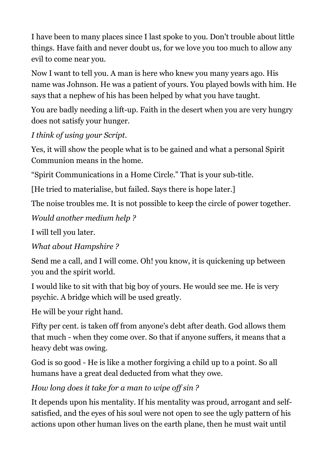I have been to many places since I last spoke to you. Don't trouble about little things. Have faith and never doubt us, for we love you too much to allow any evil to come near you.

Now I want to tell you. A man is here who knew you many years ago. His name was Johnson. He was a patient of yours. You played bowls with him. He says that a nephew of his has been helped by what you have taught.

You are badly needing a lift-up. Faith in the desert when you are very hungry does not satisfy your hunger.

## *I think of using your Script.*

Yes, it will show the people what is to be gained and what a personal Spirit Communion means in the home.

" Spirit Communications in a Home Circle." That is your sub-title.

[He tried to materialise, but failed. Says there is hope later.]

The noise troubles me. It is not possible to keep the circle of power together.

### *Would another medium help ?*

I will tell you later.

### *What about Hampshire ?*

Send me a call, and I will come. Oh! you know, it is quickening up between you and the spirit world.

I would like to sit with that big boy of yours. He would see me. He is very psychic. A bridge which will be used greatly.

He will be your right hand.

Fifty per cent. is taken off from anyone's debt after death. God allows them that much - when they come over. So that if anyone suffers, it means that a heavy debt was owing.

God is so good - He is like a mother forgiving a child up to a point. So all humans have a great deal deducted from what they owe.

## *How long does it take for a man to wipe off sin ?*

It depends upon his mentality. If his mentality was proud, arrogant and selfsatisfied, and the eyes of his soul were not open to see the ugly pattern of his actions upon other human lives on the earth plane, then he must wait until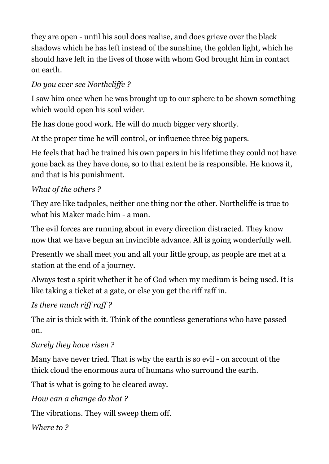they are open - until his soul does realise, and does grieve over the black shadows which he has left instead of the sunshine, the golden light, which he should have left in the lives of those with whom God brought him in contact on earth.

# *Do you ever see Northcliffe ?*

I saw him once when he was brought up to our sphere to be shown something which would open his soul wider.

He has done good work. He will do much bigger very shortly.

At the proper time he will control, or influence three big papers.

He feels that had he trained his own papers in his lifetime they could not have gone back as they have done, so to that extent he is responsible. He knows it, and that is his punishment.

# *What of the others ?*

They are like tadpoles, neither one thing nor the other. Northcliffe is true to what his Maker made him - a man.

The evil forces are running about in every direction distracted. They know now that we have begun an invincible advance. All is going wonderfully well.

Presently we shall meet you and all your little group, as people are met at a station at the end of a journey.

Always test a spirit whether it be of God when my medium is being used. It is like taking a ticket at a gate, or else you get the riff raff in.

# *Is there much riff raff ?*

The air is thick with it. Think of the countless generations who have passed on.

# *Surely they have risen ?*

Many have never tried. That is why the earth is so evil - on account of the thick cloud the enormous aura of humans who surround the earth.

That is what is going to be cleared away.

*How can a change do that ?* 

The vibrations. They will sweep them off.

*Where to ?*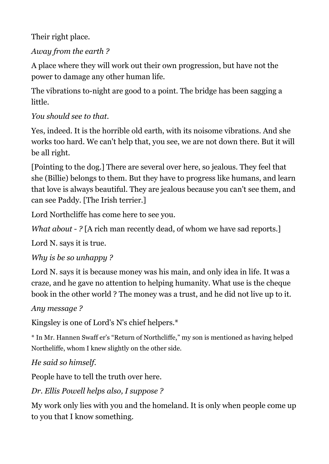Their right place.

## *Away from the earth ?*

A place where they will work out their own progression, but have not the power to damage any other human life.

The vibrations to-night are good to a point. The bridge has been sagging a little.

## *You should see to that.*

Yes, indeed. It is the horrible old earth, with its noisome vibrations. And she works too hard. We can't help that, you see, we are not down there. But it will be all right.

[Pointing to the dog.] There are several over here, so jealous. They feel that she (Billie) belongs to them. But they have to progress like humans, and learn that love is always beautiful. They are jealous because you can't see them, and can see Paddy. [The Irish terrier.]

Lord Northcliffe has come here to see you.

*What about* - ? [A rich man recently dead, of whom we have sad reports.]

Lord N. says it is true.

*Why is be so unhappy ?* 

Lord N. says it is because money was his main, and only idea in life. It was a craze, and he gave no attention to helping humanity. What use is the cheque book in the other world ? The money was a trust, and he did not live up to it.

*Any message ?* 

Kingsley is one of Lord's N's chief helpers.\*

\* In Mr. Hannen Swaff er's " Return of Northcliffe," my son is mentioned as having helped Northeliffe, whom I knew slightly on the other side.

## *He said so himself.*

People have to tell the truth over here.

## *Dr. Ellis Powell helps also, I suppose ?*

My work only lies with you and the homeland. It is only when people come up to you that I know something.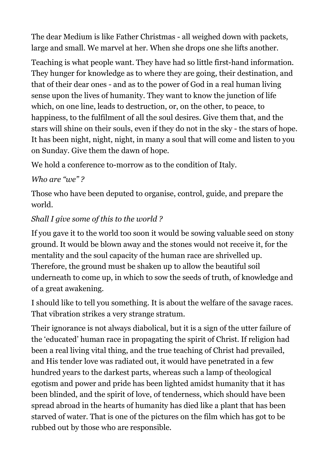The dear Medium is like Father Christmas - all weighed down with packets, large and small. We marvel at her. When she drops one she lifts another.

Teaching is what people want. They have had so little first-hand information. They hunger for knowledge as to where they are going, their destination, and that of their dear ones - and as to the power of God in a real human living sense upon the lives of humanity. They want to know the junction of life which, on one line, leads to destruction, or, on the other, to peace, to happiness, to the fulfilment of all the soul desires. Give them that, and the stars will shine on their souls, even if they do not in the sky - the stars of hope. It has been night, night, night, in many a soul that will come and listen to you on Sunday. Give them the dawn of hope.

We hold a conference to-morrow as to the condition of Italy.

### *Who are " we" ?*

Those who have been deputed to organise, control, guide, and prepare the world.

## *Shall I give some of this to the world ?*

If you gave it to the world too soon it would be sowing valuable seed on stony ground. It would be blown away and the stones would not receive it, for the mentality and the soul capacity of the human race are shrivelled up. Therefore, the ground must be shaken up to allow the beautiful soil underneath to come up, in which to sow the seeds of truth, of knowledge and of a great awakening.

I should like to tell you something. It is about the welfare of the savage races. That vibration strikes a very strange stratum.

Their ignorance is not always diabolical, but it is a sign of the utter failure of the 'educated' human race in propagating the spirit of Christ. If religion had been a real living vital thing, and the true teaching of Christ had prevailed, and His tender love was radiated out, it would have penetrated in a few hundred years to the darkest parts, whereas such a lamp of theological egotism and power and pride has been lighted amidst humanity that it has been blinded, and the spirit of love, of tenderness, which should have been spread abroad in the hearts of humanity has died like a plant that has been starved of water. That is one of the pictures on the film which has got to be rubbed out by those who are responsible.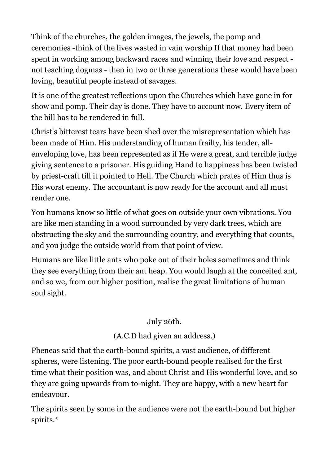Think of the churches, the golden images, the jewels, the pomp and ceremonies -think of the lives wasted in vain worship If that money had been spent in working among backward races and winning their love and respect not teaching dogmas - then in two or three generations these would have been loving, beautiful people instead of savages.

It is one of the greatest reflections upon the Churches which have gone in for show and pomp. Their day is done. They have to account now. Every item of the bill has to be rendered in full.

Christ's bitterest tears have been shed over the misrepresentation which has been made of Him. His understanding of human frailty, his tender, allenveloping love, has been represented as if He were a great, and terrible judge giving sentence to a prisoner. His guiding Hand to happiness has been twisted by priest-craft till it pointed to Hell. The Church which prates of Him thus is His worst enemy. The accountant is now ready for the account and all must render one.

You humans know so little of what goes on outside your own vibrations. You are like men standing in a wood surrounded by very dark trees, which are obstructing the sky and the surrounding country, and everything that counts, and you judge the outside world from that point of view.

Humans are like little ants who poke out of their holes sometimes and think they see everything from their ant heap. You would laugh at the conceited ant, and so we, from our higher position, realise the great limitations of human soul sight.

# July 26th.

# (A.C.D had given an address.)

Pheneas said that the earth-bound spirits, a vast audience, of different spheres, were listening. The poor earth-bound people realised for the first time what their position was, and about Christ and His wonderful love, and so they are going upwards from to-night. They are happy, with a new heart for endeavour.

The spirits seen by some in the audience were not the earth-bound but higher spirits.\*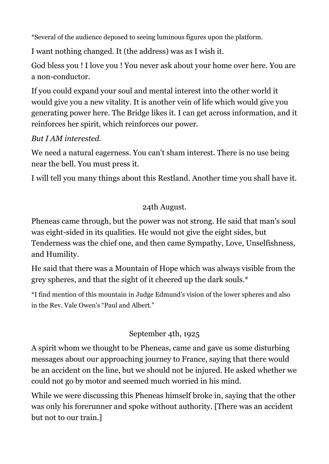\*Several of the audience deposed to seeing luminous figures upon the platform.

I want nothing changed. It (the address) was as I wish it.

God bless you ! I love you ! You never ask about your home over here. You are a non-conductor.

If you could expand your soul and mental interest into the other world it would give you a new vitality. It is another vein of life which would give you generating power here. The Bridge likes it. I can get across information, and it reinforces her spirit, which reinforces our power.

### *But I AM interested.*

We need a natural eagerness. You can't sham interest. There is no use being near the bell. You must press it.

I will tell you many things about this Restland. Another time you shall have it.

### 24th August.

Pheneas came through, but the power was not strong. He said that man's soul was eight-sided in its qualities. He would not give the eight sides, but Tenderness was the chief one, and then came Sympathy, Love, Unselfishness, and Humility.

He said that there was a Mountain of Hope which was always visible from the grey spheres, and that the sight of it cheered up the dark souls.\*

\*I find mention of this mountain in Judge Edmund's vision of the lower spheres and also in the Rev. Vale Owen's "Paul and Albert."

### September 4th, 1925

A spirit whom we thought to be Pheneas, came and gave us some disturbing messages about our approaching journey to France, saying that there would be an accident on the line, but we should not be injured. He asked whether we could not go by motor and seemed much worried in his mind.

While we were discussing this Pheneas himself broke in, saying that the other was only his forerunner and spoke without authority. [There was an accident but not to our train.]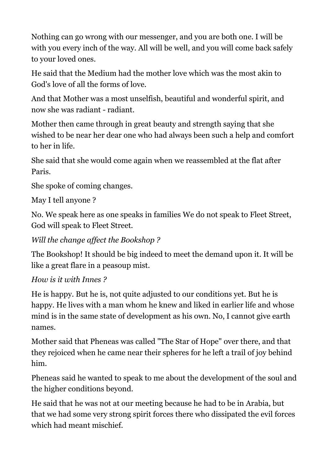Nothing can go wrong with our messenger, and you are both one. I will be with you every inch of the way. All will be well, and you will come back safely to your loved ones.

He said that the Medium had the mother love which was the most akin to God's love of all the forms of love.

And that Mother was a most unselfish, beautiful and wonderful spirit, and now she was radiant - radiant.

Mother then came through in great beauty and strength saying that she wished to be near her dear one who had always been such a help and comfort to her in life.

She said that she would come again when we reassembled at the flat after Paris.

She spoke of coming changes.

May I tell anyone ?

No. We speak here as one speaks in families We do not speak to Fleet Street, God will speak to Fleet Street.

*Will the change affect the Bookshop ?* 

The Bookshop! It should be big indeed to meet the demand upon it. It will be like a great flare in a peasoup mist.

*How is it with Innes ?* 

He is happy. But he is, not quite adjusted to our conditions yet. But he is happy. He lives with a man whom he knew and liked in earlier life and whose mind is in the same state of development as his own. No, I cannot give earth names.

Mother said that Pheneas was called "The Star of Hope" over there, and that they rejoiced when he came near their spheres for he left a trail of joy behind him.

Pheneas said he wanted to speak to me about the development of the soul and the higher conditions beyond.

He said that he was not at our meeting because he had to be in Arabia, but that we had some very strong spirit forces there who dissipated the evil forces which had meant mischief.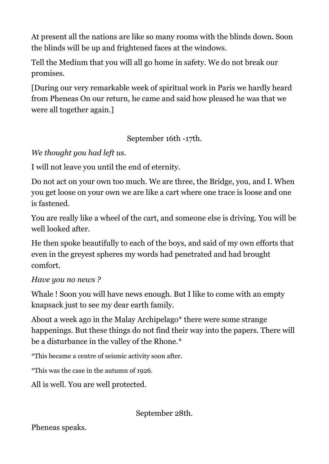At present all the nations are like so many rooms with the blinds down. Soon the blinds will be up and frightened faces at the windows.

Tell the Medium that you will all go home in safety. We do not break our promises.

[During our very remarkable week of spiritual work in Paris we hardly heard from Pheneas On our return, he came and said how pleased he was that we were all together again.]

September 16th -17th.

*We thought you had left us.* 

I will not leave you until the end of eternity.

Do not act on your own too much. We are three, the Bridge, you, and I. When you get loose on your own we are like a cart where one trace is loose and one is fastened.

You are really like a wheel of the cart, and someone else is driving. You will be well looked after.

He then spoke beautifully to each of the boys, and said of my own efforts that even in the greyest spheres my words had penetrated and had brought comfort.

### *Have you no news ?*

Whale ! Soon you will have news enough. But I like to come with an empty knapsack just to see my dear earth family.

About a week ago in the Malay Archipelago\* there were some strange happenings. But these things do not find their way into the papers. There will be a disturbance in the valley of the Rhone.\*

\*This became a centre of seismic activity soon after.

\*This was the case in the autumn of 1926.

All is well. You are well protected.

September 28th.

Pheneas speaks.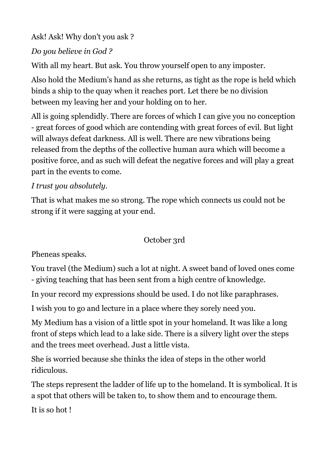Ask! Ask! Why don't you ask ?

*Do you believe in God ?* 

With all my heart. But ask. You throw yourself open to any imposter.

Also hold the Medium's hand as she returns, as tight as the rope is held which binds a ship to the quay when it reaches port. Let there be no division between my leaving her and your holding on to her.

All is going splendidly. There are forces of which I can give you no conception - great forces of good which are contending with great forces of evil. But light will always defeat darkness. All is well. There are new vibrations being released from the depths of the collective human aura which will become a positive force, and as such will defeat the negative forces and will play a great part in the events to come.

## *I trust you absolutely.*

That is what makes me so strong. The rope which connects us could not be strong if it were sagging at your end.

## October 3rd

Pheneas speaks.

You travel (the Medium) such a lot at night. A sweet band of loved ones come - giving teaching that has been sent from a high centre of knowledge.

In your record my expressions should be used. I do not like paraphrases.

I wish you to go and lecture in a place where they sorely need you.

My Medium has a vision of a little spot in your homeland. It was like a long front of steps which lead to a lake side. There is a silvery light over the steps and the trees meet overhead. Just a little vista.

She is worried because she thinks the idea of steps in the other world ridiculous.

The steps represent the ladder of life up to the homeland. It is symbolical. It is a spot that others will be taken to, to show them and to encourage them.

It is so hot !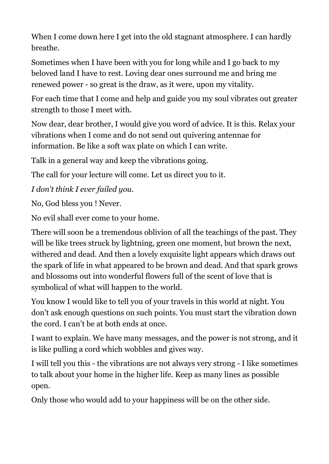When I come down here I get into the old stagnant atmosphere. I can hardly breathe.

Sometimes when I have been with you for long while and I go back to my beloved land I have to rest. Loving dear ones surround me and bring me renewed power - so great is the draw, as it were, upon my vitality.

For each time that I come and help and guide you my soul vibrates out greater strength to those I meet with.

Now dear, dear brother, I would give you word of advice. It is this. Relax your vibrations when I come and do not send out quivering antennae for information. Be like a soft wax plate on which I can write.

Talk in a general way and keep the vibrations going.

The call for your lecture will come. Let us direct you to it.

*I don't think I ever failed you.* 

No, God bless you ! Never.

No evil shall ever come to your home.

There will soon be a tremendous oblivion of all the teachings of the past. They will be like trees struck by lightning, green one moment, but brown the next, withered and dead. And then a lovely exquisite light appears which draws out the spark of life in what appeared to be brown and dead. And that spark grows and blossoms out into wonderful flowers full of the scent of love that is symbolical of what will happen to the world.

You know I would like to tell you of your travels in this world at night. You don't ask enough questions on such points. You must start the vibration down the cord. I can't be at both ends at once.

I want to explain. We have many messages, and the power is not strong, and it is like pulling a cord which wobbles and gives way.

I will tell you this - the vibrations are not always very strong - I like sometimes to talk about your home in the higher life. Keep as many lines as possible open.

Only those who would add to your happiness will be on the other side.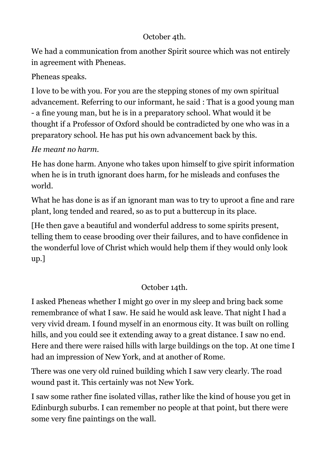## October 4th.

We had a communication from another Spirit source which was not entirely in agreement with Pheneas.

Pheneas speaks.

I love to be with you. For you are the stepping stones of my own spiritual advancement. Referring to our informant, he said : That is a good young man - a fine young man, but he is in a preparatory school. What would it be thought if a Professor of Oxford should be contradicted by one who was in a preparatory school. He has put his own advancement back by this.

*He meant no harm.* 

He has done harm. Anyone who takes upon himself to give spirit information when he is in truth ignorant does harm, for he misleads and confuses the world.

What he has done is as if an ignorant man was to try to uproot a fine and rare plant, long tended and reared, so as to put a buttercup in its place.

[He then gave a beautiful and wonderful address to some spirits present, telling them to cease brooding over their failures, and to have confidence in the wonderful love of Christ which would help them if they would only look up.]

October 14th.

I asked Pheneas whether I might go over in my sleep and bring back some remembrance of what I saw. He said he would ask leave. That night I had a very vivid dream. I found myself in an enormous city. It was built on rolling hills, and you could see it extending away to a great distance. I saw no end. Here and there were raised hills with large buildings on the top. At one time I had an impression of New York, and at another of Rome.

There was one very old ruined building which I saw very clearly. The road wound past it. This certainly was not New York.

I saw some rather fine isolated villas, rather like the kind of house you get in Edinburgh suburbs. I can remember no people at that point, but there were some very fine paintings on the wall.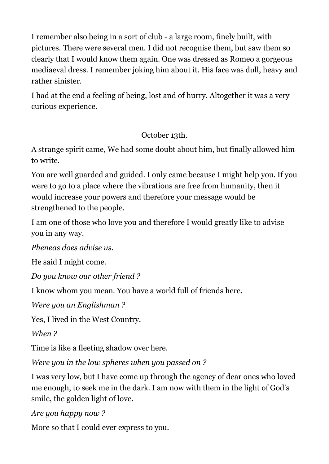I remember also being in a sort of club - a large room, finely built, with pictures. There were several men. I did not recognise them, but saw them so clearly that I would know them again. One was dressed as Romeo a gorgeous mediaeval dress. I remember joking him about it. His face was dull, heavy and rather sinister.

I had at the end a feeling of being, lost and of hurry. Altogether it was a very curious experience.

October 13th.

A strange spirit came, We had some doubt about him, but finally allowed him to write.

You are well guarded and guided. I only came because I might help you. If you were to go to a place where the vibrations are free from humanity, then it would increase your powers and therefore your message would be strengthened to the people.

I am one of those who love you and therefore I would greatly like to advise you in any way.

*Pheneas does advise us.* 

He said I might come.

*Do you know our other friend ?* 

I know whom you mean. You have a world full of friends here.

*Were you an Englishman ?* 

Yes, I lived in the West Country.

*When ?* 

Time is like a fleeting shadow over here.

*Were you in the low spheres when you passed on ?* 

I was very low, but I have come up through the agency of dear ones who loved me enough, to seek me in the dark. I am now with them in the light of God's smile, the golden light of love.

*Are you happy now ?* 

More so that I could ever express to you.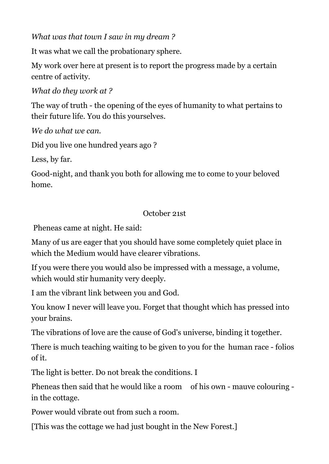*What was that town I saw in my dream ?* 

It was what we call the probationary sphere.

My work over here at present is to report the progress made by a certain centre of activity.

*What do they work at ?* 

The way of truth - the opening of the eyes of humanity to what pertains to their future life. You do this yourselves.

*We do what we can.* 

Did you live one hundred years ago ?

Less, by far.

Good-night, and thank you both for allowing me to come to your beloved home.

#### October 21st

Pheneas came at night. He said:

Many of us are eager that you should have some completely quiet place in which the Medium would have clearer vibrations.

If you were there you would also be impressed with a message, a volume, which would stir humanity very deeply.

I am the vibrant link between you and God.

You know I never will leave you. Forget that thought which has pressed into your brains.

The vibrations of love are the cause of God's universe, binding it together.

There is much teaching waiting to be given to you for the human race - folios of it.

The light is better. Do not break the conditions. I

Pheneas then said that he would like a room of his own - mauve colouring in the cottage.

Power would vibrate out from such a room.

[This was the cottage we had just bought in the New Forest.]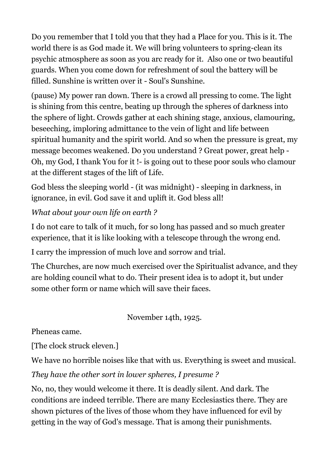Do you remember that I told you that they had a Place for you. This is it. The world there is as God made it. We will bring volunteers to spring-clean its psychic atmosphere as soon as you arc ready for it. Also one or two beautiful guards. When you come down for refreshment of soul the battery will be filled. Sunshine is written over it - Soul's Sunshine.

(pause) My power ran down. There is a crowd all pressing to come. The light is shining from this centre, beating up through the spheres of darkness into the sphere of light. Crowds gather at each shining stage, anxious, clamouring, beseeching, imploring admittance to the vein of light and life between spiritual humanity and the spirit world. And so when the pressure is great, my message becomes weakened. Do you understand ? Great power, great help - Oh, my God, I thank You for it !- is going out to these poor souls who clamour at the different stages of the lift of Life.

God bless the sleeping world - (it was midnight) - sleeping in darkness, in ignorance, in evil. God save it and uplift it. God bless all!

#### *What about your own life on earth ?*

I do not care to talk of it much, for so long has passed and so much greater experience, that it is like looking with a telescope through the wrong end.

I carry the impression of much love and sorrow and trial.

The Churches, are now much exercised over the Spiritualist advance, and they are holding council what to do. Their present idea is to adopt it, but under some other form or name which will save their faces.

November 14th, 1925.

Pheneas came.

[The clock struck eleven.]

We have no horrible noises like that with us. Everything is sweet and musical.

*They have the other sort in lower spheres, I presume ?* 

No, no, they would welcome it there. It is deadly silent. And dark. The conditions are indeed terrible. There are many Ecclesiastics there. They are shown pictures of the lives of those whom they have influenced for evil by getting in the way of God's message. That is among their punishments.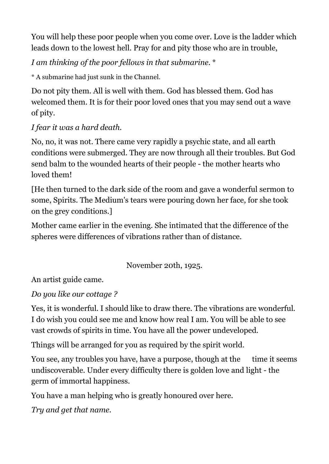You will help these poor people when you come over. Love is the ladder which leads down to the lowest hell. Pray for and pity those who are in trouble,

*I am thinking of the poor fellows in that submarine.* \*

\* A submarine had just sunk in the Channel.

Do not pity them. All is well with them. God has blessed them. God has welcomed them. It is for their poor loved ones that you may send out a wave of pity.

*I fear it was a hard death.* 

No, no, it was not. There came very rapidly a psychic state, and all earth conditions were submerged. They are now through all their troubles. But God send balm to the wounded hearts of their people - the mother hearts who loved them!

[He then turned to the dark side of the room and gave a wonderful sermon to some, Spirits. The Medium's tears were pouring down her face, for she took on the grey conditions.]

Mother came earlier in the evening. She intimated that the difference of the spheres were differences of vibrations rather than of distance.

November 20th, 1925.

An artist guide came.

## *Do you like our cottage ?*

Yes, it is wonderful. I should like to draw there. The vibrations are wonderful. I do wish you could see me and know how real I am. You will be able to see vast crowds of spirits in time. You have all the power undeveloped.

Things will be arranged for you as required by the spirit world.

You see, any troubles you have, have a purpose, though at the time it seems undiscoverable. Under every difficulty there is golden love and light - the germ of immortal happiness.

You have a man helping who is greatly honoured over here.

*Try and get that name.*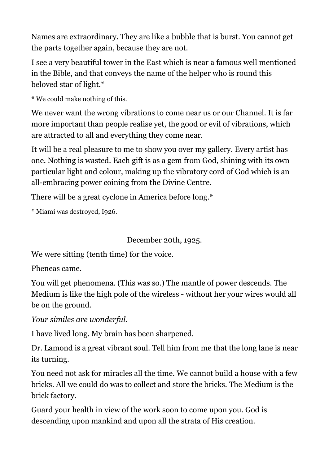Names are extraordinary. They are like a bubble that is burst. You cannot get the parts together again, because they are not.

I see a very beautiful tower in the East which is near a famous well mentioned in the Bible, and that conveys the name of the helper who is round this beloved star of light.\*

\* We could make nothing of this.

We never want the wrong vibrations to come near us or our Channel. It is far more important than people realise yet, the good or evil of vibrations, which are attracted to all and everything they come near.

It will be a real pleasure to me to show you over my gallery. Every artist has one. Nothing is wasted. Each gift is as a gem from God, shining with its own particular light and colour, making up the vibratory cord of God which is an all-embracing power coining from the Divine Centre.

There will be a great cyclone in America before long.\*

\* Miami was destroyed, I926.

December 20th, 1925.

We were sitting (tenth time) for the voice.

Pheneas came.

You will get phenomena. (This was so.) The mantle of power descends. The Medium is like the high pole of the wireless - without her your wires would all be on the ground.

*Your similes are wonderful.* 

I have lived long. My brain has been sharpened.

Dr. Lamond is a great vibrant soul. Tell him from me that the long lane is near its turning.

You need not ask for miracles all the time. We cannot build a house with a few bricks. All we could do was to collect and store the bricks. The Medium is the brick factory.

Guard your health in view of the work soon to come upon you. God is descending upon mankind and upon all the strata of His creation.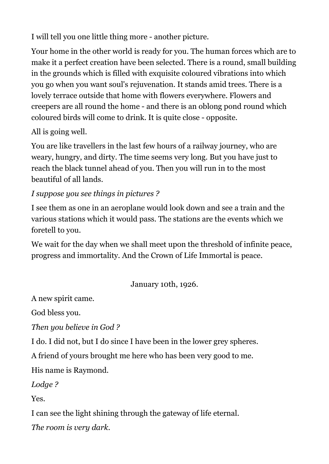I will tell you one little thing more - another picture.

Your home in the other world is ready for you. The human forces which are to make it a perfect creation have been selected. There is a round, small building in the grounds which is filled with exquisite coloured vibrations into which you go when you want soul's rejuvenation. It stands amid trees. There is a lovely terrace outside that home with flowers everywhere. Flowers and creepers are all round the home - and there is an oblong pond round which coloured birds will come to drink. It is quite close - opposite.

All is going well.

You are like travellers in the last few hours of a railway journey, who are weary, hungry, and dirty. The time seems very long. But you have just to reach the black tunnel ahead of you. Then you will run in to the most beautiful of all lands.

## *I suppose you see things in pictures ?*

I see them as one in an aeroplane would look down and see a train and the various stations which it would pass. The stations are the events which we foretell to you.

We wait for the day when we shall meet upon the threshold of infinite peace, progress and immortality. And the Crown of Life Immortal is peace.

January 10th, 1926.

A new spirit came.

God bless you.

*Then you believe in God ?* 

I do. I did not, but I do since I have been in the lower grey spheres.

A friend of yours brought me here who has been very good to me.

His name is Raymond.

*Lodge ?* 

Yes.

I can see the light shining through the gateway of life eternal.

*The room is very dark.*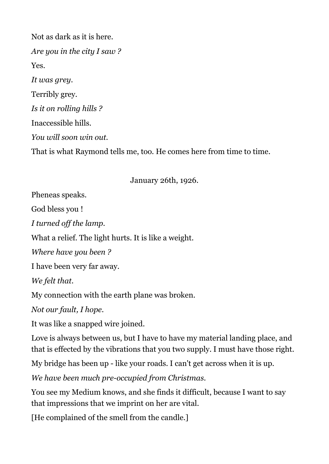Not as dark as it is here. *Are you in the city I saw ?*  Yes. *It was grey.*  Terribly grey. *Is it on rolling hills ?*  Inaccessible hills. *You will soon win out.*  That is what Raymond tells me, too. He comes here from time to time.

January 26th, 1926.

Pheneas speaks.

God bless you !

*I turned off the lamp.* 

What a relief. The light hurts. It is like a weight.

*Where have you been ?* 

I have been very far away.

*We felt that.* 

My connection with the earth plane was broken.

*Not our fault, I hope.* 

It was like a snapped wire joined.

Love is always between us, but I have to have my material landing place, and that is effected by the vibrations that you two supply. I must have those right.

My bridge has been up - like your roads. I can't get across when it is up.

*We have been much pre-occupied from Christmas.* 

You see my Medium knows, and she finds it difficult, because I want to say that impressions that we imprint on her are vital.

[He complained of the smell from the candle.]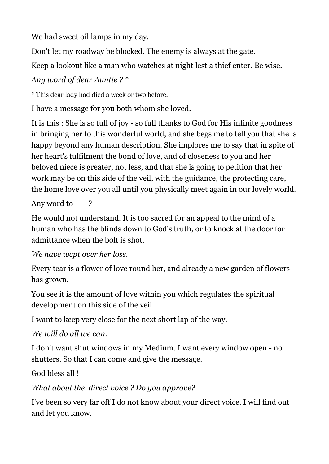We had sweet oil lamps in my day.

Don't let my roadway be blocked. The enemy is always at the gate.

Keep a lookout like a man who watches at night lest a thief enter. Be wise.

#### *Any word of dear Auntie ? \**

\* This dear lady had died a week or two before.

I have a message for you both whom she loved.

It is this : She is so full of joy - so full thanks to God for His infinite goodness in bringing her to this wonderful world, and she begs me to tell you that she is happy beyond any human description. She implores me to say that in spite of her heart's fulfilment the bond of love, and of closeness to you and her beloved niece is greater, not less, and that she is going to petition that her work may be on this side of the veil, with the guidance, the protecting care, the home love over you all until you physically meet again in our lovely world.

Any word to ---- ?

He would not understand. It is too sacred for an appeal to the mind of a human who has the blinds down to God's truth, or to knock at the door for admittance when the bolt is shot.

*We have wept over her loss.* 

Every tear is a flower of love round her, and already a new garden of flowers has grown.

You see it is the amount of love within you which regulates the spiritual development on this side of the veil.

I want to keep very close for the next short lap of the way.

*We will do all we can.* 

I don't want shut windows in my Medium. I want every window open - no shutters. So that I can come and give the message.

God bless all !

*What about the direct voice ? Do you approve?* 

I've been so very far off I do not know about your direct voice. I will find out and let you know.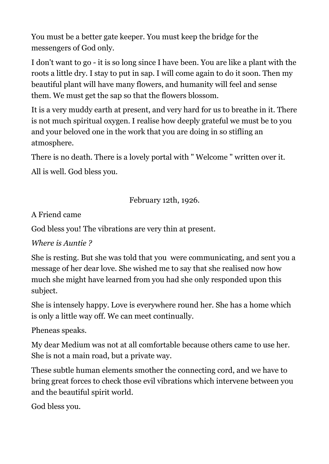You must be a better gate keeper. You must keep the bridge for the messengers of God only.

I don't want to go - it is so long since I have been. You are like a plant with the roots a little dry. I stay to put in sap. I will come again to do it soon. Then my beautiful plant will have many flowers, and humanity will feel and sense them. We must get the sap so that the flowers blossom.

It is a very muddy earth at present, and very hard for us to breathe in it. There is not much spiritual oxygen. I realise how deeply grateful we must be to you and your beloved one in the work that you are doing in so stifling an atmosphere.

There is no death. There is a lovely portal with " Welcome " written over it. All is well. God bless you.

February 12th, 1926.

A Friend came

God bless you! The vibrations are very thin at present.

*Where is Auntie ?* 

She is resting. But she was told that you were communicating, and sent you a message of her dear love. She wished me to say that she realised now how much she might have learned from you had she only responded upon this subject.

She is intensely happy. Love is everywhere round her. She has a home which is only a little way off. We can meet continually.

Pheneas speaks.

My dear Medium was not at all comfortable because others came to use her. She is not a main road, but a private way.

These subtle human elements smother the connecting cord, and we have to bring great forces to check those evil vibrations which intervene between you and the beautiful spirit world.

God bless you.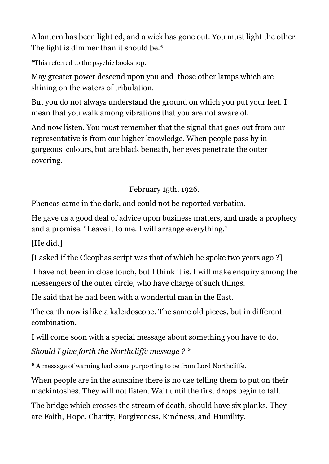A lantern has been light ed, and a wick has gone out. You must light the other. The light is dimmer than it should be.\*

\*This referred to the psychic bookshop.

May greater power descend upon you and those other lamps which are shining on the waters of tribulation.

But you do not always understand the ground on which you put your feet. I mean that you walk among vibrations that you are not aware of.

And now listen. You must remember that the signal that goes out from our representative is from our higher knowledge. When people pass by in gorgeous colours, but are black beneath, her eyes penetrate the outer covering.

February 15th, 1926.

Pheneas came in the dark, and could not be reported verbatim.

He gave us a good deal of advice upon business matters, and made a prophecy and a promise. " Leave it to me. I will arrange everything."

[He did.]

[I asked if the Cleophas script was that of which he spoke two years ago ?]

 I have not been in close touch, but I think it is. I will make enquiry among the messengers of the outer circle, who have charge of such things.

He said that he had been with a wonderful man in the East.

The earth now is like a kaleidoscope. The same old pieces, but in different combination.

I will come soon with a special message about something you have to do.

*Should I give forth the Northcliffe message ? \** 

\* A message of warning had come purporting to be from Lord Northcliffe.

When people are in the sunshine there is no use telling them to put on their mackintoshes. They will not listen. Wait until the first drops begin to fall.

The bridge which crosses the stream of death, should have six planks. They are Faith, Hope, Charity, Forgiveness, Kindness, and Humility.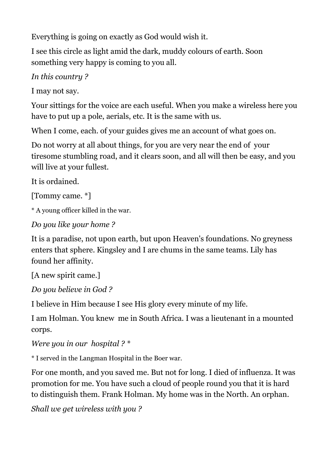Everything is going on exactly as God would wish it.

I see this circle as light amid the dark, muddy colours of earth. Soon something very happy is coming to you all.

*In this country ?* 

I may not say.

Your sittings for the voice are each useful. When you make a wireless here you have to put up a pole, aerials, etc. It is the same with us.

When I come, each. of your guides gives me an account of what goes on.

Do not worry at all about things, for you are very near the end of your tiresome stumbling road, and it clears soon, and all will then be easy, and you will live at your fullest.

It is ordained.

[Tommy came. \*]

\* A young officer killed in the war.

*Do you like your home ?* 

It is a paradise, not upon earth, but upon Heaven's foundations. No greyness enters that sphere. Kingsley and I are chums in the same teams. Lily has found her affinity.

[A new spirit came.]

*Do you believe in God ?* 

I believe in Him because I see His glory every minute of my life.

I am Holman. You knew me in South Africa. I was a lieutenant in a mounted corps.

*Were you in our hospital ? \** 

\* I served in the Langman Hospital in the Boer war.

For one month, and you saved me. But not for long. I died of influenza. It was promotion for me. You have such a cloud of people round you that it is hard to distinguish them. Frank Holman. My home was in the North. An orphan.

*Shall we get wireless with you ?*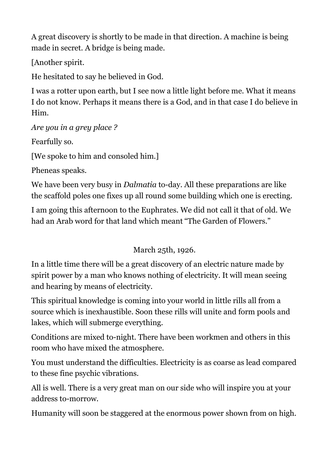A great discovery is shortly to be made in that direction. A machine is being made in secret. A bridge is being made.

[Another spirit.

He hesitated to say he believed in God.

I was a rotter upon earth, but I see now a little light before me. What it means I do not know. Perhaps it means there is a God, and in that case I do believe in Him.

*Are you in a grey place ?* 

Fearfully so.

[We spoke to him and consoled him.]

Pheneas speaks.

We have been very busy in *Dalmatia* to-day. All these preparations are like the scaffold poles one fixes up all round some building which one is erecting.

I am going this afternoon to the Euphrates. We did not call it that of old. We had an Arab word for that land which meant "The Garden of Flowers."

#### March 25th, 1926.

In a little time there will be a great discovery of an electric nature made by spirit power by a man who knows nothing of electricity. It will mean seeing and hearing by means of electricity.

This spiritual knowledge is coming into your world in little rills all from a source which is inexhaustible. Soon these rills will unite and form pools and lakes, which will submerge everything.

Conditions are mixed to-night. There have been workmen and others in this room who have mixed the atmosphere.

You must understand the difficulties. Electricity is as coarse as lead compared to these fine psychic vibrations.

All is well. There is a very great man on our side who will inspire you at your address to-morrow.

Humanity will soon be staggered at the enormous power shown from on high.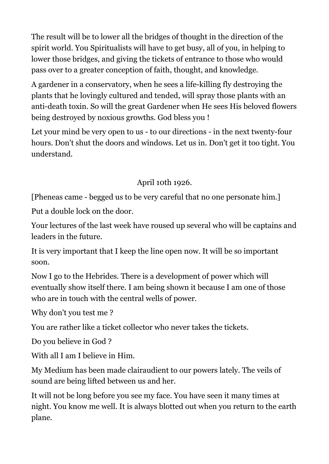The result will be to lower all the bridges of thought in the direction of the spirit world. You Spiritualists will have to get busy, all of you, in helping to lower those bridges, and giving the tickets of entrance to those who would pass over to a greater conception of faith, thought, and knowledge.

A gardener in a conservatory, when he sees a life-killing fly destroying the plants that he lovingly cultured and tended, will spray those plants with an anti-death toxin. So will the great Gardener when He sees His beloved flowers being destroyed by noxious growths. God bless you !

Let your mind be very open to us - to our directions - in the next twenty-four hours. Don't shut the doors and windows. Let us in. Don't get it too tight. You understand.

April 10th 1926.

[Pheneas came - begged us to be very careful that no one personate him.]

Put a double lock on the door.

Your lectures of the last week have roused up several who will be captains and leaders in the future.

It is very important that I keep the line open now. It will be so important soon.

Now I go to the Hebrides. There is a development of power which will eventually show itself there. I am being shown it because I am one of those who are in touch with the central wells of power.

Why don't you test me ?

You are rather like a ticket collector who never takes the tickets.

Do you believe in God ?

With all I am I believe in Him.

My Medium has been made clairaudient to our powers lately. The veils of sound are being lifted between us and her.

It will not be long before you see my face. You have seen it many times at night. You know me well. It is always blotted out when you return to the earth plane.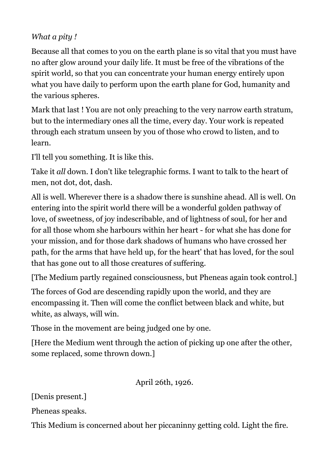### *What a pity !*

Because all that comes to you on the earth plane is so vital that you must have no after glow around your daily life. It must be free of the vibrations of the spirit world, so that you can concentrate your human energy entirely upon what you have daily to perform upon the earth plane for God, humanity and the various spheres.

Mark that last ! You are not only preaching to the very narrow earth stratum, but to the intermediary ones all the time, every day. Your work is repeated through each stratum unseen by you of those who crowd to listen, and to learn.

I'll tell you something. It is like this.

Take it *all* down. I don't like telegraphic forms. I want to talk to the heart of men, not dot, dot, dash.

All is well. Wherever there is a shadow there is sunshine ahead. All is well. On entering into the spirit world there will be a wonderful golden pathway of love, of sweetness, of joy indescribable, and of lightness of soul, for her and for all those whom she harbours within her heart - for what she has done for your mission, and for those dark shadows of humans who have crossed her path, for the arms that have held up, for the heart' that has loved, for the soul that has gone out to all those creatures of suffering.

[The Medium partly regained consciousness, but Pheneas again took control.]

The forces of God are descending rapidly upon the world, and they are encompassing it. Then will come the conflict between black and white, but white, as always, will win.

Those in the movement are being judged one by one.

[Here the Medium went through the action of picking up one after the other, some replaced, some thrown down.]

April 26th, 1926.

[Denis present.]

Pheneas speaks.

This Medium is concerned about her piccaninny getting cold. Light the fire.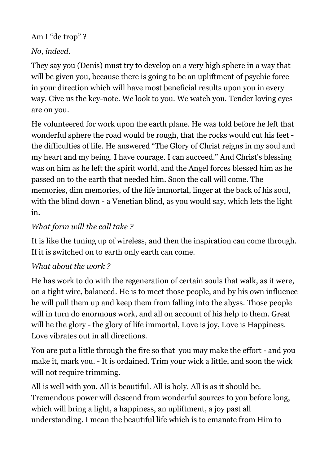## Am I "de trop"?

#### *No, indeed.*

They say you (Denis) must try to develop on a very high sphere in a way that will be given you, because there is going to be an upliftment of psychic force in your direction which will have most beneficial results upon you in every way. Give us the key-note. We look to you. We watch you. Tender loving eyes are on you.

He volunteered for work upon the earth plane. He was told before he left that wonderful sphere the road would be rough, that the rocks would cut his feet the difficulties of life. He answered " The Glory of Christ reigns in my soul and my heart and my being. I have courage. I can succeed." And Christ's blessing was on him as he left the spirit world, and the Angel forces blessed him as he passed on to the earth that needed him. Soon the call will come. The memories, dim memories, of the life immortal, linger at the back of his soul, with the blind down - a Venetian blind, as you would say, which lets the light in.

### *What form will the call take ?*

It is like the tuning up of wireless, and then the inspiration can come through. If it is switched on to earth only earth can come.

#### *What about the work ?*

He has work to do with the regeneration of certain souls that walk, as it were, on a tight wire, balanced. He is to meet those people, and by his own influence he will pull them up and keep them from falling into the abyss. Those people will in turn do enormous work, and all on account of his help to them. Great will he the glory - the glory of life immortal, Love is joy, Love is Happiness. Love vibrates out in all directions.

You are put a little through the fire so that you may make the effort - and you make it, mark you. - It is ordained. Trim your wick a little, and soon the wick will not require trimming.

All is well with you. All is beautiful. All is holy. All is as it should be. Tremendous power will descend from wonderful sources to you before long, which will bring a light, a happiness, an upliftment, a joy past all understanding. I mean the beautiful life which is to emanate from Him to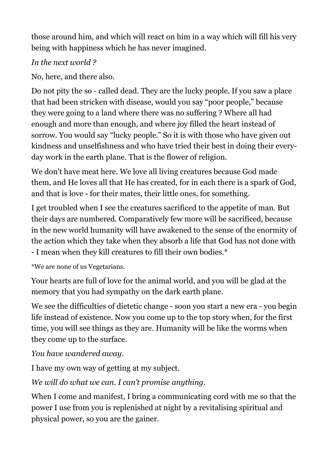those around him, and which will react on him in a way which will fill his very being with happiness which he has never imagined.

*In the next world ?* 

No, here, and there also.

Do not pity the so - called dead. They are the lucky people. If you saw a place that had been stricken with disease, would you say " poor people," because they were going to a land where there was no suffering ? Where all had enough and more than enough, and where joy filled the heart instead of sorrow. You would say "lucky people." So it is with those who have given out kindness and unselfishness and who have tried their best in doing their everyday work in the earth plane. That is the flower of religion.

We don't have meat here. We love all living creatures because God made them, and He loves all that He has created, for in each there is a spark of God, and that is love - for their mates, their little ones, for something.

I get troubled when I see the creatures sacrificed to the appetite of man. But their days are numbered. Comparatively few more will be sacrificed, because in the new world humanity will have awakened to the sense of the enormity of the action which they take when they absorb a life that God has not done with - I mean when they kill creatures to fill their own bodies.\*

\*We are none of us Vegetarians.

Your hearts are full of love for the animal world, and you will be glad at the memory that you had sympathy on the dark earth plane.

We see the difficulties of dietetic change - soon you start a new era - you begin life instead of existence. Now you come up to the top story when, for the first time, you will see things as they are. Humanity will be like the worms when they come up to the surface.

*You have wandered away.* 

I have my own way of getting at my subject.

*We will do what we can. I can't promise anything.* 

When I come and manifest, I bring a communicating cord with me so that the power I use from you is replenished at night by a revitalising spiritual and physical power, so you are the gainer.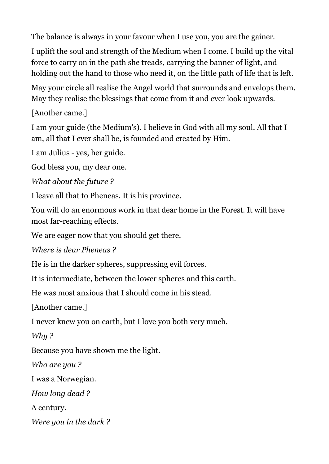The balance is always in your favour when I use you, you are the gainer.

I uplift the soul and strength of the Medium when I come. I build up the vital force to carry on in the path she treads, carrying the banner of light, and holding out the hand to those who need it, on the little path of life that is left.

May your circle all realise the Angel world that surrounds and envelops them. May they realise the blessings that come from it and ever look upwards.

[Another came.]

I am your guide (the Medium's). I believe in God with all my soul. All that I am, all that I ever shall be, is founded and created by Him.

I am Julius - yes, her guide.

God bless you, my dear one.

*What about the future ?* 

I leave all that to Pheneas. It is his province.

You will do an enormous work in that dear home in the Forest. It will have most far-reaching effects.

We are eager now that you should get there.

*Where is dear Pheneas ?* 

He is in the darker spheres, suppressing evil forces.

It is intermediate, between the lower spheres and this earth.

He was most anxious that I should come in his stead.

[Another came.]

I never knew you on earth, but I love you both very much.

*Why ?* 

Because you have shown me the light.

*Who are you ?* 

I was a Norwegian.

*How long dead ?* 

A century.

*Were you in the dark ?*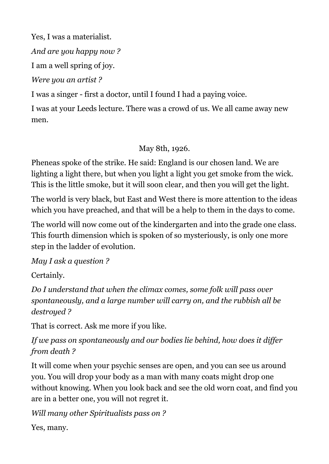Yes, I was a materialist.

*And are you happy now ?* 

I am a well spring of joy.

*Were you an artist ?* 

I was a singer - first a doctor, until I found I had a paying voice.

I was at your Leeds lecture. There was a crowd of us. We all came away new men.

#### May 8th, 1926.

Pheneas spoke of the strike. He said: England is our chosen land. We are lighting a light there, but when you light a light you get smoke from the wick. This is the little smoke, but it will soon clear, and then you will get the light.

The world is very black, but East and West there is more attention to the ideas which you have preached, and that will be a help to them in the days to come.

The world will now come out of the kindergarten and into the grade one class. This fourth dimension which is spoken of so mysteriously, is only one more step in the ladder of evolution.

*May I ask a question ?* 

Certainly.

*Do I understand that when the climax comes, some folk will pass over spontaneously, and a large number will carry on, and the rubbish all be destroyed ?* 

That is correct. Ask me more if you like.

*If we pass on spontaneously and our bodies lie behind, how does it differ from death ?* 

It will come when your psychic senses are open, and you can see us around you. You will drop your body as a man with many coats might drop one without knowing. When you look back and see the old worn coat, and find you are in a better one, you will not regret it.

*Will many other Spiritualists pass on ?* 

Yes, many.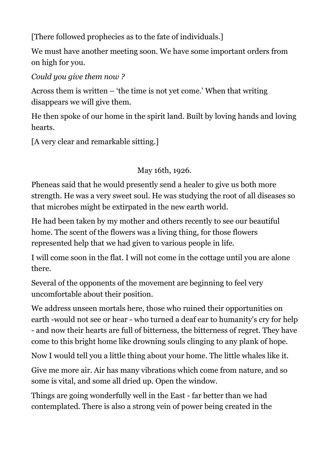[There followed prophecies as to the fate of individuals.]

We must have another meeting soon. We have some important orders from on high for you.

*Could you give them now ?* 

Across them is written –'the time is not yet come.'When that writing disappears we will give them.

He then spoke of our home in the spirit land. Built by loving hands and loving hearts.

[A very clear and remarkable sitting.]

## May 16th, 1926.

Pheneas said that he would presently send a healer to give us both more strength. He was a very sweet soul. He was studying the root of all diseases so that microbes might be extirpated in the new earth world.

He had been taken by my mother and others recently to see our beautiful home. The scent of the flowers was a living thing, for those flowers represented help that we had given to various people in life.

I will come soon in the flat. I will not come in the cottage until you are alone there.

Several of the opponents of the movement are beginning to feel very uncomfortable about their position.

We address unseen mortals here, those who ruined their opportunities on earth -would not see or hear - who turned a deaf ear to humanity's cry for help - and now their hearts are full of bitterness, the bitterness of regret. They have come to this bright home like drowning souls clinging to any plank of hope.

Now I would tell you a little thing about your home. The little whales like it.

Give me more air. Air has many vibrations which come from nature, and so some is vital, and some all dried up. Open the window.

Things are going wonderfully well in the East - far better than we had contemplated. There is also a strong vein of power being created in the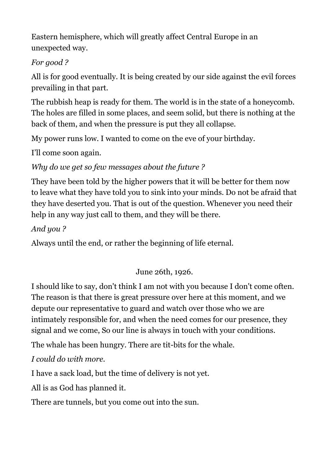Eastern hemisphere, which will greatly affect Central Europe in an unexpected way.

#### *For good ?*

All is for good eventually. It is being created by our side against the evil forces prevailing in that part.

The rubbish heap is ready for them. The world is in the state of a honeycomb. The holes are filled in some places, and seem solid, but there is nothing at the back of them, and when the pressure is put they all collapse.

My power runs low. I wanted to come on the eve of your birthday.

I'll come soon again.

### *Why do we get so few messages about the future ?*

They have been told by the higher powers that it will be better for them now to leave what they have told you to sink into your minds. Do not be afraid that they have deserted you. That is out of the question. Whenever you need their help in any way just call to them, and they will be there.

*And you ?* 

Always until the end, or rather the beginning of life eternal.

#### June 26th, 1926.

I should like to say, don't think I am not with you because I don't come often. The reason is that there is great pressure over here at this moment, and we depute our representative to guard and watch over those who we are intimately responsible for, and when the need comes for our presence, they signal and we come, So our line is always in touch with your conditions.

The whale has been hungry. There are tit-bits for the whale.

*I could do with more.* 

I have a sack load, but the time of delivery is not yet.

All is as God has planned it.

There are tunnels, but you come out into the sun.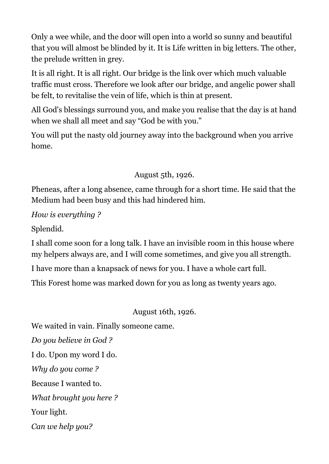Only a wee while, and the door will open into a world so sunny and beautiful that you will almost be blinded by it. It is Life written in big letters. The other, the prelude written in grey.

It is all right. It is all right. Our bridge is the link over which much valuable traffic must cross. Therefore we look after our bridge, and angelic power shall be felt, to revitalise the vein of life, which is thin at present.

All God's blessings surround you, and make you realise that the day is at hand when we shall all meet and say "God be with you."

You will put the nasty old journey away into the background when you arrive home.

August 5th, 1926.

Pheneas, after a long absence, came through for a short time. He said that the Medium had been busy and this had hindered him.

*How is everything ?* 

Splendid.

I shall come soon for a long talk. I have an invisible room in this house where my helpers always are, and I will come sometimes, and give you all strength.

I have more than a knapsack of news for you. I have a whole cart full.

This Forest home was marked down for you as long as twenty years ago.

August 16th, 1926.

We waited in vain. Finally someone came.

*Do you believe in God ?* 

I do. Upon my word I do.

*Why do you come ?* 

Because I wanted to.

*What brought you here ?* 

Your light.

*Can we help you?*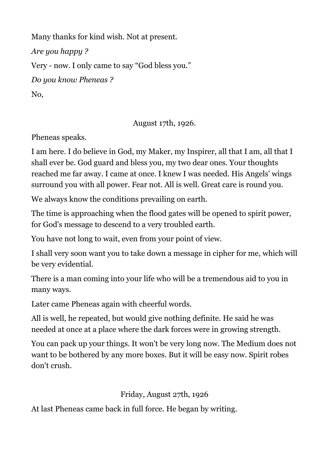Many thanks for kind wish. Not at present. *Are you happy ?*  Very - now. I only came to say "God bless you." *Do you know Pheneas ?*  No,

August 17th, 1926.

Pheneas speaks.

I am here. I do believe in God, my Maker, my Inspirer, all that I am, all that I shall ever be. God guard and bless you, my two dear ones. Your thoughts reached me far away. I came at once. I knew I was needed. His Angels' wings surround you with all power. Fear not. All is well. Great care is round you.

We always know the conditions prevailing on earth.

The time is approaching when the flood gates will be opened to spirit power, for God's message to descend to a very troubled earth.

You have not long to wait, even from your point of view.

I shall very soon want you to take down a message in cipher for me, which will be very evidential.

There is a man coming into your life who will be a tremendous aid to you in many ways.

Later came Pheneas again with cheerful words.

All is well, he repeated, but would give nothing definite. He said he was needed at once at a place where the dark forces were in growing strength.

You can pack up your things. It won't be very long now. The Medium does not want to be bothered by any more boxes. But it will be easy now. Spirit robes don't crush.

Friday, August 27th, 1926

At last Pheneas came back in full force. He began by writing.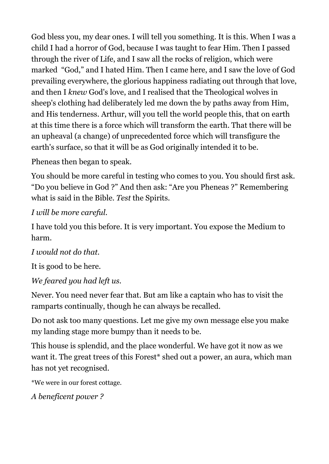God bless you, my dear ones. I will tell you something. It is this. When I was a child I had a horror of God, because I was taught to fear Him. Then I passed through the river of Life, and I saw all the rocks of religion, which were marked "God," and I hated Him. Then I came here, and I saw the love of God prevailing everywhere, the glorious happiness radiating out through that love, and then I *knew* God's love, and I realised that the Theological wolves in sheep's clothing had deliberately led me down the by paths away from Him, and His tenderness. Arthur, will you tell the world people this, that on earth at this time there is a force which will transform the earth. That there will be an upheaval (a change) of unprecedented force which will transfigure the earth's surface, so that it will be as God originally intended it to be.

Pheneas then began to speak.

You should be more careful in testing who comes to you. You should first ask. " Do you believe in God ?" And then ask: " Are you Pheneas ?" Remembering what is said in the Bible. *Test* the Spirits.

*I will be more careful.* 

I have told you this before. It is very important. You expose the Medium to harm.

*I would not do that.* 

It is good to be here.

*We feared you had left us.* 

Never. You need never fear that. But am like a captain who has to visit the ramparts continually, though he can always be recalled.

Do not ask too many questions. Let me give my own message else you make my landing stage more bumpy than it needs to be.

This house is splendid, and the place wonderful. We have got it now as we want it. The great trees of this Forest\* shed out a power, an aura, which man has not yet recognised.

\*We were in our forest cottage.

*A beneficent power ?*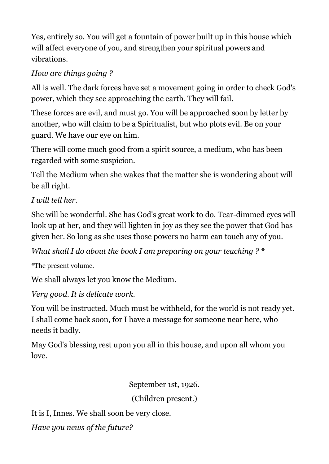Yes, entirely so. You will get a fountain of power built up in this house which will affect everyone of you, and strengthen your spiritual powers and vibrations.

# *How are things going ?*

All is well. The dark forces have set a movement going in order to check God's power, which they see approaching the earth. They will fail.

These forces are evil, and must go. You will be approached soon by letter by another, who will claim to be a Spiritualist, but who plots evil. Be on your guard. We have our eye on him.

There will come much good from a spirit source, a medium, who has been regarded with some suspicion.

Tell the Medium when she wakes that the matter she is wondering about will be all right.

### *I will tell her.*

She will be wonderful. She has God's great work to do. Tear-dimmed eyes will look up at her, and they will lighten in joy as they see the power that God has given her. So long as she uses those powers no harm can touch any of you.

*What shall I do about the book I am preparing on your teaching ? \** 

\*The present volume.

We shall always let you know the Medium.

*Very good. It is delicate work.* 

You will be instructed. Much must be withheld, for the world is not ready yet. I shall come back soon, for I have a message for someone near here, who needs it badly.

May God's blessing rest upon you all in this house, and upon all whom you love.

September 1st, 1926.

(Children present.)

It is I, Innes. We shall soon be very close.

*Have you news of the future?*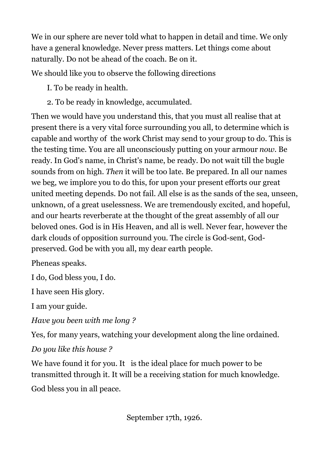We in our sphere are never told what to happen in detail and time. We only have a general knowledge. Never press matters. Let things come about naturally. Do not be ahead of the coach. Be on it.

We should like you to observe the following directions

I. To be ready in health.

2. To be ready in knowledge, accumulated.

Then we would have you understand this, that you must all realise that at present there is a very vital force surrounding you all, to determine which is capable and worthy of the work Christ may send to your group to do. This is the testing time. You are all unconsciously putting on your armour *now*. Be ready. In God's name, in Christ's name, be ready. Do not wait till the bugle sounds from on high. *Then* it will be too late. Be prepared. In all our names we beg, we implore you to do this, for upon your present efforts our great united meeting depends. Do not fail. All else is as the sands of the sea, unseen, unknown, of a great uselessness. We are tremendously excited, and hopeful, and our hearts reverberate at the thought of the great assembly of all our beloved ones. God is in His Heaven, and all is well. Never fear, however the dark clouds of opposition surround you. The circle is God-sent, Godpreserved. God be with you all, my dear earth people.

Pheneas speaks.

I do, God bless you, I do.

I have seen His glory.

I am your guide.

*Have you been with me long ?* 

Yes, for many years, watching your development along the line ordained.

*Do you like this house ?* 

We have found it for you. It is the ideal place for much power to be transmitted through it. It will be a receiving station for much knowledge.

God bless you in all peace.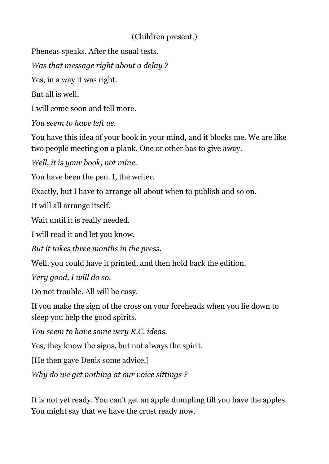### (Children present.)

Pheneas speaks. After the usual tests.

*Was that message right about a delay ?* 

Yes, in a way it was right.

But all is well.

I will come soon and tell more.

*You seem to have left us.* 

You have this idea of your book in your mind, and it blocks me. We are like two people meeting on a plank. One or other has to give away.

*Well, it is your book, not mine.* 

You have been the pen. I, the writer.

Exactly, but I have to arrange all about when to publish and so on.

It will all arrange itself.

Wait until it is really needed.

I will read it and let you know.

*But it takes three months in the press.* 

Well, you could have it printed, and then hold back the edition.

*Very good, I will do so.* 

Do not trouble. All will be easy.

If you make the sign of the cross on your foreheads when you lie down to sleep you help the good spirits.

*You seem to have some very R.C. ideas.* 

Yes, they know the signs, but not always the spirit.

[He then gave Denis some advice.]

*Why do we get nothing at our voice sittings ?* 

It is not yet ready. You can't get an apple dumpling till you have the apples. You might say that we have the crust ready now.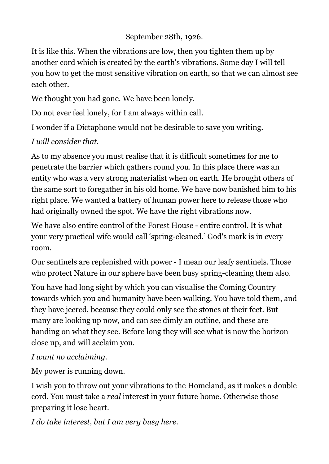#### September 28th, 1926.

It is like this. When the vibrations are low, then you tighten them up by another cord which is created by the earth's vibrations. Some day I will tell you how to get the most sensitive vibration on earth, so that we can almost see each other.

We thought you had gone. We have been lonely.

Do not ever feel lonely, for I am always within call.

I wonder if a Dictaphone would not be desirable to save you writing.

*I will consider that.* 

As to my absence you must realise that it is difficult sometimes for me to penetrate the barrier which gathers round you. In this place there was an entity who was a very strong materialist when on earth. He brought others of the same sort to foregather in his old home. We have now banished him to his right place. We wanted a battery of human power here to release those who had originally owned the spot. We have the right vibrations now.

We have also entire control of the Forest House - entire control. It is what your very practical wife would call 'spring-cleaned.' God's mark is in every room.

Our sentinels are replenished with power - I mean our leafy sentinels. Those who protect Nature in our sphere have been busy spring-cleaning them also.

You have had long sight by which you can visualise the Coming Country towards which you and humanity have been walking. You have told them, and they have jeered, because they could only see the stones at their feet. But many are looking up now, and can see dimly an outline, and these are handing on what they see. Before long they will see what is now the horizon close up, and will acclaim you.

*I want no acclaiming.* 

My power is running down.

I wish you to throw out your vibrations to the Homeland, as it makes a double cord. You must take a *real* interest in your future home. Otherwise those preparing it lose heart.

*I do take interest, but I am very busy here.*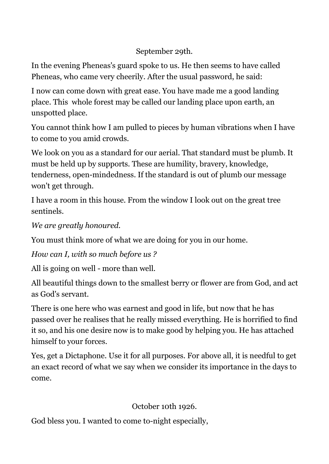September 29th.

In the evening Pheneas's guard spoke to us. He then seems to have called Pheneas, who came very cheerily. After the usual password, he said:

I now can come down with great ease. You have made me a good landing place. This whole forest may be called our landing place upon earth, an unspotted place.

You cannot think how I am pulled to pieces by human vibrations when I have to come to you amid crowds.

We look on you as a standard for our aerial. That standard must be plumb. It must be held up by supports. These are humility, bravery, knowledge, tenderness, open-mindedness. If the standard is out of plumb our message won't get through.

I have a room in this house. From the window I look out on the great tree sentinels.

*We are greatly honoured.* 

You must think more of what we are doing for you in our home.

*How can I, with so much before us ?* 

All is going on well - more than well.

All beautiful things down to the smallest berry or flower are from God, and act as God's servant.

There is one here who was earnest and good in life, but now that he has passed over he realises that he really missed everything. He is horrified to find it so, and his one desire now is to make good by helping you. He has attached himself to your forces.

Yes, get a Dictaphone. Use it for all purposes. For above all, it is needful to get an exact record of what we say when we consider its importance in the days to come.

# October 10th 1926.

God bless you. I wanted to come to-night especially,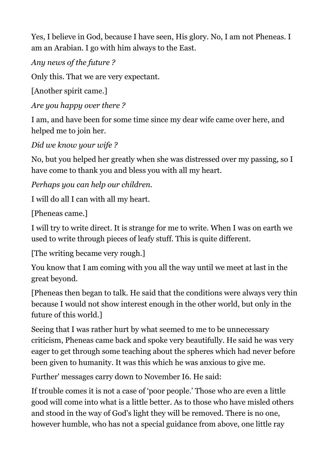Yes, I believe in God, because I have seen, His glory. No, I am not Pheneas. I am an Arabian. I go with him always to the East.

*Any news of the future ?* 

Only this. That we are very expectant.

[Another spirit came.]

```
Are you happy over there ?
```
I am, and have been for some time since my dear wife came over here, and helped me to join her.

*Did we know your wife ?* 

No, but you helped her greatly when she was distressed over my passing, so I have come to thank you and bless you with all my heart.

*Perhaps you can help our children.* 

I will do all I can with all my heart.

[Pheneas came.]

I will try to write direct. It is strange for me to write. When I was on earth we used to write through pieces of leafy stuff. This is quite different.

[The writing became very rough.]

You know that I am coming with you all the way until we meet at last in the great beyond.

[Pheneas then began to talk. He said that the conditions were always very thin because I would not show interest enough in the other world, but only in the future of this world.]

Seeing that I was rather hurt by what seemed to me to be unnecessary criticism, Pheneas came back and spoke very beautifully. He said he was very eager to get through some teaching about the spheres which had never before been given to humanity. It was this which he was anxious to give me.

Further' messages carry down to November I6. He said:

If trouble comes it is not a case of 'poor people.' Those who are even a little good will come into what is a little better. As to those who have misled others and stood in the way of God's light they will be removed. There is no one, however humble, who has not a special guidance from above, one little ray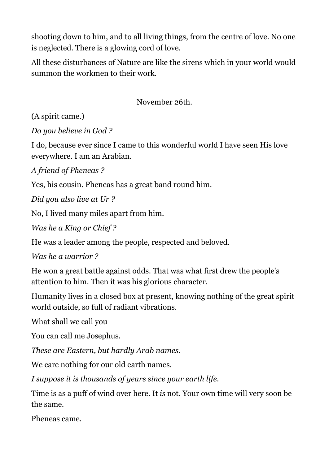shooting down to him, and to all living things, from the centre of love. No one is neglected. There is a glowing cord of love.

All these disturbances of Nature are like the sirens which in your world would summon the workmen to their work.

November 26th.

(A spirit came.)

*Do you believe in God ?* 

I do, because ever since I came to this wonderful world I have seen His love everywhere. I am an Arabian.

*A friend of Pheneas ?* 

Yes, his cousin. Pheneas has a great band round him.

*Did you also live at Ur ?* 

No, I lived many miles apart from him.

*Was he a King or Chief ?* 

He was a leader among the people, respected and beloved.

*Was he a warrior ?* 

He won a great battle against odds. That was what first drew the people's attention to him. Then it was his glorious character.

Humanity lives in a closed box at present, knowing nothing of the great spirit world outside, so full of radiant vibrations.

What shall we call you

You can call me Josephus.

*These are Eastern, but hardly Arab names.* 

We care nothing for our old earth names.

*I suppose it is thousands of years since your earth life.* 

Time is as a puff of wind over here. It *is* not. Your own time will very soon be the same.

Pheneas came.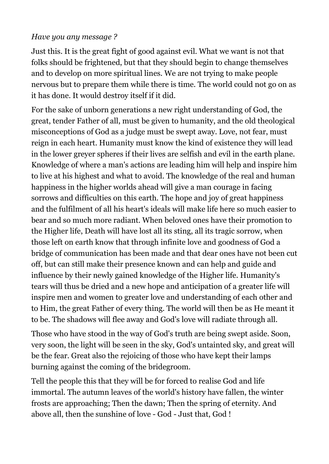#### *Have you any message ?*

Just this. It is the great fight of good against evil. What we want is not that folks should be frightened, but that they should begin to change themselves and to develop on more spiritual lines. We are not trying to make people nervous but to prepare them while there is time. The world could not go on as it has done. It would destroy itself if it did.

For the sake of unborn generations a new right understanding of God, the great, tender Father of all, must be given to humanity, and the old theological misconceptions of God as a judge must be swept away. Love, not fear, must reign in each heart. Humanity must know the kind of existence they will lead in the lower greyer spheres if their lives are selfish and evil in the earth plane. Knowledge of where a man's actions are leading him will help and inspire him to live at his highest and what to avoid. The knowledge of the real and human happiness in the higher worlds ahead will give a man courage in facing sorrows and difficulties on this earth. The hope and joy of great happiness and the fulfilment of all his heart's ideals will make life here so much easier to bear and so much more radiant. When beloved ones have their promotion to the Higher life, Death will have lost all its sting, all its tragic sorrow, when those left on earth know that through infinite love and goodness of God a bridge of communication has been made and that dear ones have not been cut off, but can still make their presence known and can help and guide and influence by their newly gained knowledge of the Higher life. Humanity's tears will thus be dried and a new hope and anticipation of a greater life will inspire men and women to greater love and understanding of each other and to Him, the great Father of every thing. The world will then be as He meant it to be. The shadows will flee away and God's love will radiate through all.

Those who have stood in the way of God's truth are being swept aside. Soon, very soon, the light will be seen in the sky, God's untainted sky, and great will be the fear. Great also the rejoicing of those who have kept their lamps burning against the coming of the bridegroom.

Tell the people this that they will be for forced to realise God and life immortal. The autumn leaves of the world's history have fallen, the winter frosts are approaching; Then the dawn; Then the spring of eternity. And above all, then the sunshine of love - God - Just that, God !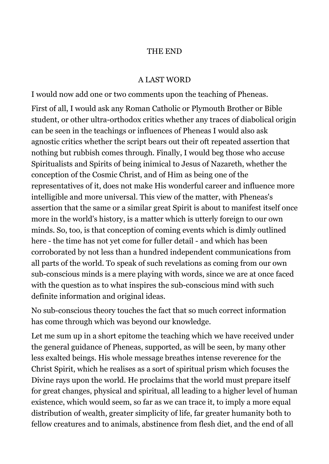#### THE END

#### A LAST WORD

I would now add one or two comments upon the teaching of Pheneas.

First of all, I would ask any Roman Catholic or Plymouth Brother or Bible student, or other ultra-orthodox critics whether any traces of diabolical origin can be seen in the teachings or influences of Pheneas I would also ask agnostic critics whether the script bears out their oft repeated assertion that nothing but rubbish comes through. Finally, I would beg those who accuse Spiritualists and Spirits of being inimical to Jesus of Nazareth, whether the conception of the Cosmic Christ, and of Him as being one of the representatives of it, does not make His wonderful career and influence more intelligible and more universal. This view of the matter, with Pheneas's assertion that the same or a similar great Spirit is about to manifest itself once more in the world's history, is a matter which is utterly foreign to our own minds. So, too, is that conception of coming events which is dimly outlined here - the time has not yet come for fuller detail - and which has been corroborated by not less than a hundred independent communications from all parts of the world. To speak of such revelations as coming from our own sub-conscious minds is a mere playing with words, since we are at once faced with the question as to what inspires the sub-conscious mind with such definite information and original ideas.

No sub-conscious theory touches the fact that so much correct information has come through which was beyond our knowledge.

Let me sum up in a short epitome the teaching which we have received under the general guidance of Pheneas, supported, as will be seen, by many other less exalted beings. His whole message breathes intense reverence for the Christ Spirit, which he realises as a sort of spiritual prism which focuses the Divine rays upon the world. He proclaims that the world must prepare itself for great changes, physical and spiritual, all leading to a higher level of human existence, which would seem, so far as we can trace it, to imply a more equal distribution of wealth, greater simplicity of life, far greater humanity both to fellow creatures and to animals, abstinence from flesh diet, and the end of all